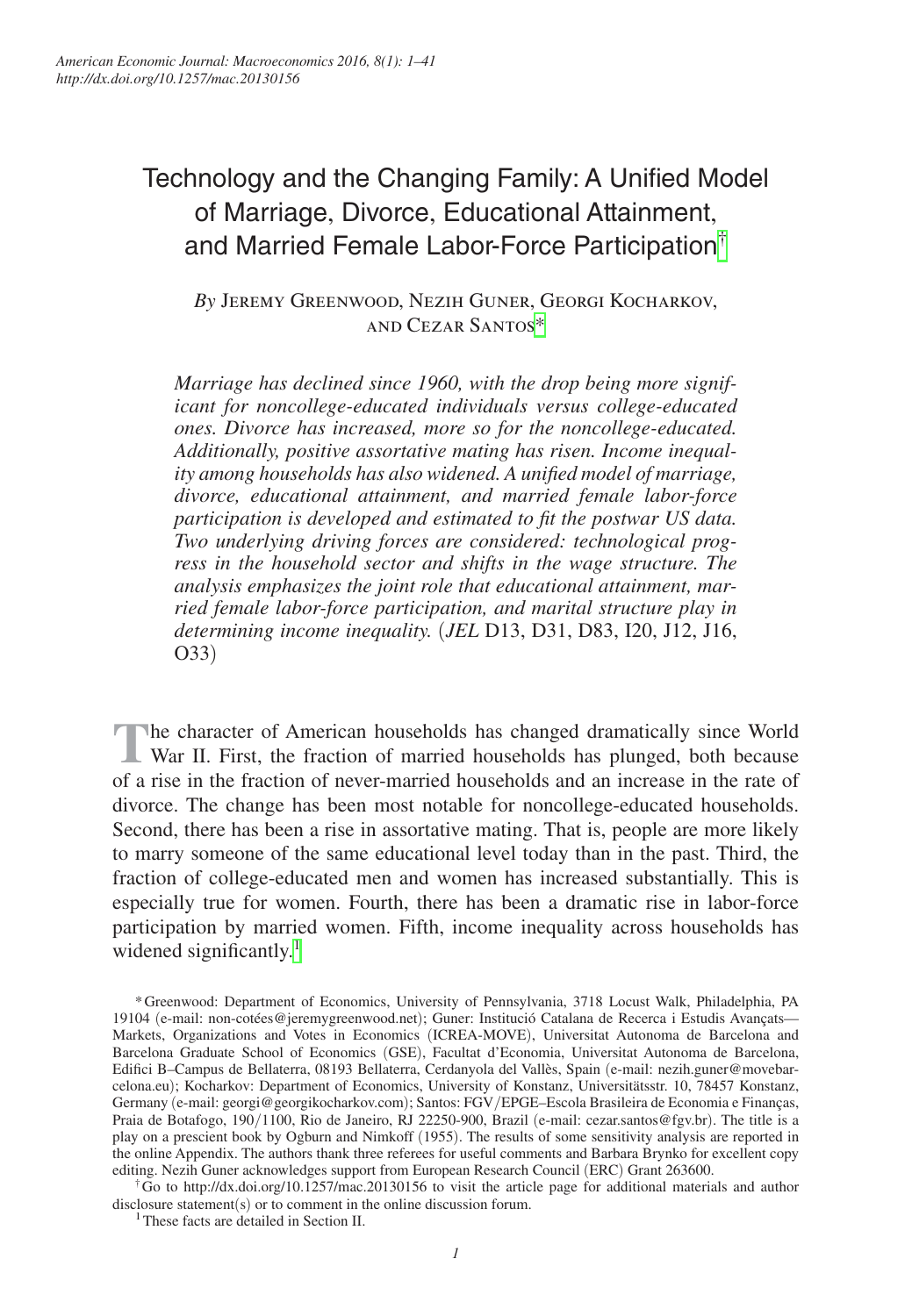# Technology and the Changing Family: A Unified Model of Marriage, Divorce, Educational Attainment, and Married Female Labor-Force Participation[†](#page-0-0)

*By* Jeremy Greenwood, Nezih Guner, Georgi Kocharkov, and Cezar Santo[s\\*](#page-0-1)

*Marriage has declined since 1960, with the drop being more significant for noncollege-educated individuals versus college-educated ones. Divorce has increased, more so for the noncollege-educated. Additionally, positive assortative mating has risen. Income inequality among households has also widened. A unified model of marriage, divorce, educational attainment, and married female labor-force participation is developed and estimated to fit the postwar US data. Two underlying driving forces are considered: technological progress in the household sector and shifts in the wage structure. The analysis emphasizes the joint role that educational attainment, married female labor-force participation, and marital structure play in determining income inequality.* (*JEL* D13, D31, D83, I20, J12, J16, O33)

**The character of American households has changed dramatically since World** War II. First, the fraction of married households has plunged, both because of a rise in the fraction of never-married households and an increase in the rate of divorce. The change has been most notable for noncollege-educated households. Second, there has been a rise in assortative mating. That is, people are more likely to marry someone of the same educational level today than in the past. Third, the fraction of college-educated men and women has increased substantially. This is especially true for women. Fourth, there has been a dramatic rise in labor-force participation by married women. Fifth, income inequality across households has widened significantly. $\frac{1}{1}$ 

†Go to http://dx.doi.org/10.1257/mac.20130156 to visit the article page for additional materials and author disclosure statement(s) or to comment in the online discussion forum.

<span id="page-0-2"></span><span id="page-0-0"></span><sup>1</sup>These facts are detailed in Section II.

<span id="page-0-1"></span><sup>\*</sup>Greenwood: Department of Economics, University of Pennsylvania, 3718 Locust Walk, Philadelphia, PA 19104 (e-mail: non-cotées@jeremygreenwood.net); Guner: Institució Catalana de Recerca i Estudis Avançats— Markets, Organizations and Votes in Economics (ICREA-MOVE), Universitat Autonoma de Barcelona and Barcelona Graduate School of Economics (GSE), Facultat d'Economia, Universitat Autonoma de Barcelona, Edifici B–Campus de Bellaterra, 08193 Bellaterra, Cerdanyola del Vallès, Spain (e-mail: nezih.guner@movebarcelona.eu); Kocharkov: Department of Economics, University of Konstanz, Universitätsstr. 10, 78457 Konstanz, Germany (e-mail: georgi@georgikocharkov.com); Santos: FGV/EPGE–Escola Brasileira de Economia e Finanças, Praia de Botafogo, 190/1100, Rio de Janeiro, RJ 22250-900, Brazil (e-mail: cezar.santos@fgv.br). The title is a play on a prescient book by Ogburn and Nimkoff (1955). The results of some sensitivity analysis are reported in the online Appendix. The authors thank three referees for useful comments and Barbara Brynko for excellent copy editing. Nezih Guner acknowledges support from European Research Council (ERC) Grant 263600.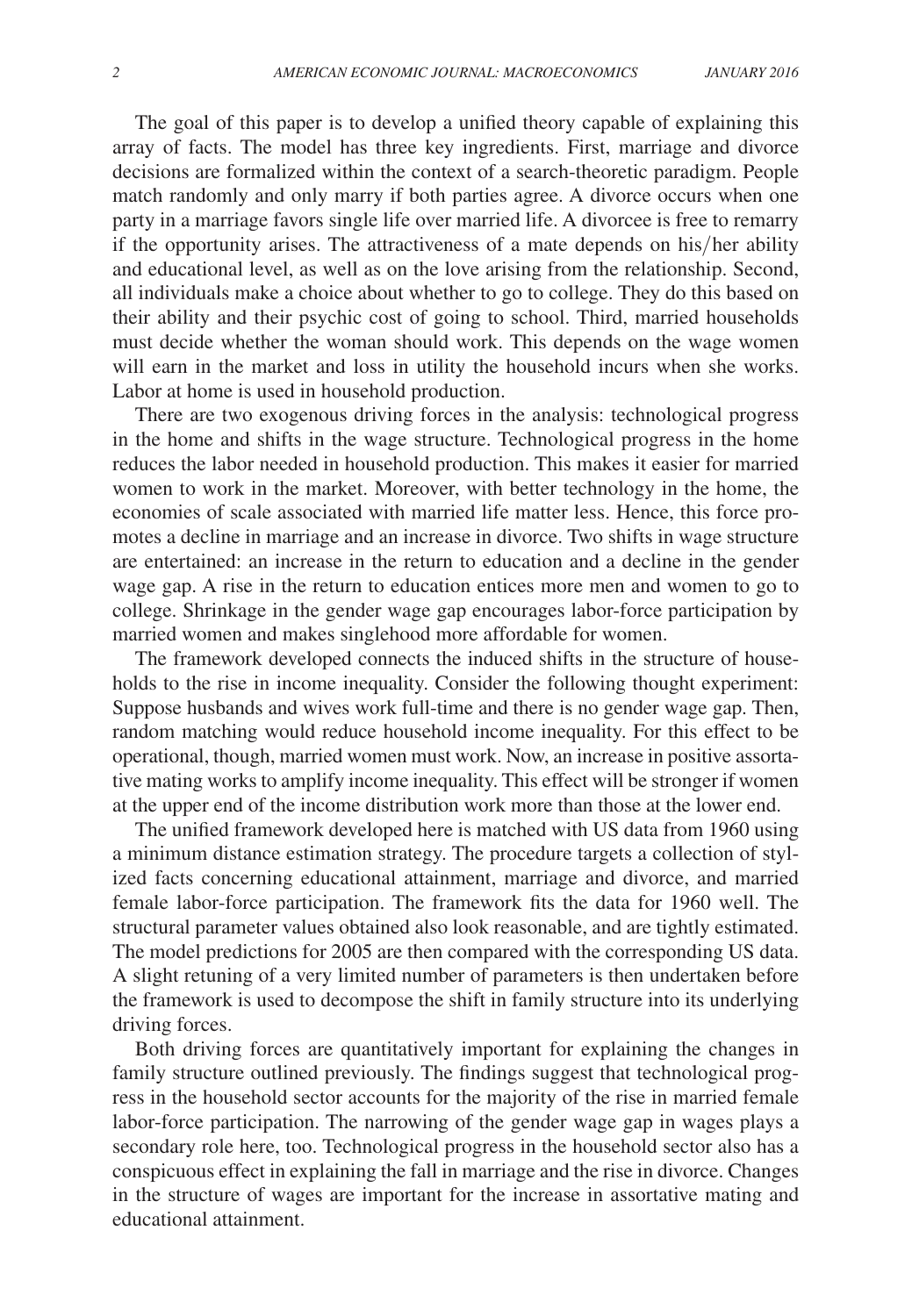The goal of this paper is to develop a unified theory capable of explaining this array of facts. The model has three key ingredients. First, marriage and divorce decisions are formalized within the context of a search-theoretic paradigm. People match randomly and only marry if both parties agree. A divorce occurs when one party in a marriage favors single life over married life. A divorcee is free to remarry if the opportunity arises. The attractiveness of a mate depends on his/her ability and educational level, as well as on the love arising from the relationship. Second, all individuals make a choice about whether to go to college. They do this based on their ability and their psychic cost of going to school. Third, married households must decide whether the woman should work. This depends on the wage women will earn in the market and loss in utility the household incurs when she works. Labor at home is used in household production.

There are two exogenous driving forces in the analysis: technological progress in the home and shifts in the wage structure. Technological progress in the home reduces the labor needed in household production. This makes it easier for married women to work in the market. Moreover, with better technology in the home, the economies of scale associated with married life matter less. Hence, this force promotes a decline in marriage and an increase in divorce. Two shifts in wage structure are entertained: an increase in the return to education and a decline in the gender wage gap. A rise in the return to education entices more men and women to go to college. Shrinkage in the gender wage gap encourages labor-force participation by married women and makes singlehood more affordable for women.

The framework developed connects the induced shifts in the structure of households to the rise in income inequality. Consider the following thought experiment: Suppose husbands and wives work full-time and there is no gender wage gap. Then, random matching would reduce household income inequality. For this effect to be operational, though, married women must work. Now, an increase in positive assortative mating works to amplify income inequality. This effect will be stronger if women at the upper end of the income distribution work more than those at the lower end.

The unified framework developed here is matched with US data from 1960 using a minimum distance estimation strategy. The procedure targets a collection of stylized facts concerning educational attainment, marriage and divorce, and married female labor-force participation. The framework fits the data for 1960 well. The structural parameter values obtained also look reasonable, and are tightly estimated. The model predictions for 2005 are then compared with the corresponding US data. A slight retuning of a very limited number of parameters is then undertaken before the framework is used to decompose the shift in family structure into its underlying driving forces.

Both driving forces are quantitatively important for explaining the changes in family structure outlined previously. The findings suggest that technological progress in the household sector accounts for the majority of the rise in married female labor-force participation. The narrowing of the gender wage gap in wages plays a secondary role here, too. Technological progress in the household sector also has a conspicuous effect in explaining the fall in marriage and the rise in divorce. Changes in the structure of wages are important for the increase in assortative mating and educational attainment.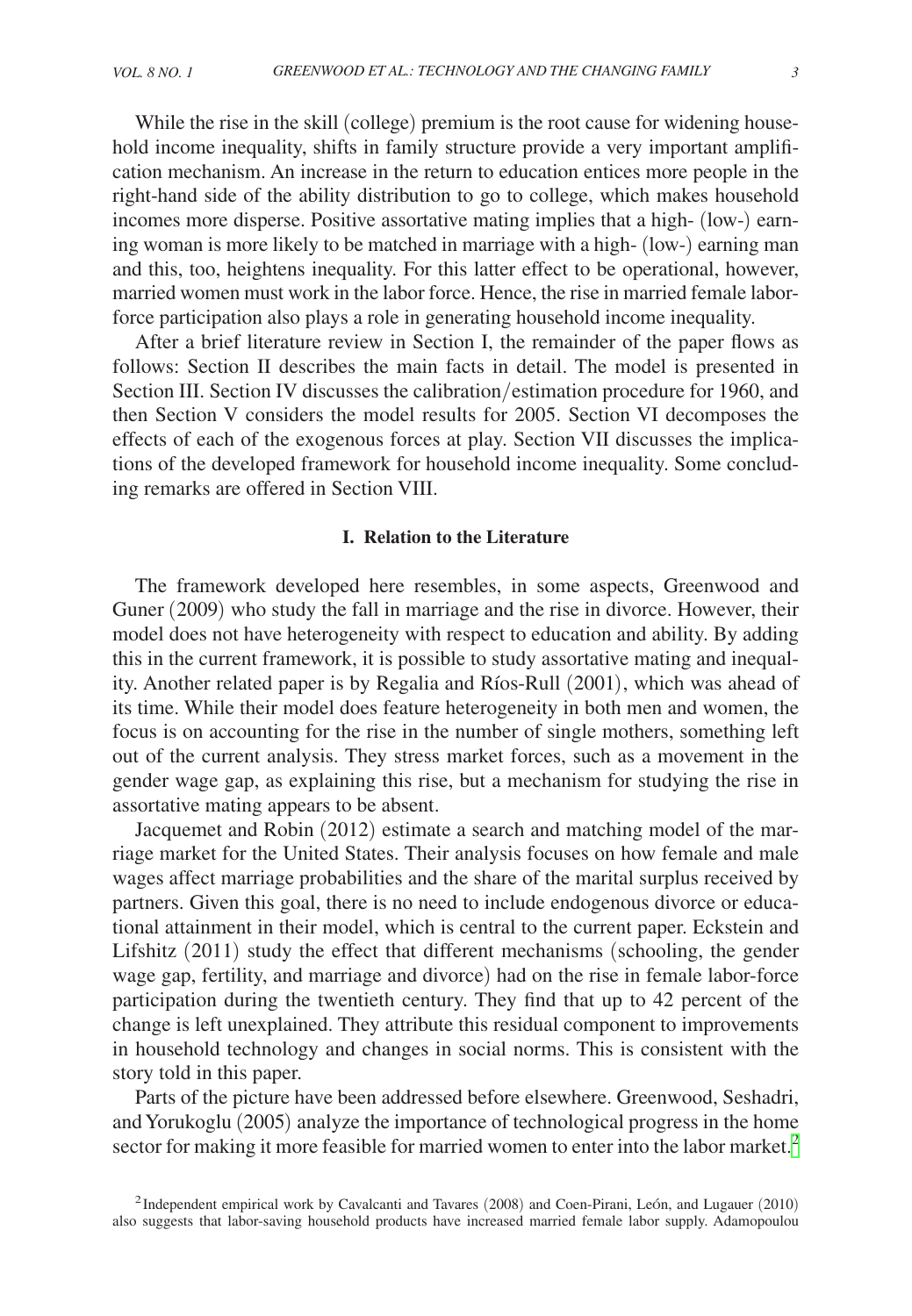While the rise in the skill (college) premium is the root cause for widening household income inequality, shifts in family structure provide a very important amplification mechanism. An increase in the return to education entices more people in the right-hand side of the ability distribution to go to college, which makes household incomes more disperse. Positive assortative mating implies that a high- (low-) earning woman is more likely to be matched in marriage with a high- (low-) earning man and this, too, heightens inequality. For this latter effect to be operational, however, married women must work in the labor force. Hence, the rise in married female laborforce participation also plays a role in generating household income inequality.

After a brief literature review in Section I, the remainder of the paper flows as follows: Section II describes the main facts in detail. The model is presented in Section III. Section IV discusses the calibration/estimation procedure for 1960, and then Section V considers the model results for 2005. Section VI decomposes the effects of each of the exogenous forces at play. Section VII discusses the implications of the developed framework for household income inequality. Some concluding remarks are offered in Section VIII.

## **I. Relation to the Literature**

The framework developed here resembles, in some aspects, Greenwood and Guner (2009) who study the fall in marriage and the rise in divorce. However, their model does not have heterogeneity with respect to education and ability. By adding this in the current framework, it is possible to study assortative mating and inequality. Another related paper is by Regalia and Ríos-Rull (2001), which was ahead of its time. While their model does feature heterogeneity in both men and women, the focus is on accounting for the rise in the number of single mothers, something left out of the current analysis. They stress market forces, such as a movement in the gender wage gap, as explaining this rise, but a mechanism for studying the rise in assortative mating appears to be absent.

Jacquemet and Robin (2012) estimate a search and matching model of the marriage market for the United States. Their analysis focuses on how female and male wages affect marriage probabilities and the share of the marital surplus received by partners. Given this goal, there is no need to include endogenous divorce or educational attainment in their model, which is central to the current paper. Eckstein and Lifshitz (2011) study the effect that different mechanisms (schooling, the gender wage gap, fertility, and marriage and divorce) had on the rise in female labor-force participation during the twentieth century. They find that up to 42 percent of the change is left unexplained. They attribute this residual component to improvements in household technology and changes in social norms. This is consistent with the story told in this paper.

Parts of the picture have been addressed before elsewhere. Greenwood, Seshadri, and Yorukoglu (2005) analyze the importance of technological progress in the home sector for making it more feasible for married women to enter into the labor market.<sup>2</sup>

<span id="page-2-0"></span><sup>2</sup> Independent empirical work by Cavalcanti and Tavares (2008) and Coen-Pirani, León, and Lugauer (2010) also suggests that labor-saving household products have increased married female labor supply. Adamopoulou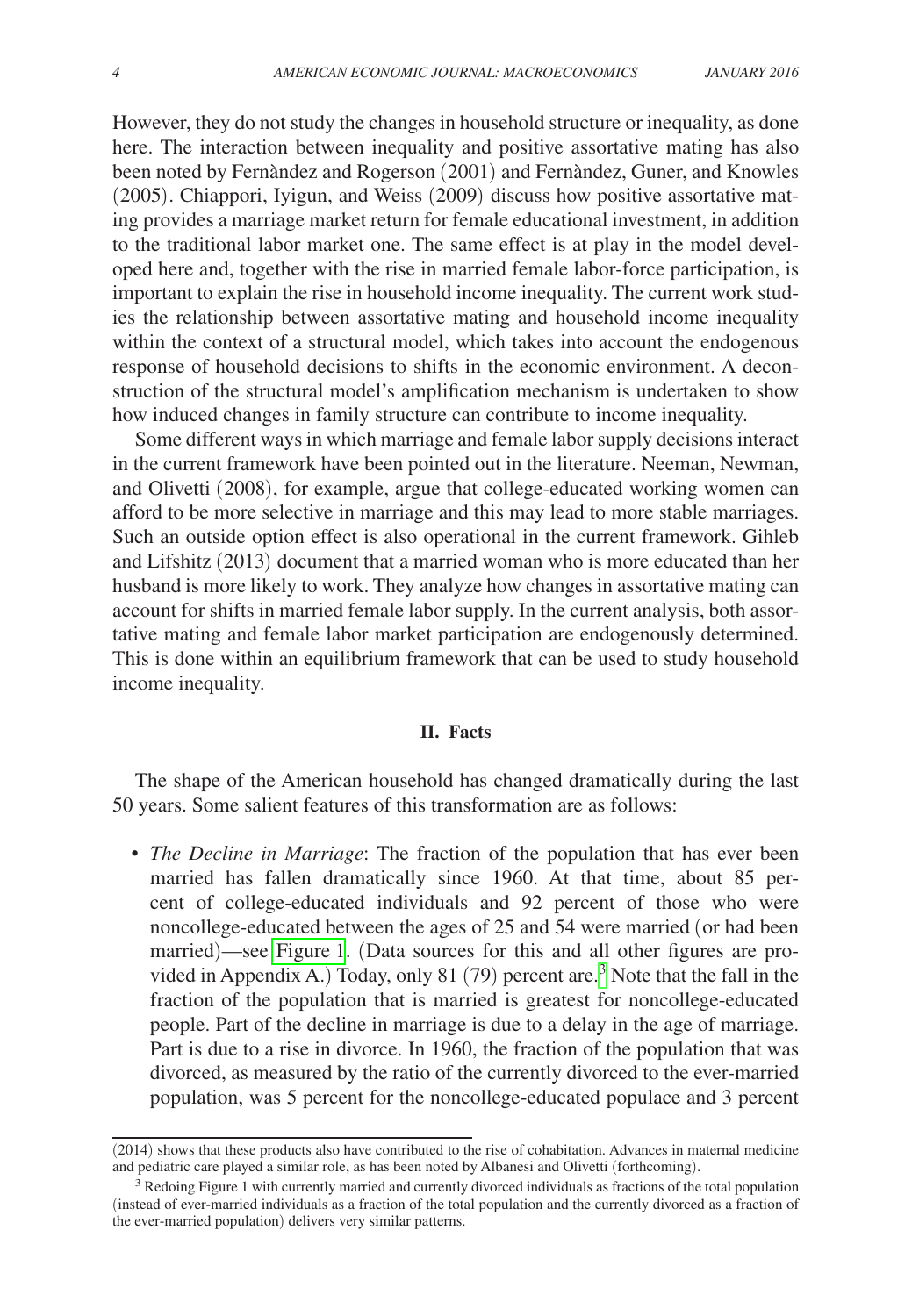However, they do not study the changes in household structure or inequality, as done here. The interaction between inequality and positive assortative mating has also been noted by Fernàndez and Rogerson (2001) and Fernàndez, Guner, and Knowles (2005). Chiappori, Iyigun, and Weiss (2009) discuss how positive assortative mating provides a marriage market return for female educational investment, in addition to the traditional labor market one. The same effect is at play in the model developed here and, together with the rise in married female labor-force participation, is important to explain the rise in household income inequality. The current work studies the relationship between assortative mating and household income inequality within the context of a structural model, which takes into account the endogenous response of household decisions to shifts in the economic environment. A deconstruction of the structural model's amplification mechanism is undertaken to show how induced changes in family structure can contribute to income inequality.

Some different ways in which marriage and female labor supply decisions interact in the current framework have been pointed out in the literature. Neeman, Newman, and Olivetti (2008), for example, argue that college-educated working women can afford to be more selective in marriage and this may lead to more stable marriages. Such an outside option effect is also operational in the current framework. Gihleb and Lifshitz (2013) document that a married woman who is more educated than her husband is more likely to work. They analyze how changes in assortative mating can account for shifts in married female labor supply. In the current analysis, both assortative mating and female labor market participation are endogenously determined. This is done within an equilibrium framework that can be used to study household income inequality.

#### **II. Facts**

The shape of the American household has changed dramatically during the last 50 years. Some salient features of this transformation are as follows:

• *The Decline in Marriage*: The fraction of the population that has ever been married has fallen dramatically since 1960. At that time, about 85 percent of college-educated individuals and 92 percent of those who were noncollege-educated between the ages of 25 and 54 were married (or had been married)—see [Figure](#page-4-0) 1. (Data sources for this and all other figures are provided in Appendix A.) Today, only 81 (79) percent are.[3](#page-3-0) Note that the fall in the fraction of the population that is married is greatest for noncollege-educated people. Part of the decline in marriage is due to a delay in the age of marriage. Part is due to a rise in divorce. In 1960, the fraction of the population that was divorced, as measured by the ratio of the currently divorced to the ever-married population, was 5 percent for the noncollege-educated populace and 3 percent

<sup>(2014)</sup> shows that these products also have contributed to the rise of cohabitation. Advances in maternal medicine and pediatric care played a similar role, as has been noted by Albanesi and Olivetti (forthcoming).

<span id="page-3-0"></span> $3$  Redoing Figure 1 with currently married and currently divorced individuals as fractions of the total population (instead of ever-married individuals as a fraction of the total population and the currently divorced as a fraction of the ever-married population) delivers very similar patterns.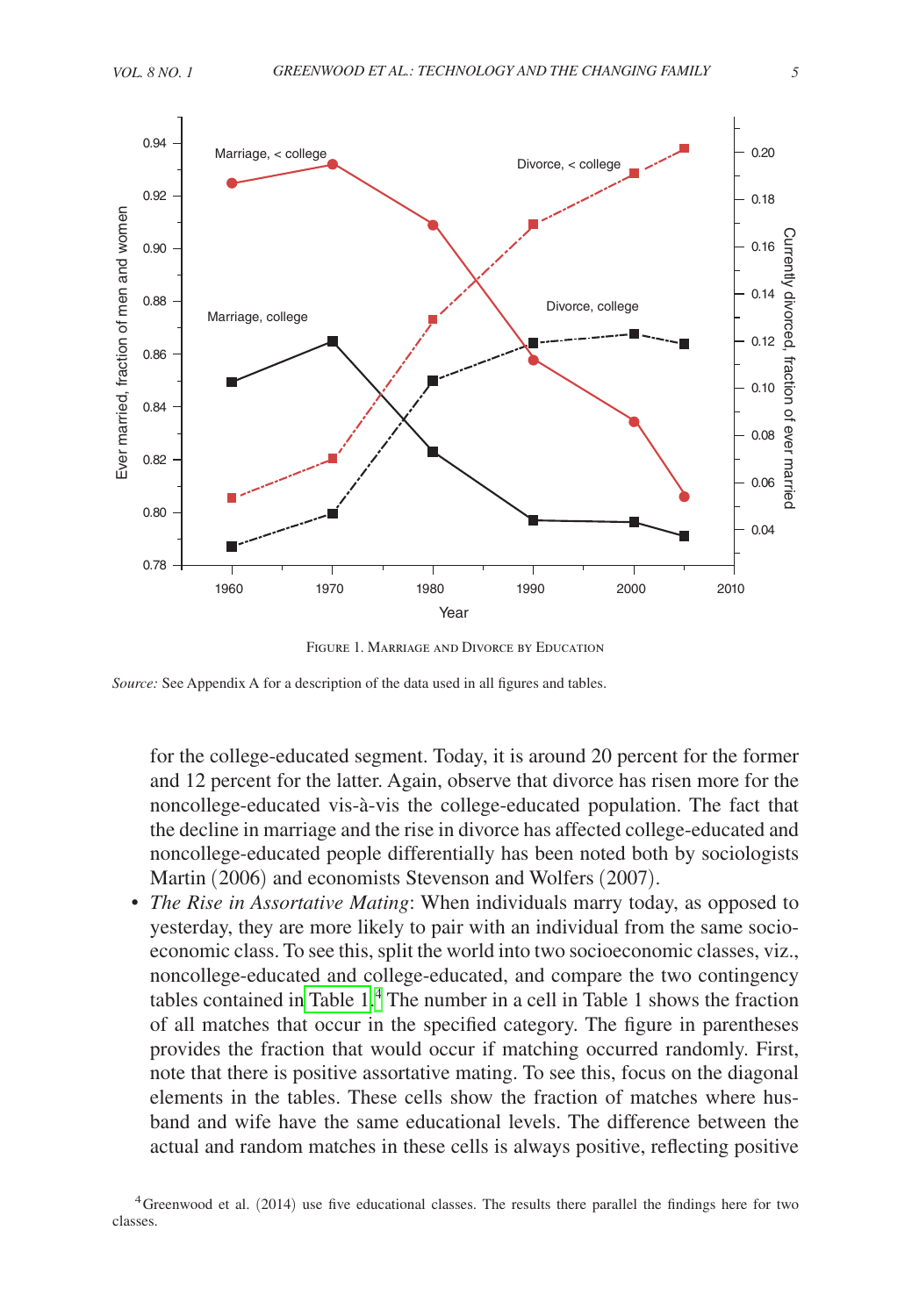<span id="page-4-0"></span>

Figure 1. Marriage and Divorce by Education

*Source:* See Appendix A for a description of the data used in all figures and tables.

for the college-educated segment. Today, it is around 20 percent for the former and 12 percent for the latter. Again, observe that divorce has risen more for the noncollege-educated vis-à-vis the college-educated population. The fact that the decline in marriage and the rise in divorce has affected college-educated and noncollege-educated people differentially has been noted both by sociologists Martin (2006) and economists Stevenson and Wolfers (2007).

• *The Rise in Assortative Mating*: When individuals marry today, as opposed to yesterday, they are more likely to pair with an individual from the same socioeconomic class. To see this, split the world into two socioeconomic classes, viz., noncollege-educated and college-educated, and compare the two contingency tables contained i[n Table 1](#page-5-0).[4](#page-4-1) The number in a cell in Table 1 shows the fraction of all matches that occur in the specified category. The figure in parentheses provides the fraction that would occur if matching occurred randomly. First, note that there is positive assortative mating. To see this, focus on the diagonal elements in the tables. These cells show the fraction of matches where husband and wife have the same educational levels. The difference between the actual and random matches in these cells is always positive, reflecting positive

<span id="page-4-1"></span><sup>4</sup>Greenwood et al. (2014) use five educational classes. The results there parallel the findings here for two classes.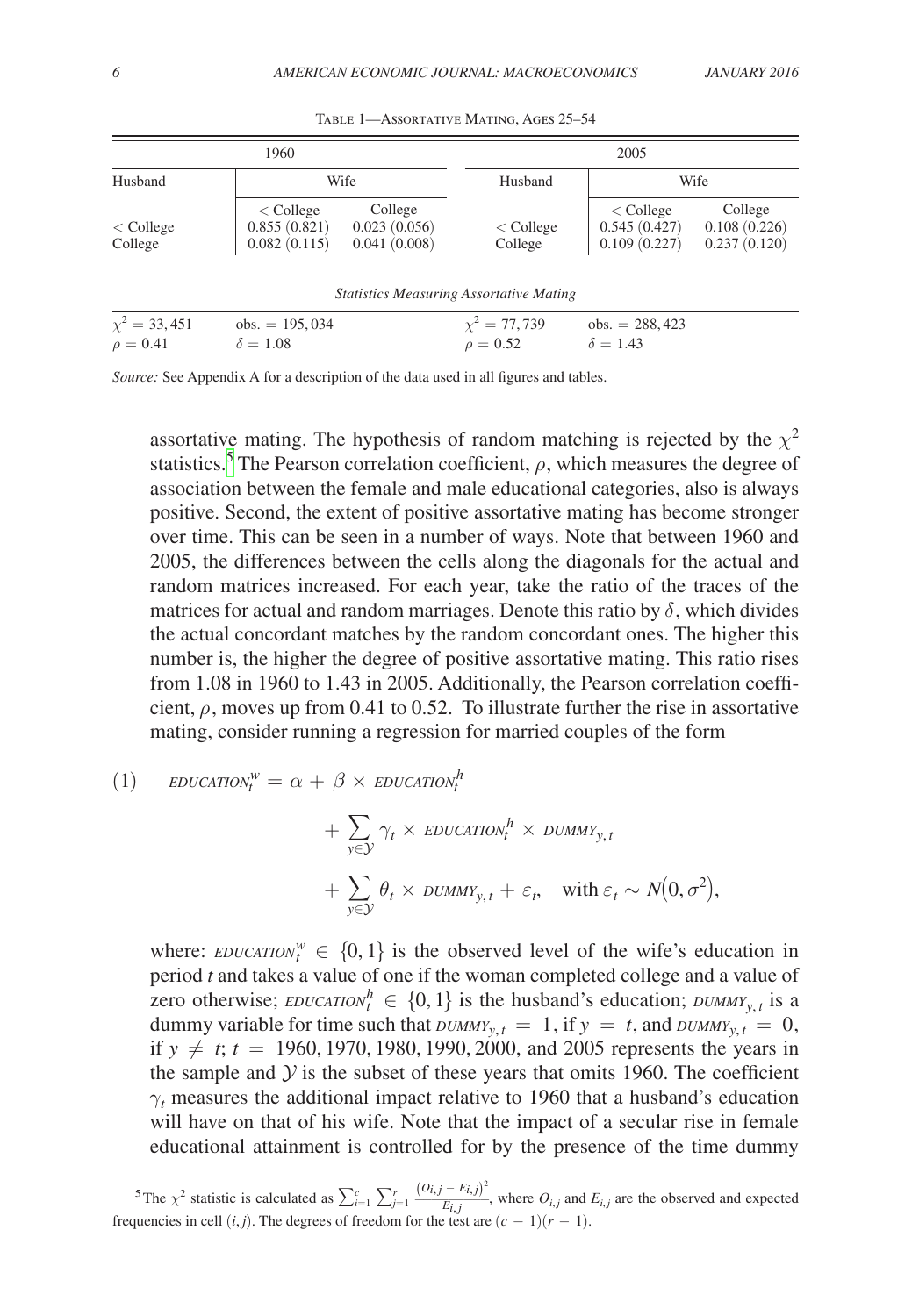<span id="page-5-0"></span>

| 1960                                           |                                                   |                                         | 2005                         |                                                   |                                         |  |  |  |  |
|------------------------------------------------|---------------------------------------------------|-----------------------------------------|------------------------------|---------------------------------------------------|-----------------------------------------|--|--|--|--|
| Husband                                        |                                                   | Wife                                    | Husband                      |                                                   | Wife                                    |  |  |  |  |
| $\langle$ College<br>College                   | $\langle$ College<br>0.855(0.821)<br>0.082(0.115) | College<br>0.023(0.056)<br>0.041(0.008) | $\langle$ College<br>College | $\langle$ College<br>0.545(0.427)<br>0.109(0.227) | College<br>0.108(0.226)<br>0.237(0.120) |  |  |  |  |
| <b>Statistics Measuring Assortative Mating</b> |                                                   |                                         |                              |                                                   |                                         |  |  |  |  |
| $\chi^2 = 33,451$                              | $obs. = 195,034$                                  |                                         | $\chi^2 = 77,739$            | $obs. = 288,423$                                  |                                         |  |  |  |  |
| $\rho = 0.41$                                  | $\delta = 1.08$                                   |                                         | $\rho = 0.52$                | $\delta = 1.43$                                   |                                         |  |  |  |  |

Table 1—Assortative Mating, Ages 25–54

*Source:* See Appendix A for a description of the data used in all figures and tables.

assortative mating. The hypothesis of random matching is rejected by the  $\chi^2$ statistics.<sup>[5](#page-5-1)</sup> The Pearson correlation coefficient,  $\rho$ , which measures the degree of association between the female and male educational categories, also is always positive. Second, the extent of positive assortative mating has become stronger over time. This can be seen in a number of ways. Note that between 1960 and 2005, the differences between the cells along the diagonals for the actual and random matrices increased. For each year, take the ratio of the traces of the matrices for actual and random marriages. Denote this ratio by  $\delta$ , which divides the actual concordant matches by the random concordant ones. The higher this number is, the higher the degree of positive assortative mating. This ratio rises from 1.08 in 1960 to 1.43 in 2005. Additionally, the Pearson correlation coefficient,  $\rho$ , moves up from 0.41 to 0.52. To illustrate further the rise in assortative mating, consider running a regression for married couples of the form

(1) 
$$
EDUCATION_t^w = \alpha + \beta \times EDUCATION_t^h
$$

+ 
$$
\sum_{y \in \mathcal{Y}} \gamma_t \times \text{EDUCATION}_t^h \times \text{DUMMY}_{y,t}
$$
  
+  $\sum_{y \in \mathcal{Y}} \theta_t \times \text{DUMMY}_{y,t} + \varepsilon_t, \text{ with } \varepsilon_t \sim N(0, \sigma^2),$ 

where: *EDUCATION*<sup>*w*</sup>  $\in \{0, 1\}$  is the observed level of the wife's education in period *t* and takes a value of one if the woman completed college and a value of zero otherwise; *EDUCATION*<sup>*h*</sup><sub> $t \in \{0, 1\}$  is the husband's education; *DUMMY*<sub>*y*, *t*</sub> is a</sub> dummy variable for time such that  $\textit{DUMMY}_{y,t} = 1$ , if  $y = t$ , and  $\textit{DUMMY}_{y,t} = 0$ , if  $y \neq t$ ;  $t = 1960, 1970, 1980, 1990, 2000,$  and 2005 represents the years in the sample and  $\mathcal Y$  is the subset of these years that omits 1960. The coefficient  $\gamma_t$  measures the additional impact relative to 1960 that a husband's education will have on that of his wife. Note that the impact of a secular rise in female educational attainment is controlled for by the presence of the time dummy

<span id="page-5-1"></span><sup>5</sup>The  $\chi^2$  statistic is calculated as  $\sum_{i=1}^{c} \sum_{j=1}^{r} \frac{(O_{i,j} - E_{i,j})^2}{E_{i,j}}$ , where  $O_{i,j}$  and  $E_{i,j}$  are the observed and expected frequencies in cell  $(i, j)$ . The degrees of freedom for the test are  $(c - 1)(r - 1)$ .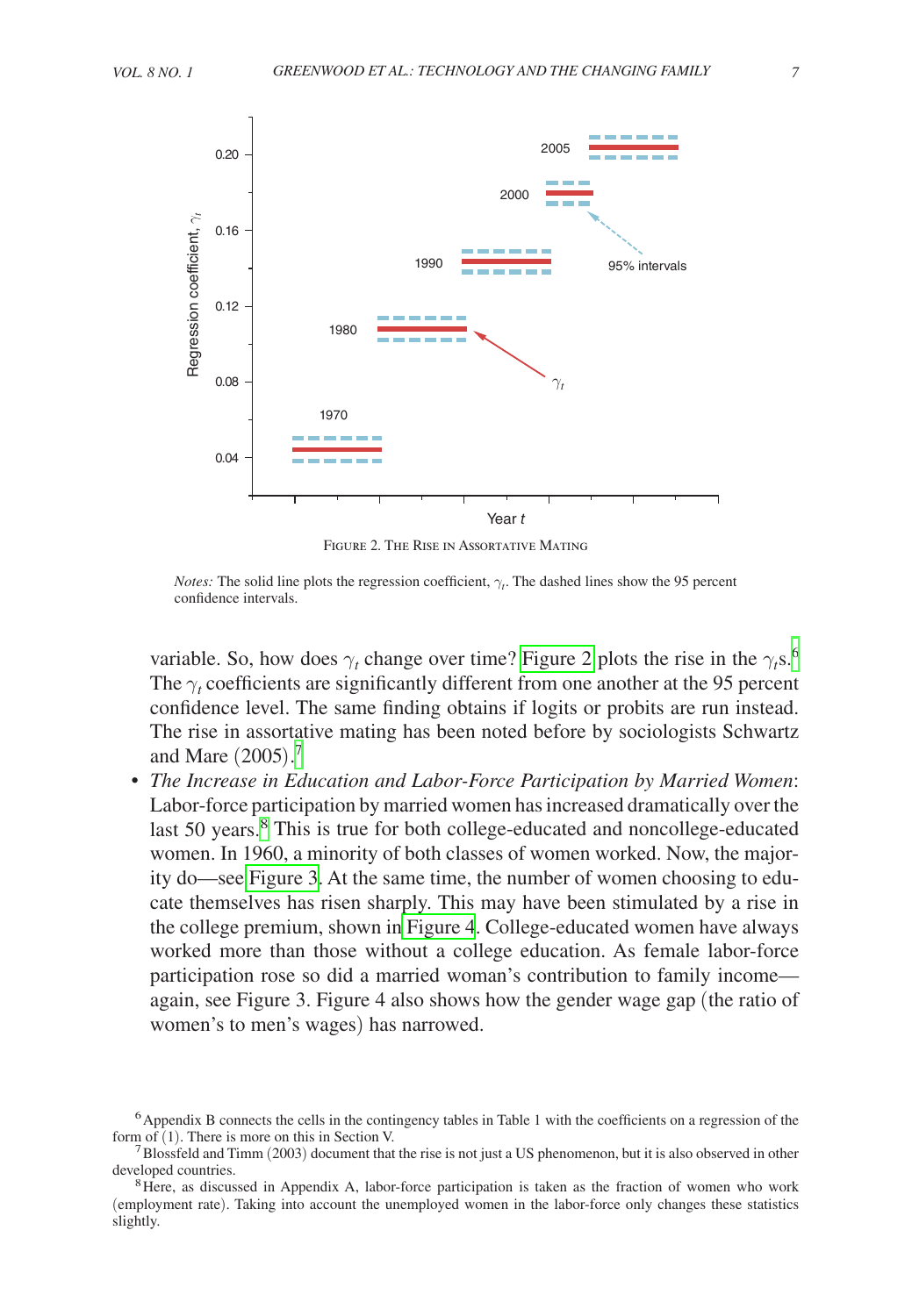

Figure 2. The Rise in Assortative Mating

*Notes:* The solid line plots the regression coefficient,  $\gamma_t$ . The dashed lines show the 95 percent confidence intervals.

variable. So, how does  $\gamma_t$  change over time? Figure 2 plots the rise in the  $\gamma_t$ s.<sup>6</sup> The  $\gamma_t$  coefficients are significantly different from one another at the 95 percent confidence level. The same finding obtains if logits or probits are run instead. The rise in assortative mating has been noted before by sociologists Schwartz and Mare (2005). [7](#page-6-1)

• *The Increase in Education and Labor-Force Participation by Married Women*: Labor-force participation by married women has increased dramatically over the last 50 years.<sup>[8](#page-6-2)</sup> This is true for both college-educated and noncollege-educated women. In 1960, a minority of both classes of women worked. Now, the majority do—see [Figure 3.](#page-7-0) At the same time, the number of women choosing to educate themselves has risen sharply. This may have been stimulated by a rise in the college premium, shown in [Figure 4](#page-8-0). College-educated women have always worked more than those without a college education. As female labor-force participation rose so did a married woman's contribution to family income again, see Figure 3. Figure 4 also shows how the gender wage gap (the ratio of women's to men's wages) has narrowed.

<span id="page-6-0"></span><sup>6</sup>Appendix B connects the cells in the contingency tables in Table 1 with the coefficients on a regression of the

<span id="page-6-1"></span>form of (1). There is more on this in Section V.<br>  $\frac{7}{8}$  Blossfeld and Timm (2003) document that the rise is not just a US phenomenon, but it is also observed in other developed countries.

<span id="page-6-2"></span><sup>&</sup>lt;sup>8</sup>Here, as discussed in Appendix A, labor-force participation is taken as the fraction of women who work (employment rate). Taking into account the unemployed women in the labor-force only changes these statistics slightly.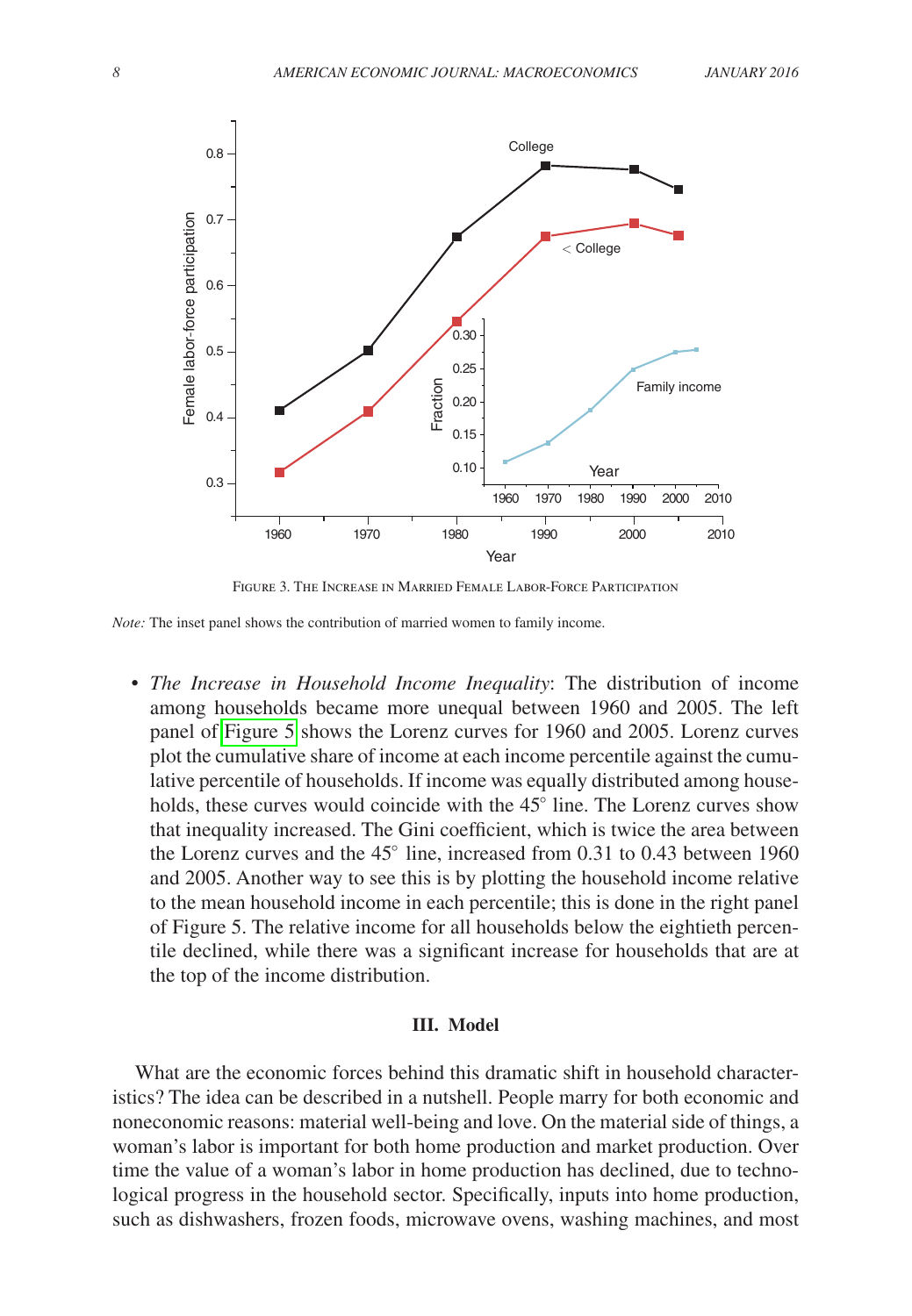<span id="page-7-0"></span>

Figure 3. The Increase in Married Female Labor-Force Participation

*Note:* The inset panel shows the contribution of married women to family income.

• *The Increase in Household Income Inequality*: The distribution of income among households became more unequal between 1960 and 2005. The left panel of [Figure 5](#page-8-0) shows the Lorenz curves for 1960 and 2005. Lorenz curves plot the cumulative share of income at each income percentile against the cumulative percentile of households. If income was equally distributed among households, these curves would coincide with the 45° line. The Lorenz curves show that inequality increased. The Gini coefficient, which is twice the area between the Lorenz curves and the 45° line, increased from 0.31 to 0.43 between 1960 and 2005. Another way to see this is by plotting the household income relative to the mean household income in each percentile; this is done in the right panel of Figure 5. The relative income for all households below the eightieth percentile declined, while there was a significant increase for households that are at the top of the income distribution.

## **III. Model**

What are the economic forces behind this dramatic shift in household characteristics? The idea can be described in a nutshell. People marry for both economic and noneconomic reasons: material well-being and love. On the material side of things, a woman's labor is important for both home production and market production. Over time the value of a woman's labor in home production has declined, due to technological progress in the household sector. Specifically, inputs into home production, such as dishwashers, frozen foods, microwave ovens, washing machines, and most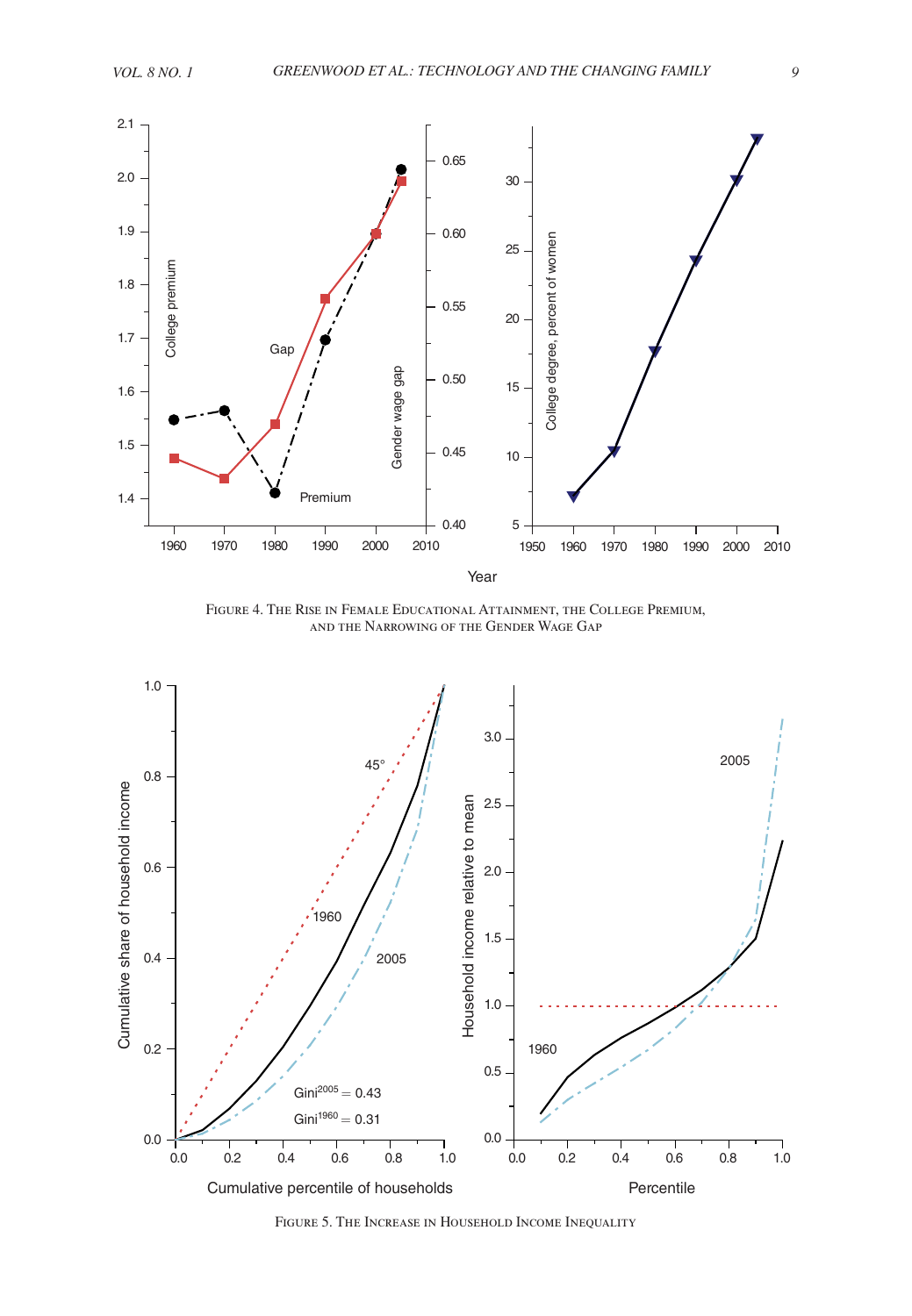<span id="page-8-0"></span>

Figure 4. The Rise in Female Educational Attainment, the College Premium, and the Narrowing of the Gender Wage Gap



Figure 5. The Increase in Household Income Inequality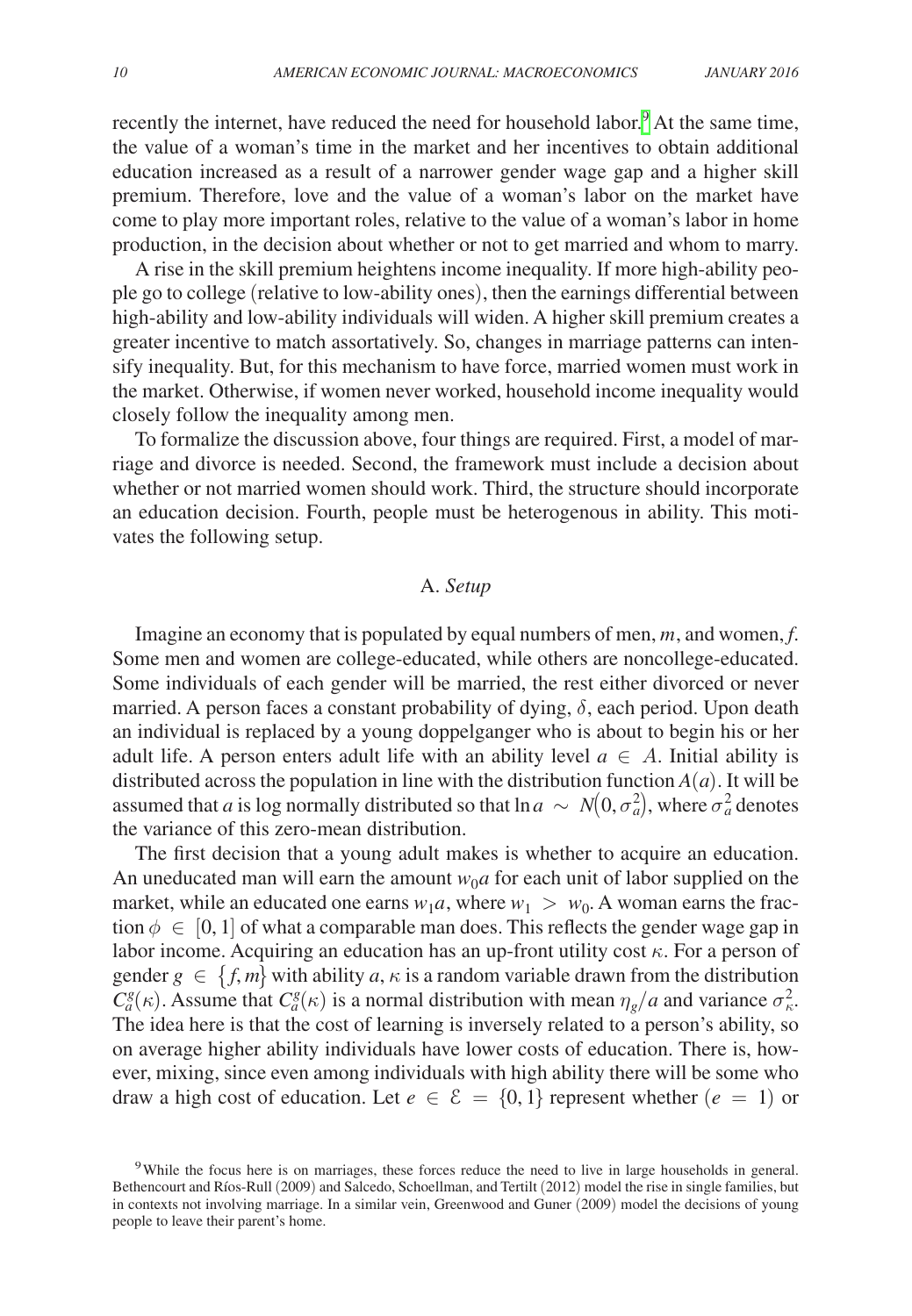recently the internet, have reduced the need for household labor.<sup>9</sup> At the same time, the value of a woman's time in the market and her incentives to obtain additional education increased as a result of a narrower gender wage gap and a higher skill premium. Therefore, love and the value of a woman's labor on the market have come to play more important roles, relative to the value of a woman's labor in home production, in the decision about whether or not to get married and whom to marry.

A rise in the skill premium heightens income inequality. If more high-ability people go to college (relative to low-ability ones), then the earnings differential between high-ability and low-ability individuals will widen. A higher skill premium creates a greater incentive to match assortatively. So, changes in marriage patterns can intensify inequality. But, for this mechanism to have force, married women must work in the market. Otherwise, if women never worked, household income inequality would closely follow the inequality among men.

To formalize the discussion above, four things are required. First, a model of marriage and divorce is needed. Second, the framework must include a decision about whether or not married women should work. Third, the structure should incorporate an education decision. Fourth, people must be heterogenous in ability. This motivates the following setup.

## A. *Setup*

Imagine an economy that is populated by equal numbers of men, *m*, and women, *f*. Some men and women are college-educated, while others are noncollege-educated. Some individuals of each gender will be married, the rest either divorced or never married. A person faces a constant probability of dying,  $\delta$ , each period. Upon death an individual is replaced by a young doppelganger who is about to begin his or her adult life. A person enters adult life with an ability level  $a \in A$ . Initial ability is distributed across the population in line with the distribution function  $A(a)$ . It will be assumed that *a* is log normally distributed so that  $\ln a \sim N(0, \sigma_a^2)$ , where  $\sigma_a^2$  denotes the variance of this zero-mean distribution.

The first decision that a young adult makes is whether to acquire an education. An uneducated man will earn the amount  $w_0a$  for each unit of labor supplied on the market, while an educated one earns  $w_1a$ , where  $w_1 > w_0$ . A woman earns the fraction  $\phi \in [0, 1]$  of what a comparable man does. This reflects the gender wage gap in labor income. Acquiring an education has an up-front utility cost  $\kappa$ . For a person of gender  $g \in \{f, m\}$  with ability  $a, \kappa$  is a random variable drawn from the distribution  $C_a^g(\kappa)$ . Assume that  $C_a^g(\kappa)$  is a normal distribution with mean  $\eta_g/a$  and variance  $\sigma_{\kappa}^2$ . The idea here is that the cost of learning is inversely related to a person's ability, so on average higher ability individuals have lower costs of education. There is, however, mixing, since even among individuals with high ability there will be some who draw a high cost of education. Let  $e \in \mathcal{E} = \{0, 1\}$  represent whether  $(e = 1)$  or

<span id="page-9-0"></span><sup>&</sup>lt;sup>9</sup>While the focus here is on marriages, these forces reduce the need to live in large households in general. Bethencourt and Ríos-Rull (2009) and Salcedo, Schoellman, and Tertilt (2012) model the rise in single families, but in contexts not involving marriage. In a similar vein, Greenwood and Guner (2009) model the decisions of young people to leave their parent's home.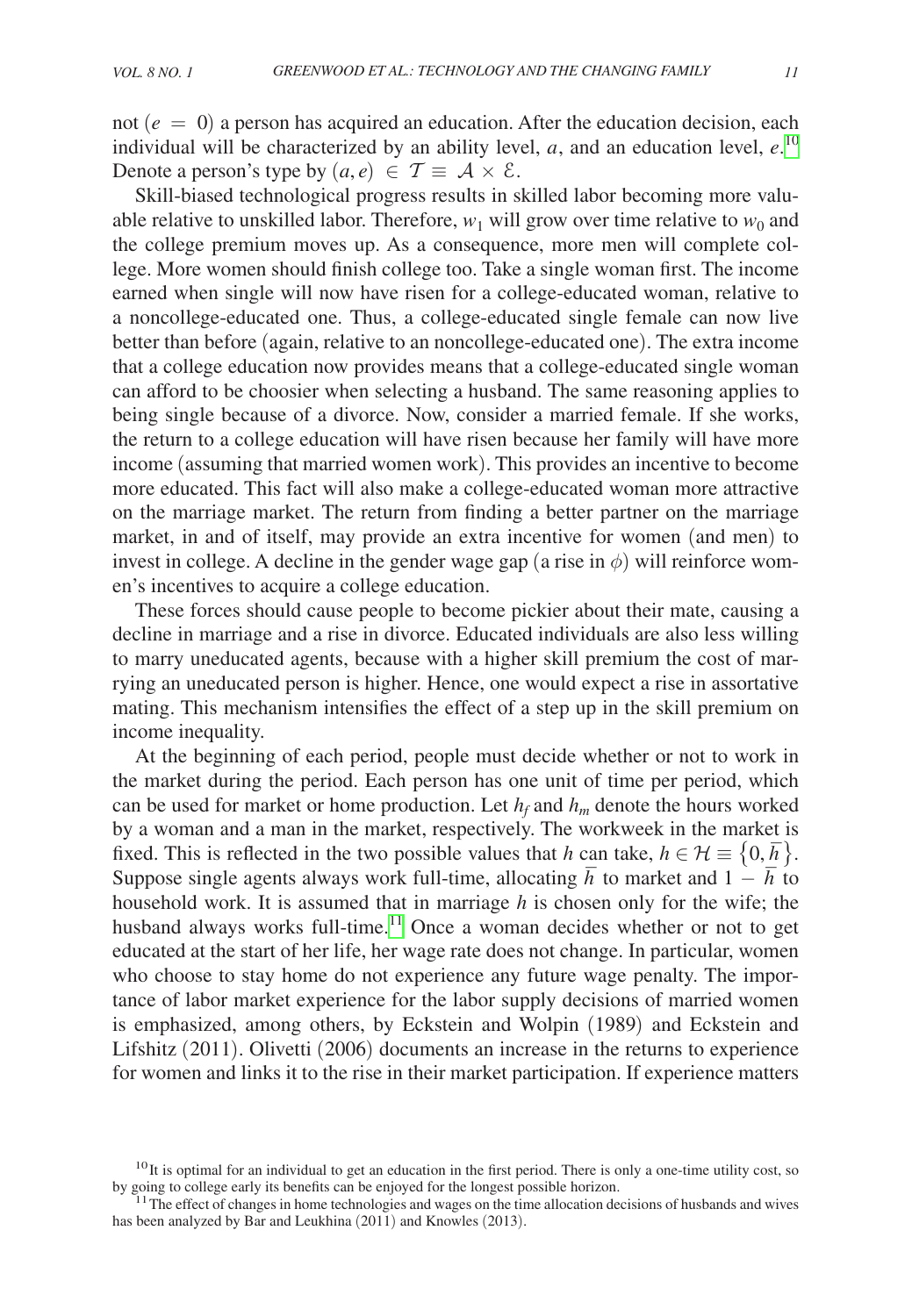not  $(e = 0)$  a person has acquired an education. After the education decision, each individual will be characterized by an ability level,  $a$ , and an education level,  $e^{10}$  $e^{10}$  $e^{10}$ Denote a person's type by  $(a, e) \in \mathcal{T} \equiv \mathcal{A} \times \mathcal{E}$ .

Skill-biased technological progress results in skilled labor becoming more valuable relative to unskilled labor. Therefore,  $w_1$  will grow over time relative to  $w_0$  and the college premium moves up. As a consequence, more men will complete college. More women should finish college too. Take a single woman first. The income earned when single will now have risen for a college-educated woman, relative to a noncollege-educated one. Thus, a college-educated single female can now live better than before (again, relative to an noncollege-educated one). The extra income that a college education now provides means that a college-educated single woman can afford to be choosier when selecting a husband. The same reasoning applies to being single because of a divorce. Now, consider a married female. If she works, the return to a college education will have risen because her family will have more income (assuming that married women work). This provides an incentive to become more educated. This fact will also make a college-educated woman more attractive on the marriage market. The return from finding a better partner on the marriage market, in and of itself, may provide an extra incentive for women (and men) to invest in college. A decline in the gender wage gap (a rise in  $\phi$ ) will reinforce women's incentives to acquire a college education.

These forces should cause people to become pickier about their mate, causing a decline in marriage and a rise in divorce. Educated individuals are also less willing to marry uneducated agents, because with a higher skill premium the cost of marrying an uneducated person is higher. Hence, one would expect a rise in assortative mating. This mechanism intensifies the effect of a step up in the skill premium on income inequality.

At the beginning of each period, people must decide whether or not to work in the market during the period. Each person has one unit of time per period, which can be used for market or home production. Let  $h_f$  and  $h_m$  denote the hours worked by a woman and a man in the market, respectively. The workweek in the market is fixed. This is reflected in the two possible values that *h* can take,  $h \in \mathcal{H} \equiv \{0, \overline{h}\}.$ Suppose single agents always work full-time, allocating  $\overline{h}$  to market and  $1 - \overline{h}$  to household work. It is assumed that in marriage *h* is chosen only for the wife; the husband always works full-time.<sup>[11](#page-10-1)</sup> Once a woman decides whether or not to get educated at the start of her life, her wage rate does not change. In particular, women who choose to stay home do not experience any future wage penalty. The importance of labor market experience for the labor supply decisions of married women is emphasized, among others, by Eckstein and Wolpin (1989) and Eckstein and Lifshitz (2011). Olivetti (2006) documents an increase in the returns to experience for women and links it to the rise in their market participation. If experience matters

<span id="page-10-0"></span> $10$ It is optimal for an individual to get an education in the first period. There is only a one-time utility cost, so by going to college early its benefits can be enjoyed for the longest possible horizon.

<span id="page-10-1"></span> $^{11}$  The effect of changes in home technologies and wages on the time allocation decisions of husbands and wives has been analyzed by Bar and Leukhina (2011) and Knowles (2013).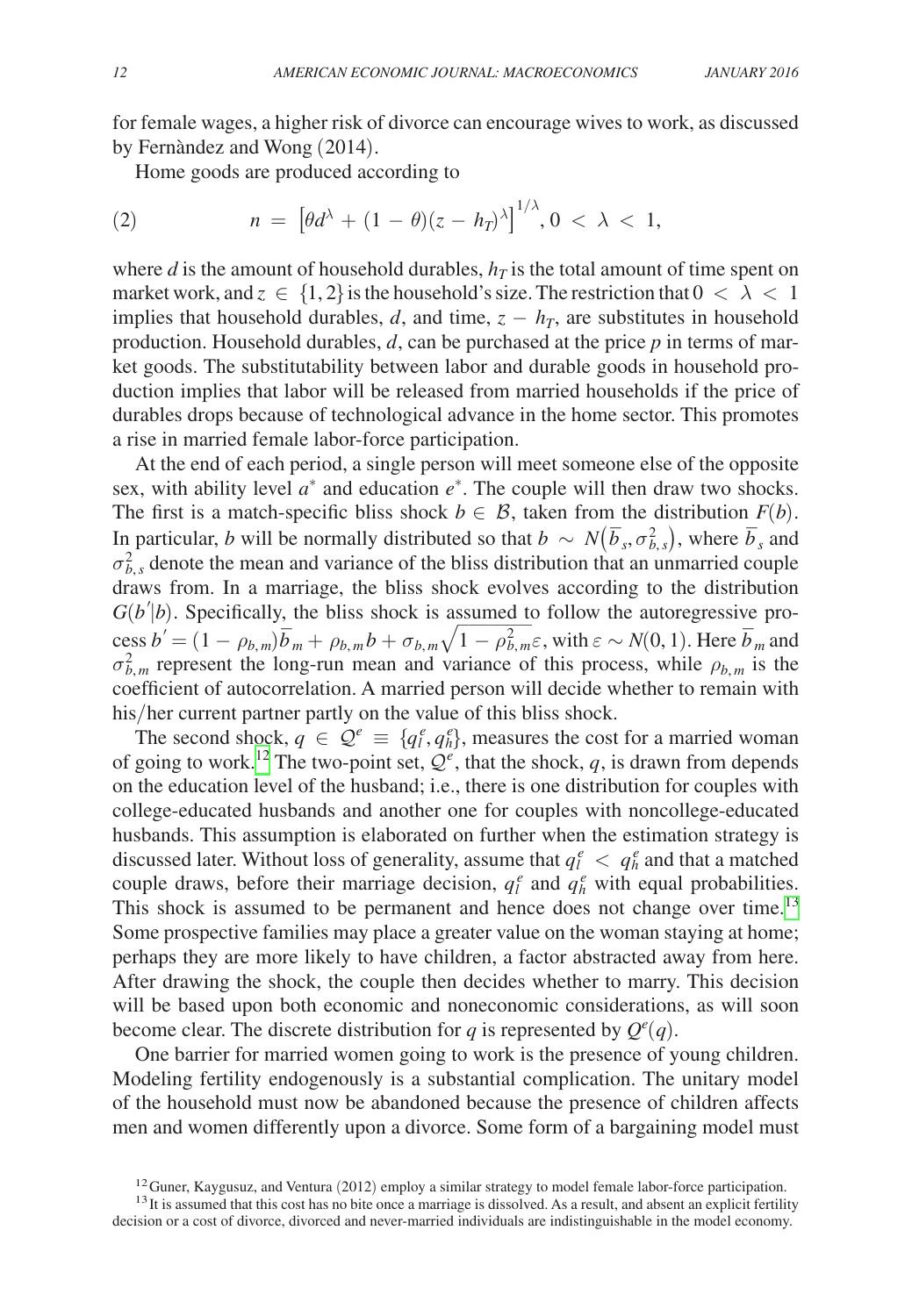for female wages, a higher risk of divorce can encourage wives to work, as discussed by Fernàndez and Wong (2014).

Home goods are produced according to

(2) 
$$
n = \left[\theta d^{\lambda} + (1 - \theta)(z - h_T)^{\lambda}\right]^{1/\lambda}, 0 < \lambda < 1,
$$

where *d* is the amount of household durables,  $h_T$  is the total amount of time spent on market work, and  $z \in \{1, 2\}$  is the household's size. The restriction that  $0 < \lambda < 1$ implies that household durables, *d*, and time,  $z - h<sub>T</sub>$ , are substitutes in household production. Household durables, *d*, can be purchased at the price *p* in terms of market goods. The substitutability between labor and durable goods in household production implies that labor will be released from married households if the price of durables drops because of technological advance in the home sector. This promotes a rise in married female labor-force participation.

At the end of each period, a single person will meet someone else of the opposite sex, with ability level  $a^*$  and education  $e^*$ . The couple will then draw two shocks. The first is a match-specific bliss shock  $b \in \mathcal{B}$ , taken from the distribution  $F(b)$ . In particular, *b* will be normally distributed so that  $b \sim N(\overline{b}_s, \sigma_{b,s}^2)$ , where  $\overline{b}_s$  and  $\sigma_{b,s}^2$  denote the mean and variance of the bliss distribution that an unmarried couple draws from. In a marriage, the bliss shock evolves according to the distribution  $G(b'|b)$ . Specifically, the bliss shock is assumed to follow the autoregressive process  $b' = (1 - \rho_{b,m})\overline{b}_m + \rho_{b,m}b + \sigma_{b,m}\sqrt{1 - \rho_{b,m}^2}\epsilon$ , with  $\varepsilon \sim N(0, 1)$ . Here  $\overline{b}_m$  and  $\sigma_{b,m}^2$  represent the long-run mean and variance of this process, while  $\rho_{b,m}$  is the coefficient of autocorrelation. A married person will decide whether to remain with his/her current partner partly on the value of this bliss shock.

The second shock,  $q \in \mathcal{Q}^e \equiv \{q_l^e, q_h^e\}$ , measures the cost for a married woman of going to work.<sup>12</sup> The two-point set,  $\overline{Q}^e$ , that the shock, *q*, is drawn from depends on the education level of the husband; i.e., there is one distribution for couples with college-educated husbands and another one for couples with noncollege-educated husbands. This assumption is elaborated on further when the estimation strategy is discussed later. Without loss of generality, assume that  $q_l^e < q_h^e$  and that a matched couple draws, before their marriage decision,  $q_l^e$  and  $q_h^e$  with equal probabilities. This shock is assumed to be permanent and hence does not change over time.<sup>13</sup> Some prospective families may place a greater value on the woman staying at home; perhaps they are more likely to have children, a factor abstracted away from here. After drawing the shock, the couple then decides whether to marry. This decision will be based upon both economic and noneconomic considerations, as will soon become clear. The discrete distribution for *q* is represented by  $Q^{e}(q)$ .

One barrier for married women going to work is the presence of young children. Modeling fertility endogenously is a substantial complication. The unitary model of the household must now be abandoned because the presence of children affects men and women differently upon a divorce. Some form of a bargaining model must

<span id="page-11-1"></span><span id="page-11-0"></span><sup>&</sup>lt;sup>12</sup> Guner, Kaygusuz, and Ventura (2012) employ a similar strategy to model female labor-force participation.<br><sup>13</sup> It is assumed that this cost has no bite once a marriage is dissolved. As a result, and absent an explicit

decision or a cost of divorce, divorced and never-married individuals are indistinguishable in the model economy.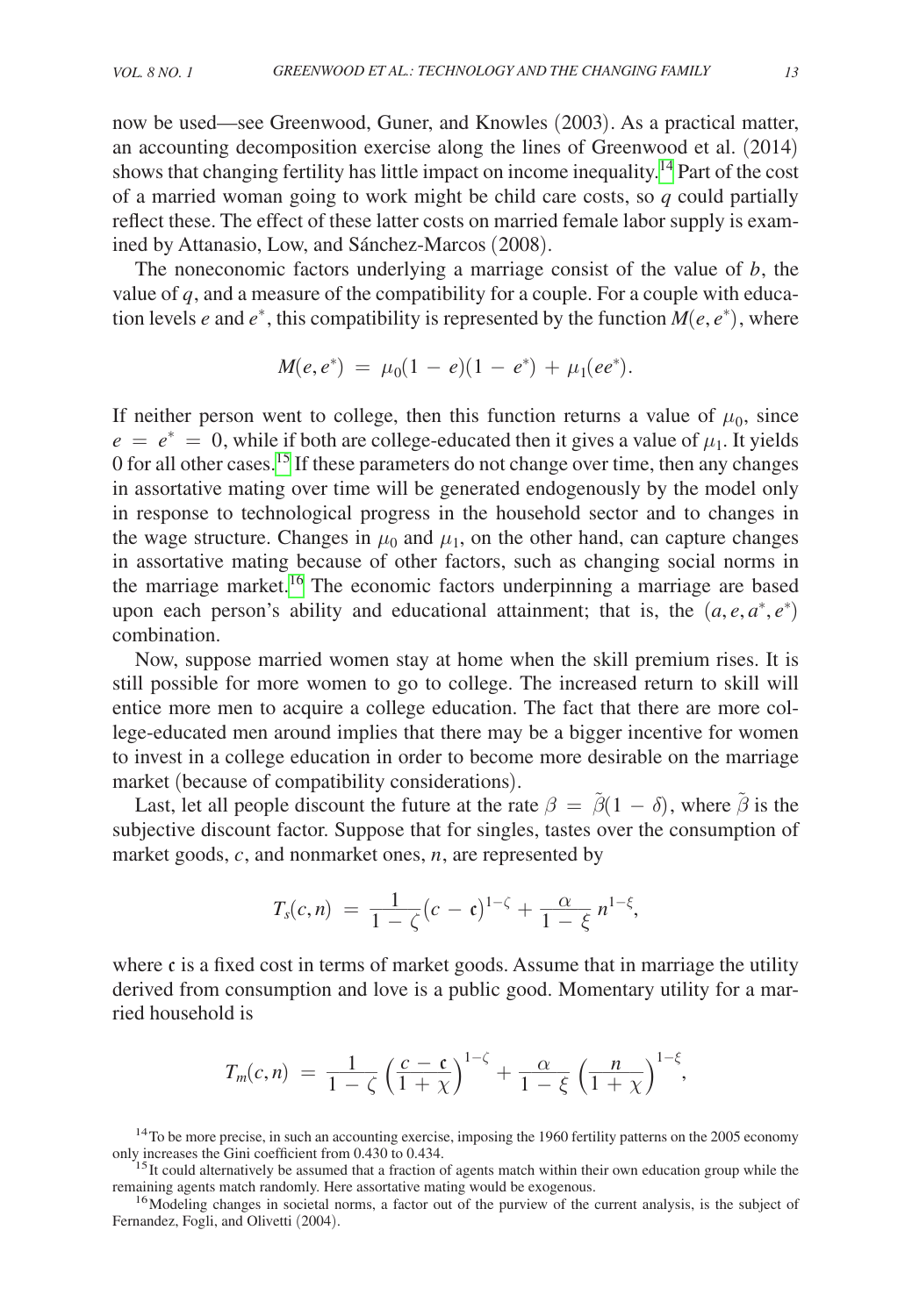now be used—see Greenwood, Guner, and Knowles (2003). As a practical matter, an accounting decomposition exercise along the lines of Greenwood et al. (2014) shows that changing fertility has little impact on income inequality[.14](#page-12-0) Part of the cost of a married woman going to work might be child care costs, so *q* could partially reflect these. The effect of these latter costs on married female labor supply is examined by Attanasio, Low, and Sánchez-Marcos (2008).

The noneconomic factors underlying a marriage consist of the value of *b*, the value of  $q$ , and a measure of the compatibility for a couple. For a couple with education levels *e* and  $e^*$ , this compatibility is represented by the function  $M(e, e^*)$ , where

$$
M(e,e^*) \ = \ \mu_0(1\, - \, e)(1\, - \, e^*) \, + \, \mu_1(ee^*).
$$

If neither person went to college, then this function returns a value of  $\mu_0$ , since  $e = e^* = 0$ , while if both are college-educated then it gives a value of  $\mu_1$ . It yields 0 for all other cases[.15](#page-12-1) If these parameters do not change over time, then any changes in assortative mating over time will be generated endogenously by the model only in response to technological progress in the household sector and to changes in the wage structure. Changes in  $\mu_0$  and  $\mu_1$ , on the other hand, can capture changes in assortative mating because of other factors, such as changing social norms in the marriage market.<sup>16</sup> The economic factors underpinning a marriage are based upon each person's ability and educational attainment; that is, the  $(a, e, a^*, e^*)$ combination.

Now, suppose married women stay at home when the skill premium rises. It is still possible for more women to go to college. The increased return to skill will entice more men to acquire a college education. The fact that there are more college-educated men around implies that there may be a bigger incentive for women to invest in a college education in order to become more desirable on the marriage market (because of compatibility considerations).

Last, let all people discount the future at the rate  $\beta = \beta(1 - \delta)$ , where  $\beta$  is the subjective discount factor. Suppose that for singles, tastes over the consumption of market goods, *c*, and nonmarket ones, *n*, are represented by

$$
T_s(c,n) = \frac{1}{1-\zeta}(c-c)^{1-\zeta} + \frac{\alpha}{1-\xi} n^{1-\xi},
$$

where  $\mathfrak c$  is a fixed cost in terms of market goods. Assume that in marriage the utility derived from consumption and love is a public good. Momentary utility for a married household is

$$
T_m(c,n) = \frac{1}{1-\zeta} \left( \frac{c-c}{1+\chi} \right)^{1-\zeta} + \frac{\alpha}{1-\xi} \left( \frac{n}{1+\chi} \right)^{1-\xi},
$$

<span id="page-12-0"></span><sup>14</sup>To be more precise, in such an accounting exercise, imposing the 1960 fertility patterns on the 2005 economy only increases the Gini coefficient from 0.430 to 0.434.

<span id="page-12-1"></span><sup>&</sup>lt;sup>15</sup> It could alternatively be assumed that a fraction of agents match within their own education group while the remaining agents match randomly. Here assortative mating would be exogenous.<br><sup>16</sup>Modeling changes in societal norms, a factor out of the purview of the current analysis, is the subject of

<span id="page-12-2"></span>Fernandez, Fogli, and Olivetti (2004).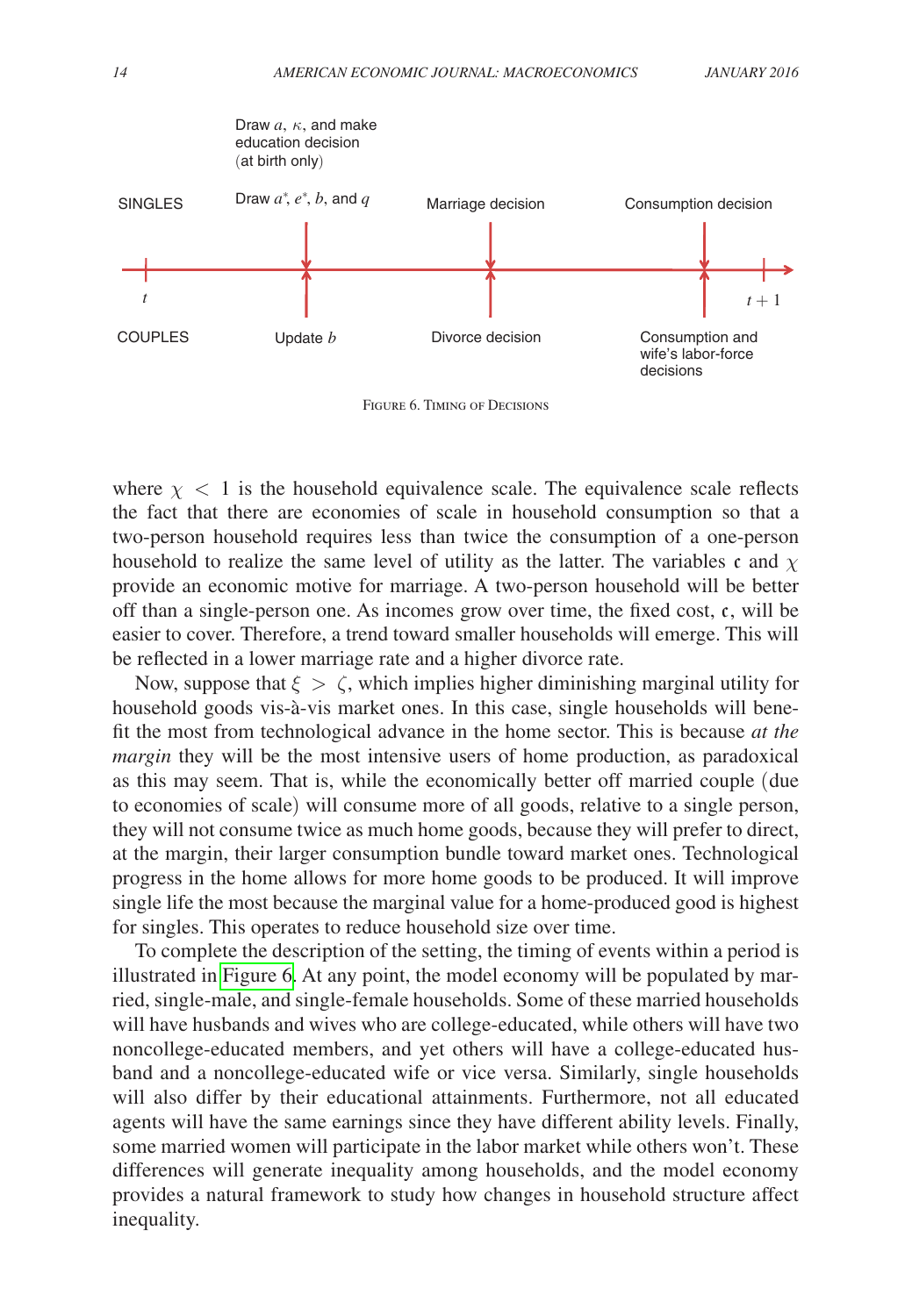

Figure 6. Timing of Decisions

where  $\chi$  < 1 is the household equivalence scale. The equivalence scale reflects the fact that there are economies of scale in household consumption so that a two-person household requires less than twice the consumption of a one-person household to realize the same level of utility as the latter. The variables c and  $\chi$ provide an economic motive for marriage. A two-person household will be better off than a single-person one. As incomes grow over time, the fixed cost,  $c$ , will be easier to cover. Therefore, a trend toward smaller households will emerge. This will be reflected in a lower marriage rate and a higher divorce rate.

Now, suppose that  $\xi > \zeta$ , which implies higher diminishing marginal utility for household goods vis-à-vis market ones. In this case, single households will benefit the most from technological advance in the home sector. This is because *at the margin* they will be the most intensive users of home production, as paradoxical as this may seem. That is, while the economically better off married couple (due to economies of scale) will consume more of all goods, relative to a single person, they will not consume twice as much home goods, because they will prefer to direct, at the margin, their larger consumption bundle toward market ones. Technological progress in the home allows for more home goods to be produced. It will improve single life the most because the marginal value for a home-produced good is highest for singles. This operates to reduce household size over time.

To complete the description of the setting, the timing of events within a period is illustrated in Figure 6. At any point, the model economy will be populated by married, single-male, and single-female households. Some of these married households will have husbands and wives who are college-educated, while others will have two noncollege-educated members, and yet others will have a college-educated husband and a noncollege-educated wife or vice versa. Similarly, single households will also differ by their educational attainments. Furthermore, not all educated agents will have the same earnings since they have different ability levels. Finally, some married women will participate in the labor market while others won't. These differences will generate inequality among households, and the model economy provides a natural framework to study how changes in household structure affect inequality.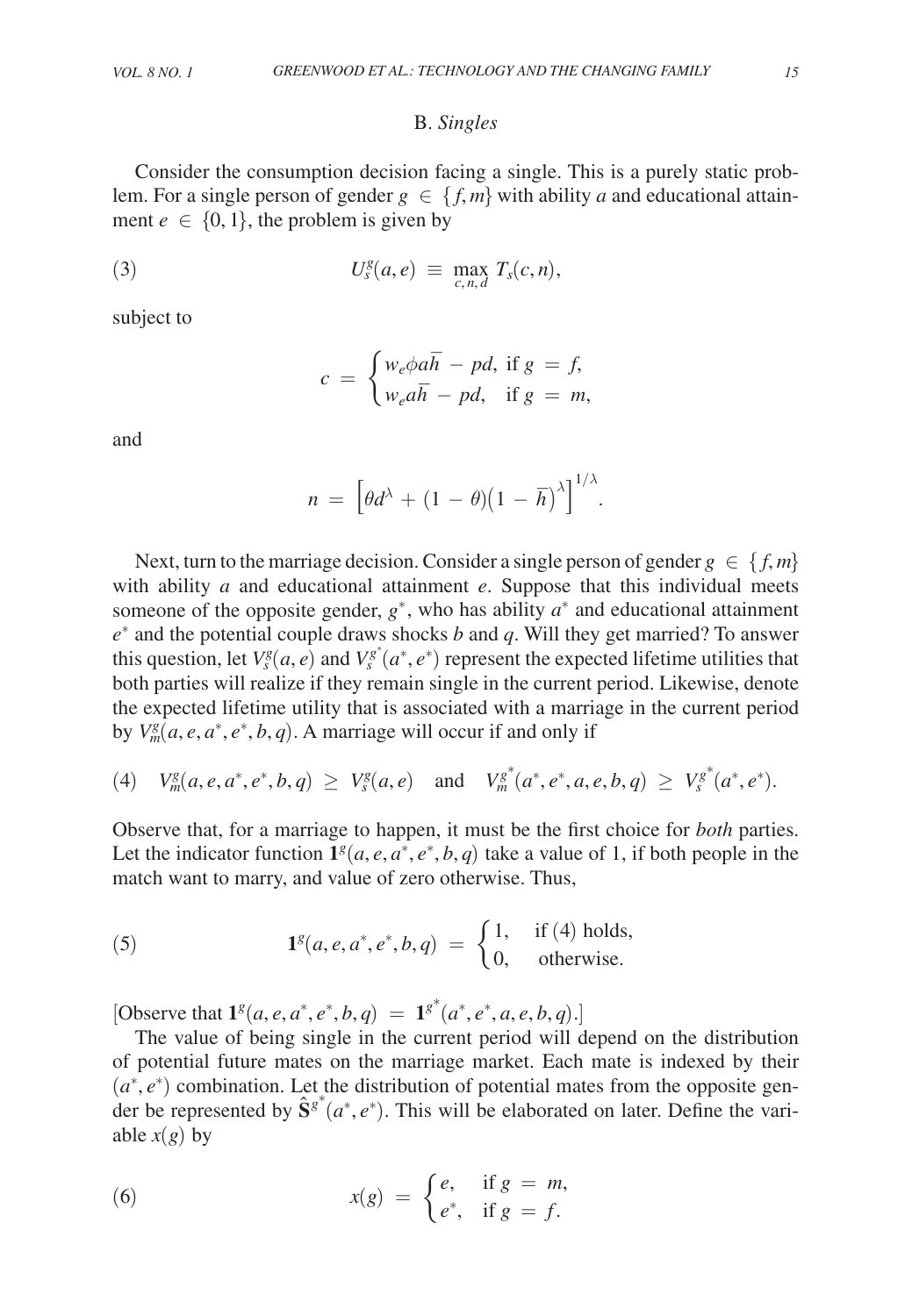#### B. *Singles*

Consider the consumption decision facing a single. This is a purely static problem. For a single person of gender  $g \in \{f, m\}$  with ability *a* and educational attainment  $e \in \{0, 1\}$ , the problem is given by

(3) 
$$
U_s^g(a,e) \equiv \max_{c,n,d} T_s(c,n),
$$

subject to

$$
c = \begin{cases} w_e \phi a \overline{h} - pd, \text{ if } g = f, \\ w_e a \overline{h} - pd, \text{ if } g = m, \end{cases}
$$

and

$$
n = \left[\theta d^{\lambda} + (1 - \theta)(1 - \overline{h})^{\lambda}\right]^{1/\lambda}.
$$

Next, turn to the marriage decision. Consider a single person of gender  $g \in \{f, m\}$ with ability *a* and educational attainment *e*. Suppose that this individual meets someone of the opposite gender,  $g^*$ , who has ability  $a^*$  and educational attainment *e*∗ and the potential couple draws shocks *b* and *q*. Will they get married? To answer this question, let  $V_s^g(a, e)$  and  $V_s^{g^*}(a^*, e^*)$  represent the expected lifetime utilities that both parties will realize if they remain single in the current period. Likewise, denote the expected lifetime utility that is associated with a marriage in the current period by  $V_m^g(a, e, a^*, e^*, b, q)$ . A marriage will occur if and only if

$$
(4) \quad V_m^g(a,e,a^*,e^*,b,q) \ \geq \ V_s^g(a,e) \quad \text{and} \quad V_m^{g^*}(a^*,e^*,a,e,b,q) \ \geq \ V_s^{g^*}(a^*,e^*).
$$

Observe that, for a marriage to happen, it must be the first choice for *both* parties. Let the indicator function  $\mathbf{1}^g(a, e, a^*, e^*, b, q)$  take a value of 1, if both people in the match want to marry, and value of zero otherwise. Thus,

(5) 
$$
1^{g}(a, e, a^{*}, e^{*}, b, q) = \begin{cases} 1, & \text{if (4) holds,} \\ 0, & \text{otherwise.} \end{cases}
$$

[Observe that  $\mathbf{1}^g(a, e, a^*, e^*, b, q) = \mathbf{1}^{g^*}(a^*, e^*, a, e, b, q)$ .]

The value of being single in the current period will depend on the distribution of potential future mates on the marriage market. Each mate is indexed by their (*a*<sup>∗</sup>, *e*<sup>∗</sup>) combination. Let the distribution of potential mates from the opposite gender be represented by  $\hat{S}^{g^*}(a^*, e^*)$ . This will be elaborated on later. Define the variable  $x(g)$  by

(6) 
$$
x(g) = \begin{cases} e, & \text{if } g = m, \\ e^*, & \text{if } g = f. \end{cases}
$$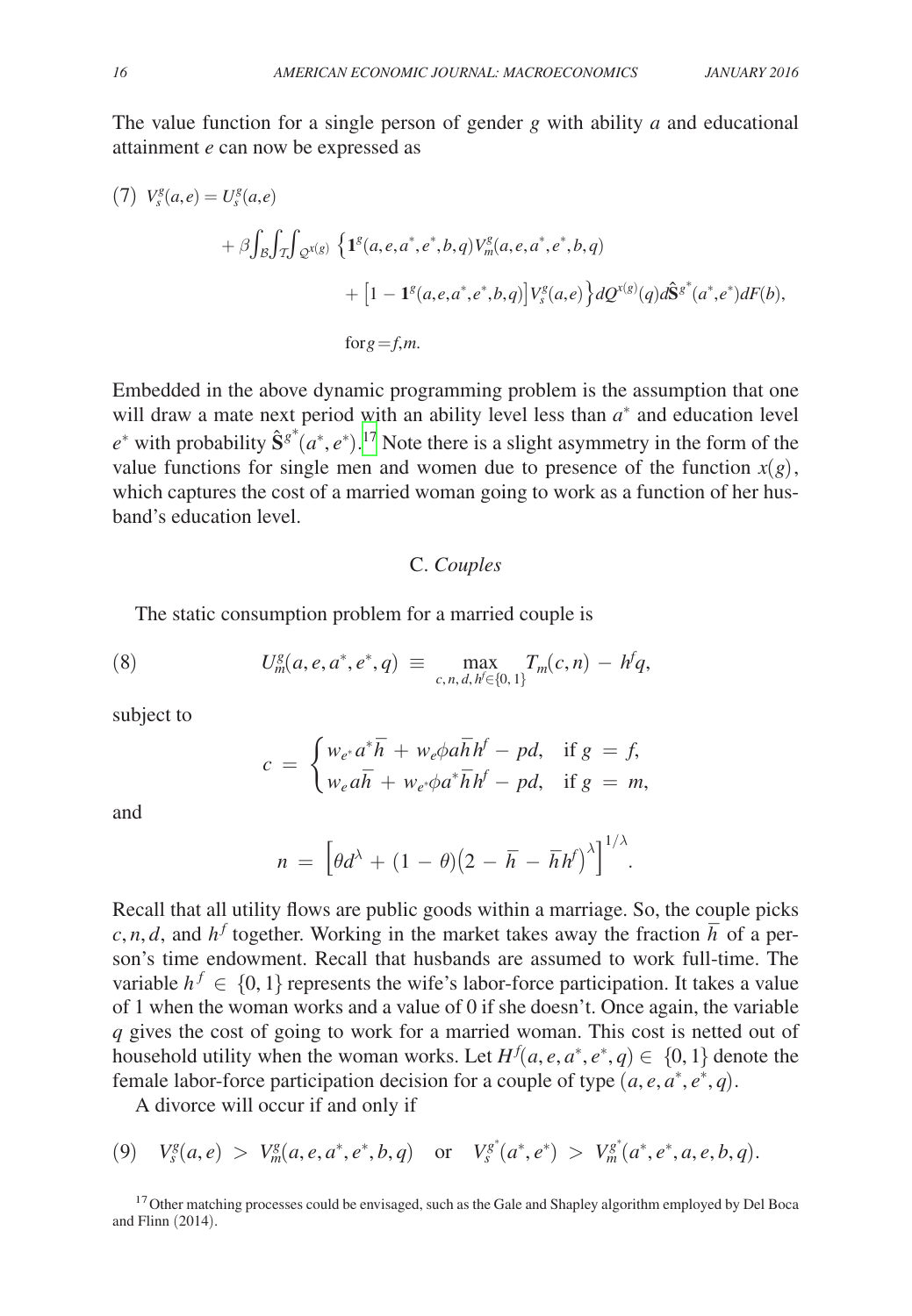The value function for a single person of gender *g* with ability *a* and educational attainment *e* can now be expressed as

(7) 
$$
V_s^g(a,e) = U_s^g(a,e)
$$
  
\n
$$
+ \beta \int_B \int_{\mathcal{T}} \int_{\mathcal{Q}^{X(g)}} \left\{ \mathbf{1}^g(a,e,a^*,e^*,b,q) V_m^g(a,e,a^*,e^*,b,q) \right. \\ \left. + \left[1 - \mathbf{1}^g(a,e,a^*,e^*,b,q) \right] V_s^g(a,e) \right\} dQ^{X(g)}(q) d\hat{S}^{g^*}(a^*,e^*) dF(b),
$$
\nfor  $g = f,m$ .

Embedded in the above dynamic programming problem is the assumption that one will draw a mate next period with an ability level less than  $a^*$  and education level  $e^*$  with probability  $\hat{S}^{g^*}(a^*, e^*)$ .<sup>17</sup> Note there is a slight asymmetry in the form of the value functions for single men and women due to presence of the function  $x(g)$ , which captures the cost of a married woman going to work as a function of her husband's education level.

# C. *Couples*

The static consumption problem for a married couple is

(8) 
$$
U_m^g(a, e, a^*, e^*, q) \equiv \max_{c, n, d, h' \in \{0, 1\}} T_m(c, n) - h'q,
$$

subject to

subject to  
\n
$$
c = \begin{cases} w_{e^*} a^* \overline{h} + w_e \phi a \overline{h} h^f - p d, & \text{if } g = f, \\ w_e a \overline{h} + w_{e^*} \phi a^* \overline{h} h^f - p d, & \text{if } g = m, \end{cases}
$$

and

$$
n = \left[\theta d^{\lambda} + (1 - \theta)(2 - \overline{h} - \overline{h}h^{\prime})^{\lambda}\right]^{1/\lambda}.
$$

Recall that all utility flows are public goods within a marriage. So, the couple picks *c*, *n*, *d*, and *h*<sup>*f*</sup> together. Working in the market takes away the fraction  $\overline{h}$  of a person's time endowment. Recall that husbands are assumed to work full-time. The variable  $h^f \in \{0, 1\}$  represents the wife's labor-force participation. It takes a value of 1 when the woman works and a value of 0 if she doesn't. Once again, the variable *q* gives the cost of going to work for a married woman. This cost is netted out of household utility when the woman works. Let  $H^f(a, e, a^*, e^*, q) \in \{0, 1\}$  denote the female labor-force participation decision for a couple of type  $(a, e, a^*, e^*, q)$ .

A divorce will occur if and only if

$$
(9) \quad V_s^g(a,e) > V_m^g(a,e,a^*,e^*,b,q) \quad \text{or} \quad V_s^{g^*}(a^*,e^*) > V_m^{g^*}(a^*,e^*,a,e,b,q).
$$

<span id="page-15-0"></span><sup>&</sup>lt;sup>17</sup> Other matching processes could be envisaged, such as the Gale and Shapley algorithm employed by Del Boca and Flinn (2014).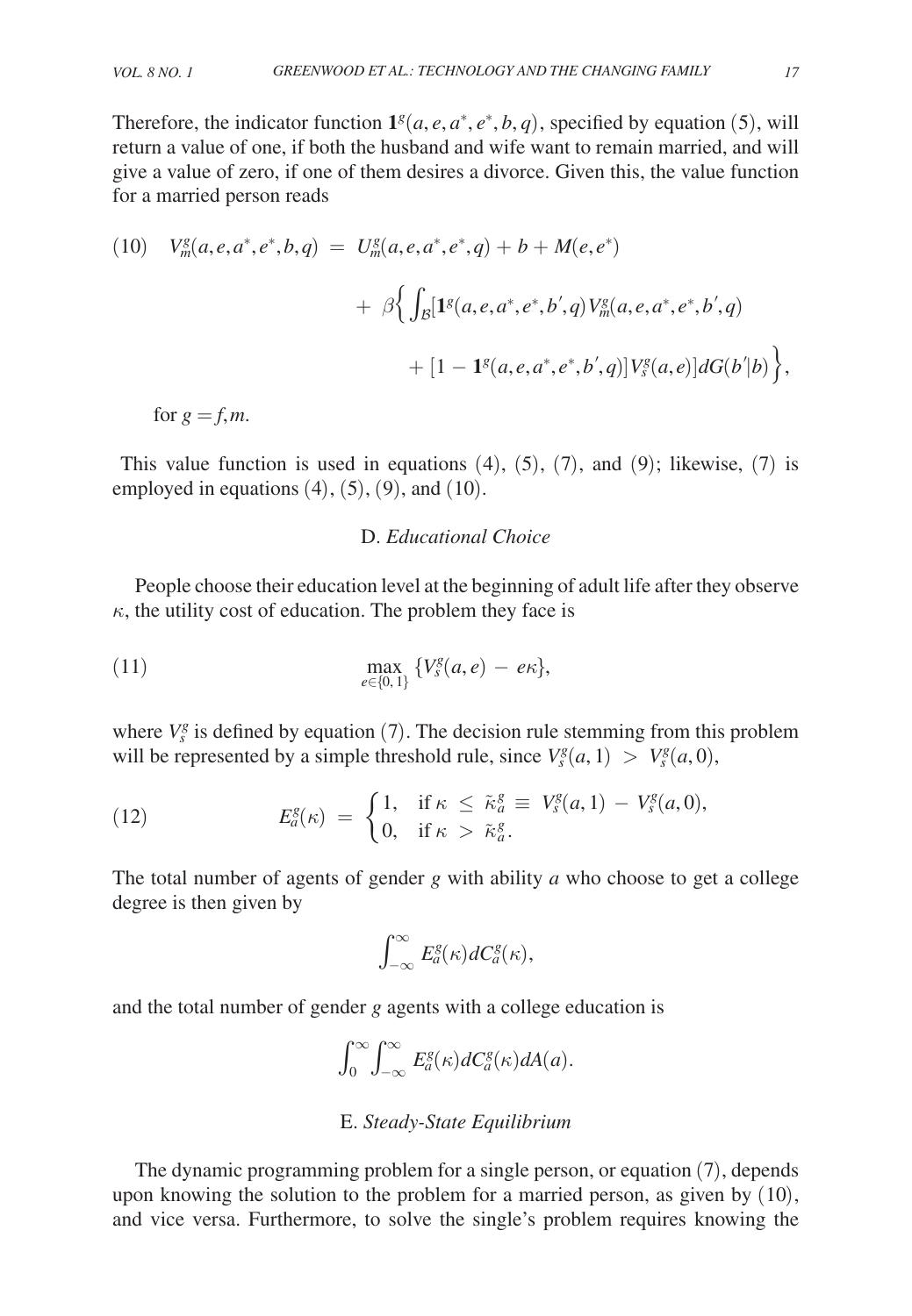Therefore, the indicator function  $\mathbf{1}^g(a, e, a^*, e^*, b, q)$ , specified by equation (5), will return a value of one, if both the husband and wife want to remain married, and will give a value of zero, if one of them desires a divorce. Given this, the value function for a married person reads

(10) 
$$
V_m^g(a, e, a^*, e^*, b, q) = U_m^g(a, e, a^*, e^*, q) + b + M(e, e^*)
$$
  
+  $\beta \Big\{ \int_{B} [1^g(a, e, a^*, e^*, b', q) V_m^g(a, e, a^*, e^*, b', q) + [1 - 1^g(a, e, a^*, e^*, b', q)] V_s^g(a, e)] dG(b'|b) \Big\},$ 

for  $g = f, m$ .

This value function is used in equations  $(4)$ ,  $(5)$ ,  $(7)$ , and  $(9)$ ; likewise,  $(7)$  is employed in equations  $(4)$ ,  $(5)$ ,  $(9)$ , and  $(10)$ .

# D. *Educational Choice*

People choose their education level at the beginning of adult life after they observe  $\kappa$ , the utility cost of education. The problem they face is

(11) 
$$
\max_{e \in \{0,1\}} \{V_s^g(a,e) - e\kappa\},\
$$

where  $V_s^g$  is defined by equation (7). The decision rule stemming from this problem

will be represented by a simple threshold rule, since 
$$
V_s^g(a, 1) > V_s^g(a, 0)
$$
,  
\n(12) 
$$
E_a^g(\kappa) = \begin{cases} 1, & \text{if } \kappa \leq \tilde{\kappa}_a^g \equiv V_s^g(a, 1) - V_s^g(a, 0), \\ 0, & \text{if } \kappa > \tilde{\kappa}_a^g. \end{cases}
$$

The total number of agents of gender *g* with ability *a* who choose to get a college degree is then given by

$$
\int_{-\infty}^{\infty} E_a^g(\kappa) dC_a^g(\kappa),
$$

and the total number of gender *g* agents with a college education is

$$
\int_0^\infty \int_{-\infty}^\infty E_a^g(\kappa) dC_a^g(\kappa) dA(a).
$$

## E. *Steady-State Equilibrium*

The dynamic programming problem for a single person, or equation (7), depends upon knowing the solution to the problem for a married person, as given by (10), and vice versa. Furthermore, to solve the single's problem requires knowing the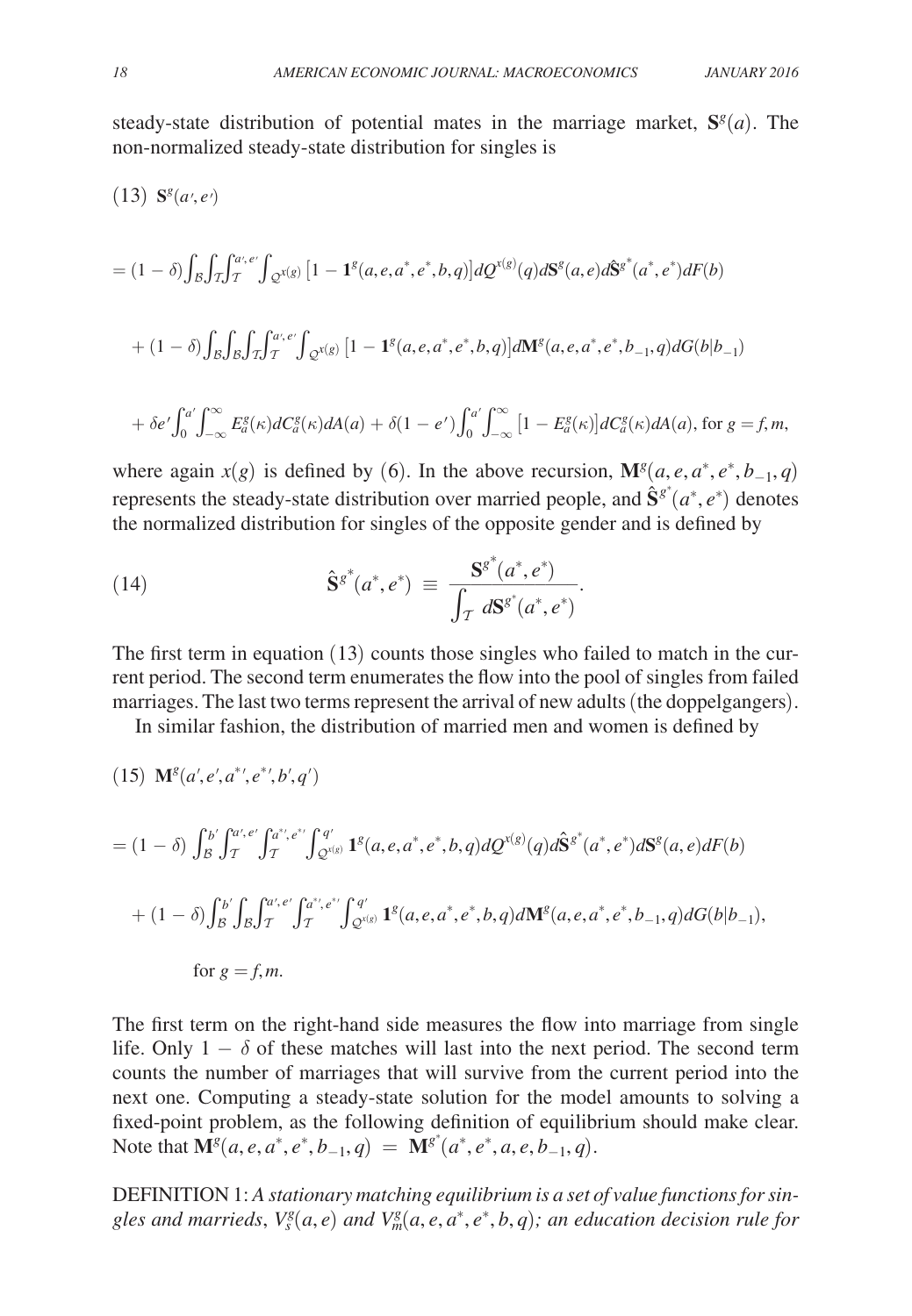steady-state distribution of potential mates in the marriage market,  $S^g(a)$ . The non-normalized steady-state distribution for singles is

$$
(13) \mathbf{S}^{g}(a',e')
$$
  
=  $(1 - \delta) \int_{\mathcal{B}} \int_{\mathcal{T}} \int_{\mathcal{T}}^{a',e'} \int_{\mathcal{Q}^{X}(g)} [1 - \mathbf{1}^{g}(a,e,a^*,e^*,b,q)] d\mathcal{Q}^{X(g)}(q) d\mathbf{S}^{g}(a,e) d\mathbf{\hat{S}}^{g^*}(a^*,e^*) dF(b)$   
+  $(1 - \delta) \int_{\mathcal{B}} \int_{\mathcal{B}} \int_{\mathcal{T}} \int_{\mathcal{T}}^{a,e'} \int_{\mathcal{Q}^{X}(g)} [1 - \mathbf{1}^{g}(a,e,a^*,e^*,b,q)] d\mathbf{M}^{g}(a,e,a^*,e^*,b_{-1},q) dG(b|b_{-1})$   
+  $\delta e' \int_{0}^{a'} \int_{-\infty}^{\infty} E_{a}^{g}(\kappa) dC_{a}^{g}(\kappa) dA(a) + \delta (1 - e') \int_{0}^{a'} \int_{-\infty}^{\infty} [1 - E_{a}^{g}(\kappa)] dC_{a}^{g}(\kappa) dA(a), \text{ for } g = f, m,$ 

where again  $x(g)$  is defined by (6). In the above recursion,  $\mathbf{M}^g(a, e, a^*, e^*, b_{-1}, q)$ represents the steady-state distribution over married people, and  $\hat{S}^{g^*}(a^*, e^*)$  denotes the normalized distribution for singles of the opposite gender and is defined by

(14) 
$$
\hat{\mathbf{S}}^{g^*}(a^*, e^*) \equiv \frac{\mathbf{S}^{g^*}(a^*, e^*)}{\int_{\mathcal{T}} d\mathbf{S}^{g^*}(a^*, e^*)}.
$$

The first term in equation (13) counts those singles who failed to match in the current period. The second term enumerates the flow into the pool of singles from failed marriages. The last two terms represent the arrival of new adults (the doppelgangers).

In similar fashion, the distribution of married men and women is defined by

(15) 
$$
\mathbf{M}^{g}(a', e', a^{*}, e^{*}, b', q')
$$
  
\n
$$
= (1 - \delta) \int_{\mathcal{B}}^{b'} \int_{\mathcal{T}}^{a', e'} \int_{\mathcal{T}}^{a^{*}, e^{*}} \int_{\mathcal{Q}^{x(g)}}^{q'} \mathbf{1}^{g}(a, e, a^{*}, e^{*}, b, q) d\mathcal{Q}^{x(g)}(q) d\hat{S}^{g^{*}}(a^{*}, e^{*}) dS^{g}(a, e) dF(b)
$$
  
\n
$$
+ (1 - \delta) \int_{\mathcal{B}}^{b'} \int_{\mathcal{B}} \int_{\mathcal{T}}^{a', e'} \int_{\mathcal{T}}^{a'', e^{*}} \int_{\mathcal{Q}^{x(g)}}^{q'} \mathbf{1}^{g}(a, e, a^{*}, e^{*}, b, q) d\mathbf{M}^{g}(a, e, a^{*}, e^{*}, b_{-1}, q) dG(b|b_{-1}),
$$
  
\nfor  $g = f, m$ .

The first term on the right-hand side measures the flow into marriage from single life. Only  $1 - \delta$  of these matches will last into the next period. The second term counts the number of marriages that will survive from the current period into the next one. Computing a steady-state solution for the model amounts to solving a fixed-point problem, as the following definition of equilibrium should make clear. Note that  $\mathbf{M}^{g}(a, e, a^*, e^*, b_{-1}, q) = \mathbf{M}^{g^*}(a^*, e^*, a, e, b_{-1}, q)$ .

DEFINITION 1: A stationary matching equilibrium is a set of value functions for singles and marrieds,  $V_s^g(a, e)$  and  $V_m^g(a, e, a^*, e^*, b, q)$ ; an education decision rule for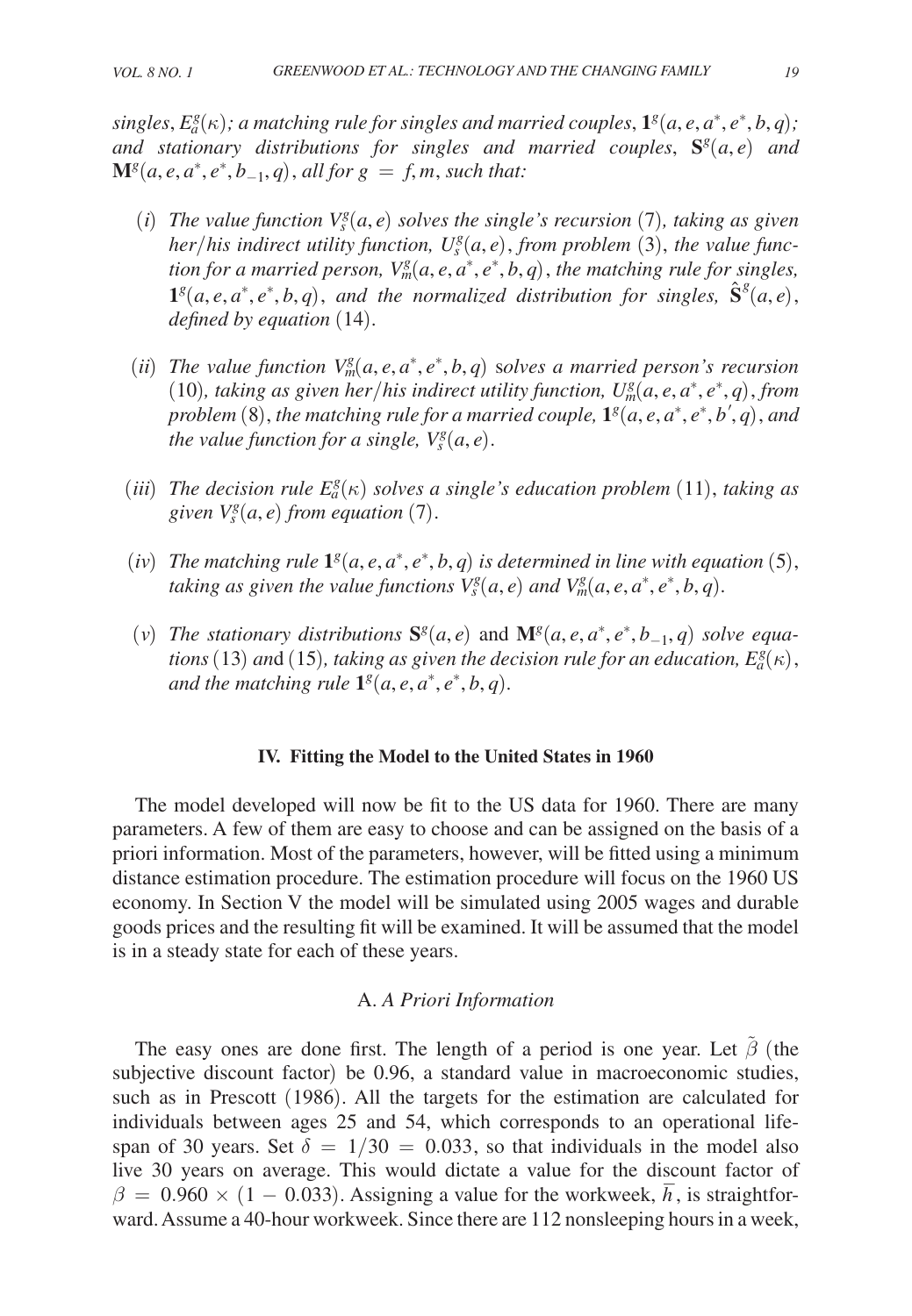$\sigma$  *singles*,  $E^g_a(\kappa)$ ; a matching rule for singles and married couples,  $\mathbf{1}^g(a,e,a^*,e^*,b,q)$ ; *and stationary distributions for singles and married couples*, **S***<sup>g</sup>* (*a*, *e*) *and*  ${\bf M}^{g}(a, e, a^*, e^*, b_{-1}, q)$ , *all for*  $g = f, m$ , *such that:* 

- (*i*) The value function  $V_s^g(a, e)$  solves the single's recursion (7), taking as given *her*/*his indirect utility function,*  $U_s^g(a, e)$ *, from problem* (3), the value func*tion for a married person,*  $V_m^g(a, e, a^*, e^*, b, q)$ , the matching rule for singles,  $\mathbf{1}^g(a, e, a^*, e^*, b, q)$ , and the normalized distribution for singles,  $\hat{\mathbf{S}}^g(a, e)$ , *defined by equation* (14).
- (*ii*) *The value function*  $V_m^g(a, e, a^*, e^*, b, q)$  solves a married person's recursion (10), taking as given her/his indirect utility function,  $U_m^g(a, e, a^*, e^*, q)$ , from *problem*  $(8)$ , *the matching rule for a married couple,*  $\mathbf{1}^g(a,e,a^*,e^*,b',q)$ , and *the value function for a single,*  $V_s^g(a, e)$ .
- (*iii*) *The decision rule*  $E^g_a(\kappa)$  *solves a single's education problem* (11), *taking as* given  $V_s^g(a, e)$  from equation (7).
- (*iv*) The matching rule  $\mathbf{1}^g(a, e, a^*, e^*, b, q)$  is determined in line with equation (5), *taking as given the value functions*  $V_s^g(a,e)$  *and*  $V_m^g(a,e,a^*,e^*,b,q)$ .
- (*v*) *The stationary distributions*  $S^g(a, e)$  and  $M^g(a, e, a^*, e^*, b_{-1}, q)$  *solve equations* (13) *an*d (15), *taking as given the decision rule for an education,*  $E^g_a(\kappa)$ , *and the matching rule*  $\mathbf{1}^g(a, e, a^*, e^*, b, q)$ .

#### **IV. Fitting the Model to the United States in 1960**

The model developed will now be fit to the US data for 1960. There are many parameters. A few of them are easy to choose and can be assigned on the basis of a priori information. Most of the parameters, however, will be fitted using a minimum distance estimation procedure. The estimation procedure will focus on the 1960 US economy. In Section V the model will be simulated using 2005 wages and durable goods prices and the resulting fit will be examined. It will be assumed that the model is in a steady state for each of these years.

## A. *A Priori Information*

The easy ones are done first. The length of a period is one year. Let  $\beta$  (the subjective discount factor) be 0.96, a standard value in macroeconomic studies, such as in Prescott (1986). All the targets for the estimation are calculated for individuals between ages 25 and 54, which corresponds to an operational lifespan of 30 years. Set  $\delta = 1/30 = 0.033$ , so that individuals in the model also live 30 years on average. This would dictate a value for the discount factor of  $\beta = 0.960 \times (1 - 0.033)$ . Assigning a value for the workweek,  $\overline{h}$ , is straightforward. Assume a 40-hour workweek. Since there are 112 nonsleeping hours in a week,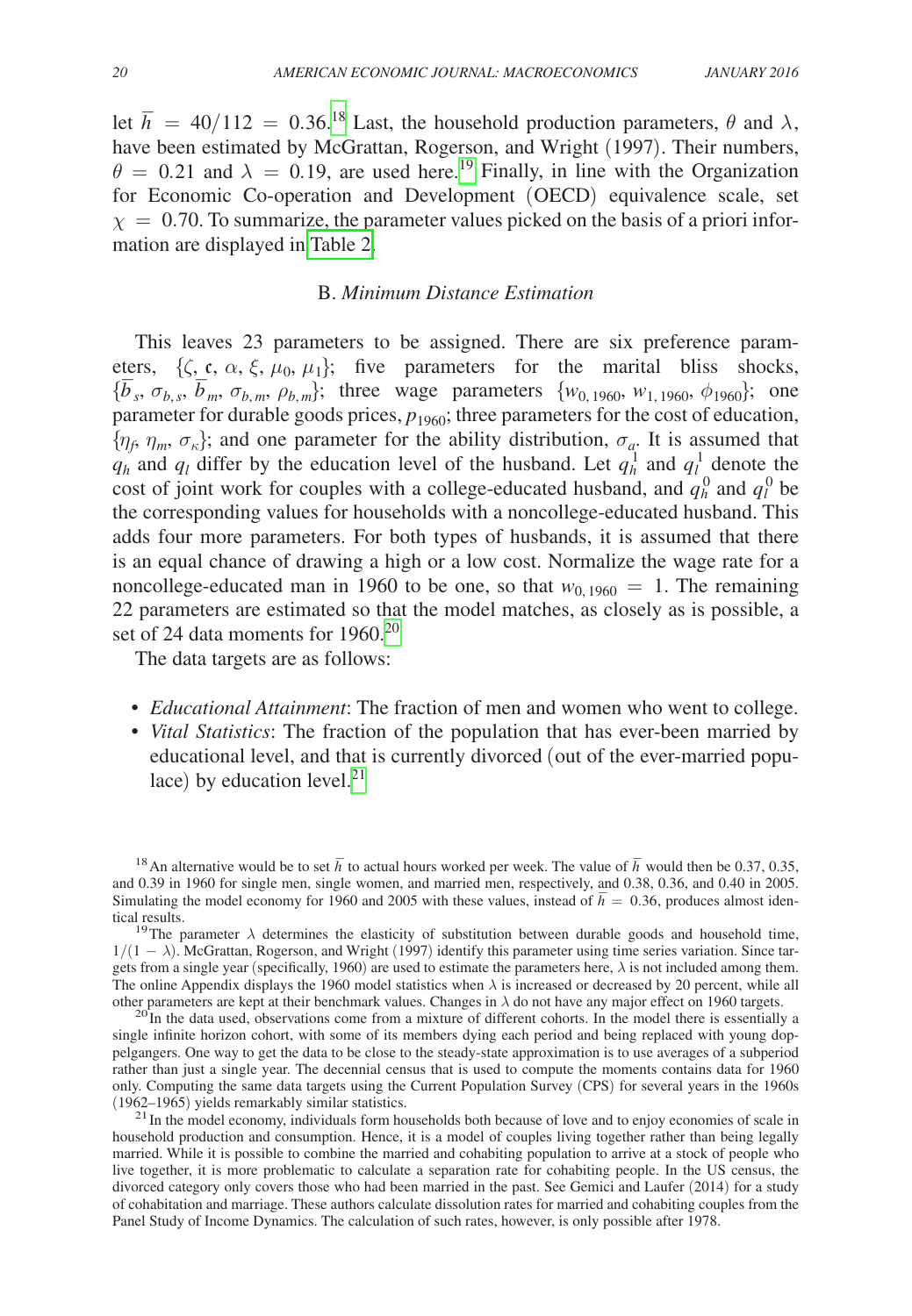let  $\bar{h} = 40/112 = 0.36$ <sup>[18](#page-19-0)</sup> Last, the household production parameters,  $\theta$  and  $\lambda$ , have been estimated by McGrattan, Rogerson, and Wright (1997). Their numbers,  $\theta = 0.21$  and  $\lambda = 0.19$ , are used here.<sup>19</sup> Finally, in line with the Organization for Economic Co-operation and Development (OECD) equivalence scale, set  $\chi = 0.70$ . To summarize, the parameter values picked on the basis of a priori information are displayed in [Table 2.](#page-20-0)

#### B. *Minimum Distance Estimation*

This leaves 23 parameters to be assigned. There are six preference parameters,  $\{\zeta, \mathbf{c}, \alpha, \xi, \mu_0, \mu_1\};$  five parameters for the marital bliss shocks,  ${\{\overline{b}_s, \sigma_{b,s}, \overline{b}_m, \sigma_{b,m}, \rho_{b,m}\}}$ ; three wage parameters  $\{w_{0,1960}, w_{1,1960}, \phi_{1960}\}$ ; one parameter for durable goods prices,  $p_{1960}$ ; three parameters for the cost of education,  $\{\eta_f, \eta_m, \sigma_\kappa\}$ ; and one parameter for the ability distribution,  $\sigma_a$ . It is assumed that  $q_h$  and  $q_l$  differ by the education level of the husband. Let  $q_h^1$  and  $q_l^1$  denote the cost of joint work for couples with a college-educated husband, and  $q_h^0$  and  $q_l^0$  be the corresponding values for households with a noncollege-educated husband. This adds four more parameters. For both types of husbands, it is assumed that there is an equal chance of drawing a high or a low cost. Normalize the wage rate for a noncollege-educated man in 1960 to be one, so that  $w_{0.1960} = 1$ . The remaining 22 parameters are estimated so that the model matches, as closely as is possible, a set of 24 data moments for  $1960.<sup>20</sup>$ 

The data targets are as follows:

- *Educational Attainment*: The fraction of men and women who went to college.
- *Vital Statistics*: The fraction of the population that has ever-been married by educational level, and that is currently divorced (out of the ever-married populace) by education level. $^{21}$  $^{21}$  $^{21}$

<span id="page-19-2"></span> $^{20}$ In the data used, observations come from a mixture of different cohorts. In the model there is essentially a single infinite horizon cohort, with some of its members dying each period and being replaced with young doppelgangers. One way to get the data to be close to the steady-state approximation is to use averages of a subperiod rather than just a single year. The decennial census that is used to compute the moments contains data for 1960 only. Computing the same data targets using the Current Population Survey (CPS) for several years in the 1960s

<span id="page-19-3"></span><sup>21</sup> In the model economy, individuals form households both because of love and to enjoy economies of scale in household production and consumption. Hence, it is a model of couples living together rather than being legally married. While it is possible to combine the married and cohabiting population to arrive at a stock of people who live together, it is more problematic to calculate a separation rate for cohabiting people. In the US census, the divorced category only covers those who had been married in the past. See Gemici and Laufer (2014) for a study of cohabitation and marriage. These authors calculate dissolution rates for married and cohabiting couples from the Panel Study of Income Dynamics. The calculation of such rates, however, is only possible after 1978.

<span id="page-19-0"></span><sup>&</sup>lt;sup>18</sup> An alternative would be to set  $\overline{h}$  to actual hours worked per week. The value of  $\overline{h}$  would then be 0.37, 0.35, and 0.39 in 1960 for single men, single women, and married men, respectively, and 0.38, 0.36, and 0.40 in 2005. Simulating the model economy for 1960 and 2005 with these values, instead of  $\bar{h} = 0.36$ , produces almost iden-<br>Simulating the model economy for 1960 and 2005 with these values, instead of  $\bar{h} = 0.36$ , produces almost tical results.<br><sup>19</sup>The parameter  $\lambda$  determines the elasticity of substitution between durable goods and household time,

<span id="page-19-1"></span> $1/(1 - \lambda)$ . McGrattan, Rogerson, and Wright (1997) identify this parameter using time series variation. Since targets from a single year (specifically, 1960) are used to estimate the parameters here,  $\lambda$  is not included among them. The online Appendix displays the 1960 model statistics when  $\lambda$  is increased or decreased by 20 percent, while all other parameters are kept at their benchmark values. Changes in  $\lambda$  do not have any major effect on 1960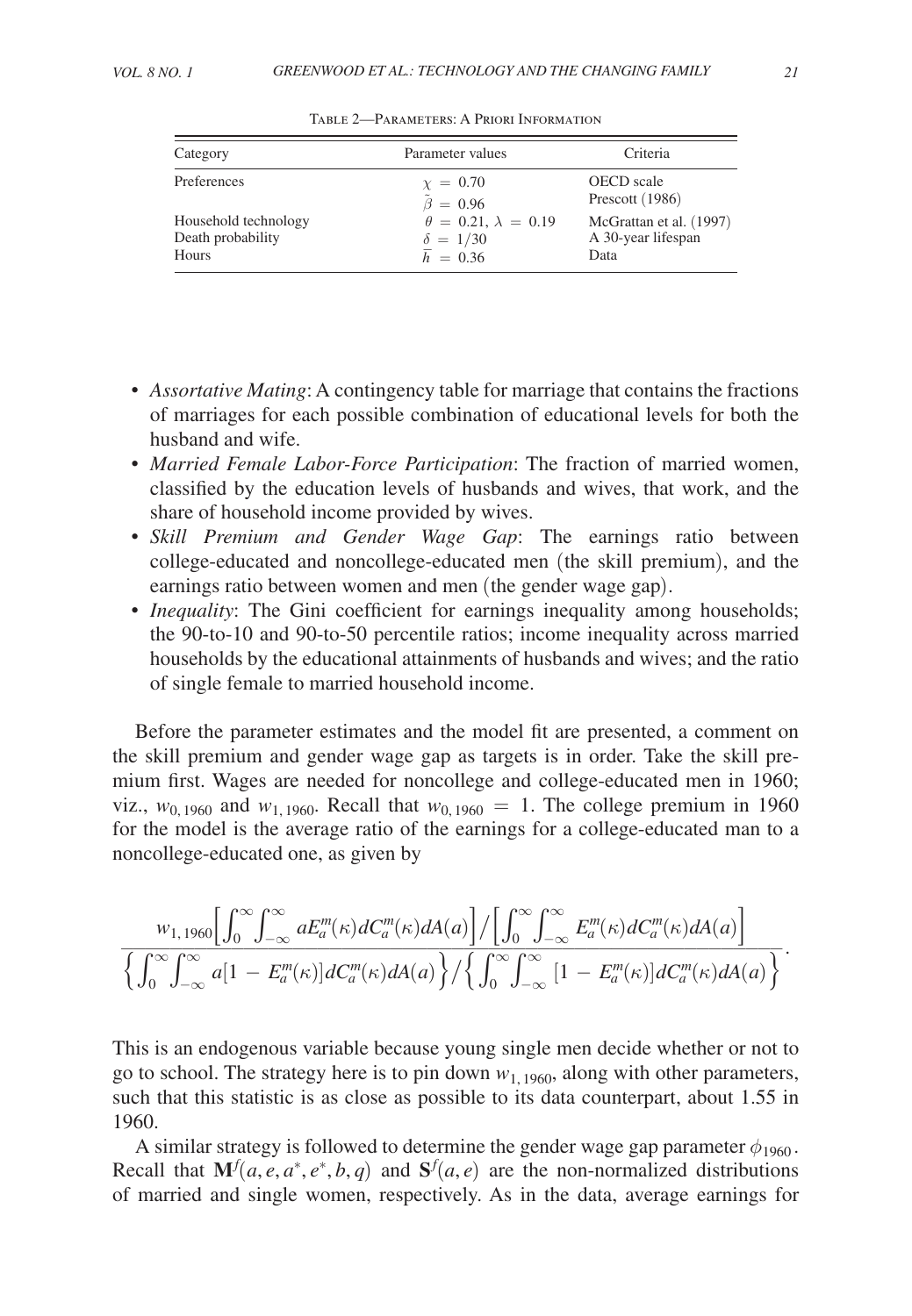<span id="page-20-0"></span>

| Category                                           | Parameter values                                                       | Criteria                                              |
|----------------------------------------------------|------------------------------------------------------------------------|-------------------------------------------------------|
| Preferences                                        | $x = 0.70$<br>$\tilde{\beta} = 0.96$                                   | <b>OECD</b> scale<br>Prescott $(1986)$                |
| Household technology<br>Death probability<br>Hours | $\theta = 0.21, \lambda = 0.19$<br>$\delta = 1/30$<br>$\bar{h} = 0.36$ | McGrattan et al. (1997)<br>A 30-year lifespan<br>Data |

Table 2—Parameters: A Priori Information

- *Assortative Mating*: A contingency table for marriage that contains the fractions of marriages for each possible combination of educational levels for both the husband and wife.
- *Married Female Labor-Force Participation*: The fraction of married women, classified by the education levels of husbands and wives, that work, and the share of household income provided by wives.
- *Skill Premium and Gender Wage Gap*: The earnings ratio between college-educated and noncollege-educated men (the skill premium), and the earnings ratio between women and men (the gender wage gap).
- *Inequality*: The Gini coefficient for earnings inequality among households; the 90-to-10 and 90-to-50 percentile ratios; income inequality across married households by the educational attainments of husbands and wives; and the ratio of single female to married household income.

Before the parameter estimates and the model fit are presented, a comment on the skill premium and gender wage gap as targets is in order. Take the skill premium first. Wages are needed for noncollege and college-educated men in 1960; viz.,  $w_{0.1960}$  and  $w_{1.1960}$ . Recall that  $w_{0.1960} = 1$ . The college premium in 1960 for the model is the average ratio of the earnings for a college-educated man to a noncollege-educated one, as given by

$$
\frac{w_{1,1960}\left[\int_0^\infty\int_{-\infty}^\infty aE_a^m(\kappa)dC_a^m(\kappa)dA(a)\right] / \left[\int_0^\infty\int_{-\infty}^\infty E_a^m(\kappa)dC_a^m(\kappa)dA(a)\right]}{\left\{\int_0^\infty\int_{-\infty}^\infty a[1 - E_a^m(\kappa)]dC_a^m(\kappa)dA(a)\right\} / \left\{\int_0^\infty\int_{-\infty}^\infty [1 - E_a^m(\kappa)]dC_a^m(\kappa)dA(a)\right\}}.
$$

This is an endogenous variable because young single men decide whether or not to go to school. The strategy here is to pin down  $w_{1,1960}$ , along with other parameters, such that this statistic is as close as possible to its data counterpart, about 1.55 in 1960.

A similar strategy is followed to determine the gender wage gap parameter  $\phi_{1960}$ . Recall that  $\mathbf{M}^f(a, e, a^*, e^*, b, q)$  and  $\mathbf{S}^f(a, e)$  are the non-normalized distributions of married and single women, respectively. As in the data, average earnings for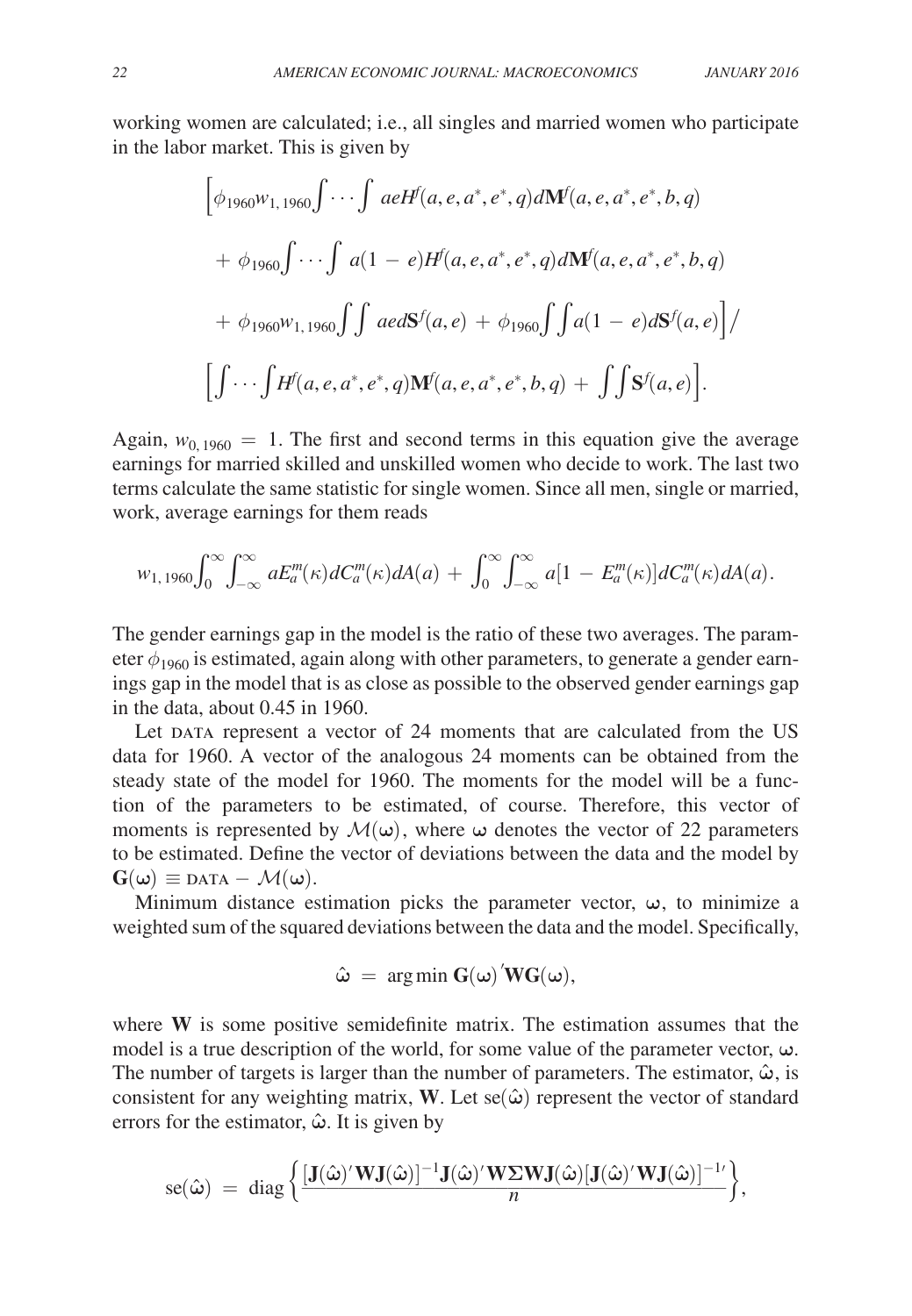working women are calculated; i.e., all singles and married women who participate in the labor market. This is given by

$$
\left[\phi_{1960}w_{1,1960}\int\cdots\int a e H^f(a,e,a^*,e^*,q)d\mathbf{M}^f(a,e,a^*,e^*,b,q) \right.\left. + \phi_{1960}\int\cdots\int a(1-e)H^f(a,e,a^*,e^*,q)d\mathbf{M}^f(a,e,a^*,e^*,b,q) \right.\left. + \phi_{1960}w_{1,1960}\int\int a e dS^f(a,e) + \phi_{1960}\int\int a(1-e) dS^f(a,e)\right]/\left[\int\cdots\int H^f(a,e,a^*,e^*,q)\mathbf{M}^f(a,e,a^*,e^*,b,q) + \int\int S^f(a,e)\right].
$$

Again,  $w_{0.1960} = 1$ . The first and second terms in this equation give the average earnings for married skilled and unskilled women who decide to work. The last two terms calculate the same statistic for single women. Since all men, single or married, work, average earnings for them reads

$$
\mathit{w}_{1,\,1960}\int_{0}^{\infty}\int_{-\infty}^{\infty}aE_{a}^{m}(\kappa)dC_{a}^{m}(\kappa)dA(a)+\int_{0}^{\infty}\int_{-\infty}^{\infty}a[1-E_{a}^{m}(\kappa)]dC_{a}^{m}(\kappa)dA(a).
$$

The gender earnings gap in the model is the ratio of these two averages. The parameter  $\phi_{1960}$  is estimated, again along with other parameters, to generate a gender earnings gap in the model that is as close as possible to the observed gender earnings gap in the data, about 0.45 in 1960.

Let DATA represent a vector of 24 moments that are calculated from the US data for 1960. A vector of the analogous 24 moments can be obtained from the steady state of the model for 1960. The moments for the model will be a function of the parameters to be estimated, of course. Therefore, this vector of moments is represented by  $\mathcal{M}(\omega)$ , where  $\omega$  denotes the vector of 22 parameters to be estimated. Define the vector of deviations between the data and the model by  $\mathbf{G}(\omega) \equiv \text{DATA} - \mathcal{M}(\omega).$ 

Minimum distance estimation picks the parameter vector,  $\omega$ , to minimize a weighted sum of the squared deviations between the data and the model. Specifically,

$$
\hat{\omega} \ = \ \arg\min G(\omega)'WG(\omega),
$$

where **W** is some positive semidefinite matrix. The estimation assumes that the model is a true description of the world, for some value of the parameter vector, **ω**. The number of targets is larger than the number of parameters. The estimator,  $\hat{\omega}$ , is consistent for any weighting matrix, **W**. Let  $se(\hat{\omega})$  represent the vector of standard errors for the estimator, **ω**ˆ . It is given by

$$
\mathrm{se}(\hat{\omega})\ =\ \mathrm{diag}\left\{\frac{[\mathbf{J}(\hat{\omega})'\mathbf{W}\mathbf{J}(\hat{\omega})]^{-1}\mathbf{J}(\hat{\omega})'\mathbf{W}\boldsymbol{\Sigma}\mathbf{W}\mathbf{J}(\hat{\omega})[\mathbf{J}(\hat{\omega})'\mathbf{W}\mathbf{J}(\hat{\omega})]^{-1}\prime}{n}\right\},\
$$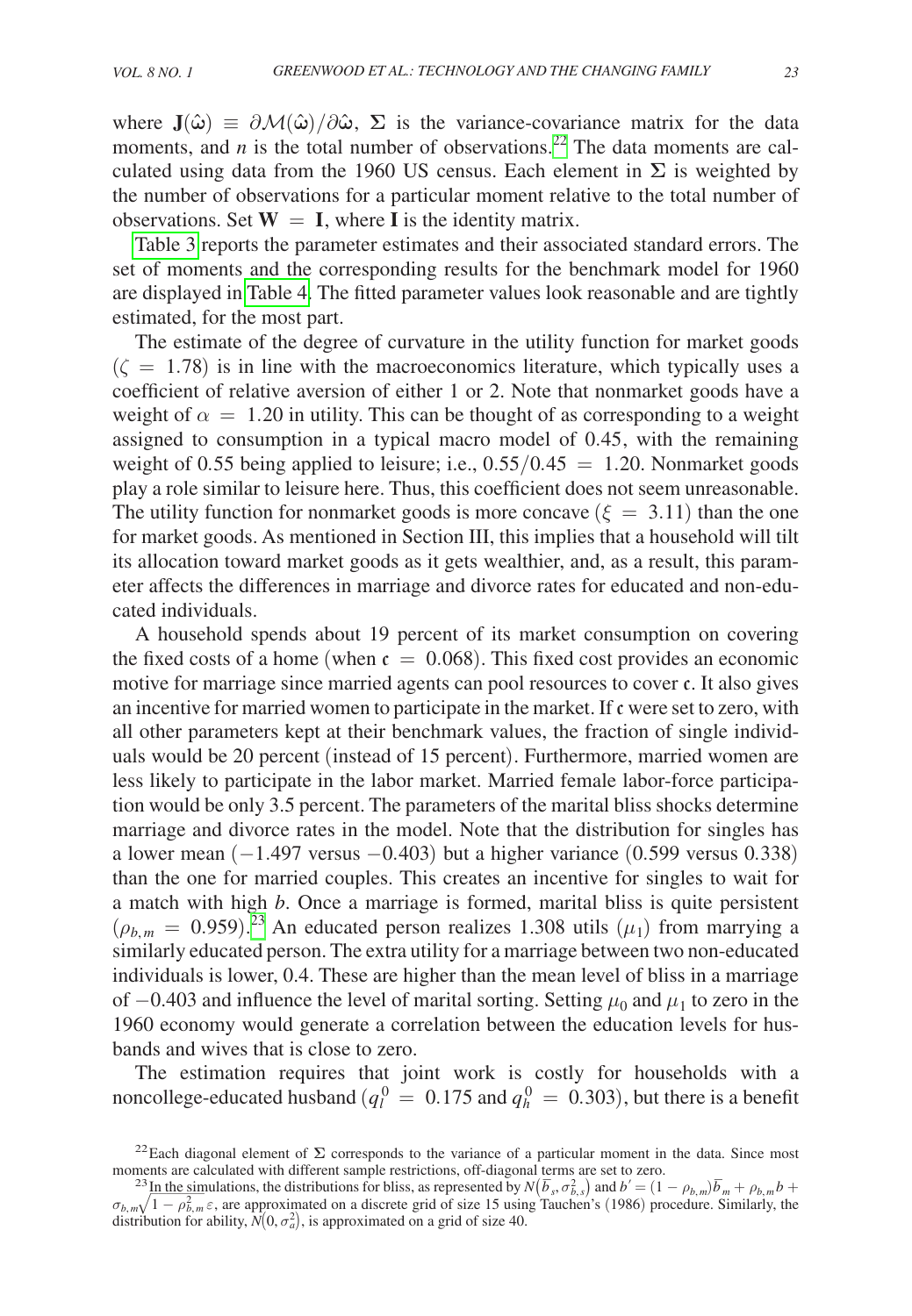where  $J(\hat{\omega}) \equiv \partial \mathcal{M}(\hat{\omega})/\partial \hat{\omega}$ ,  $\Sigma$  is the variance-covariance matrix for the data moments, and  $n$  is the total number of observations.<sup>[22](#page-22-0)</sup> The data moments are calculated using data from the 1960 US census. Each element in  $\Sigma$  is weighted by the number of observations for a particular moment relative to the total number of observations. Set  $W = I$ , where I is the identity matrix.

[Table 3](#page-23-0) reports the parameter estimates and their associated standard errors. The set of moments and the corresponding results for the benchmark model for 1960 are displayed in [Table 4.](#page-24-0) The fitted parameter values look reasonable and are tightly estimated, for the most part.

The estimate of the degree of curvature in the utility function for market goods  $(\zeta = 1.78)$  is in line with the macroeconomics literature, which typically uses a coefficient of relative aversion of either 1 or 2. Note that nonmarket goods have a weight of  $\alpha = 1.20$  in utility. This can be thought of as corresponding to a weight assigned to consumption in a typical macro model of 0.45, with the remaining weight of 0.55 being applied to leisure; i.e.,  $0.55/0.45 = 1.20$ . Nonmarket goods play a role similar to leisure here. Thus, this coefficient does not seem unreasonable. The utility function for nonmarket goods is more concave ( $\xi = 3.11$ ) than the one for market goods. As mentioned in Section III, this implies that a household will tilt its allocation toward market goods as it gets wealthier, and, as a result, this parameter affects the differences in marriage and divorce rates for educated and non-educated individuals.

A household spends about 19 percent of its market consumption on covering the fixed costs of a home (when  $\epsilon = 0.068$ ). This fixed cost provides an economic motive for marriage since married agents can pool resources to cover  $c$ . It also gives an incentive for married women to participate in the market. If  $c$  were set to zero, with all other parameters kept at their benchmark values, the fraction of single individuals would be 20 percent (instead of 15 percent). Furthermore, married women are less likely to participate in the labor market. Married female labor-force participation would be only 3.5 percent. The parameters of the marital bliss shocks determine marriage and divorce rates in the model. Note that the distribution for singles has a lower mean  $(-1.497 \text{ versus } -0.403)$  but a higher variance  $(0.599 \text{ versus } 0.338)$ than the one for married couples. This creates an incentive for singles to wait for a match with high *b*. Once a marriage is formed, marital bliss is quite persistent  $(\rho_{b,m} = 0.959)$ <sup>[23](#page-22-1)</sup> An educated person realizes 1.308 utils  $(\mu_1)$  from marrying a similarly educated person. The extra utility for a marriage between two non-educated individuals is lower, 0.4. These are higher than the mean level of bliss in a marriage of  $-0.403$  and influence the level of marital sorting. Setting  $\mu_0$  and  $\mu_1$  to zero in the 1960 economy would generate a correlation between the education levels for husbands and wives that is close to zero.

The estimation requires that joint work is costly for households with a noncollege-educated husband ( $q_l^0 = 0.175$  and  $q_h^0 = 0.303$ ), but there is a benefit

<span id="page-22-0"></span><sup>&</sup>lt;sup>22</sup>Each diagonal element of  $\Sigma$  corresponds to the variance of a particular moment in the data. Since most moments are calculated with different sample restrictions, off-diagonal terms are set to zero. moments are calculated with different sample restrictions, off-diagonal terms are set to zero.<br><sup>23</sup>In the simulations, the distributions for bliss, as represented by  $N(\bar{b}_s, \sigma_{b,s}^2)$  and  $b' = (1 - \rho_{b,m})\bar{b}_m + \rho_{b,m}b$  +

<span id="page-22-1"></span><sup>&</sup>lt;sup>--</sup> In the simulations, the distributions for bliss, as represented by  $N(b_s, \sigma_{b,s})$  and  $b = (1 - \rho_{b,m})b_m + \rho_{b,m}b + \sigma_{b,m}b'$ <br> $\sigma_{b,m} \sqrt{1 - \rho_{b,m}^2 \epsilon}$ , are approximated on a discrete grid of size 15 using Tauchen's (1986) pro distribution for ability,  $\hat{N}(0, \sigma_a^2)$ , is approximated on a grid of size 40.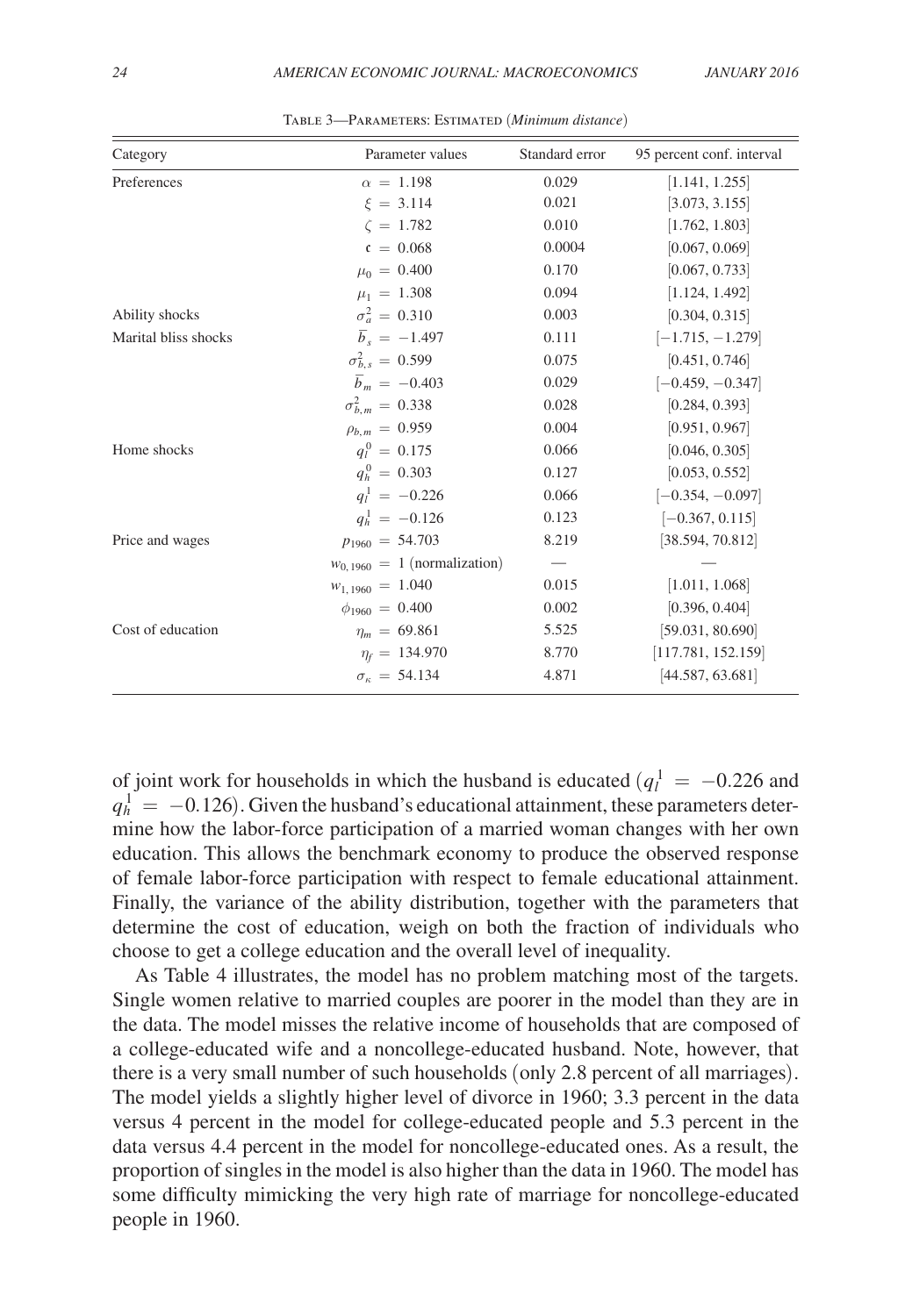<span id="page-23-0"></span>

| Category             | Parameter values                 | Standard error | 95 percent conf. interval |
|----------------------|----------------------------------|----------------|---------------------------|
| Preferences          | $\alpha = 1.198$                 | 0.029          | [1.141, 1.255]            |
|                      | $\xi = 3.114$                    | 0.021          | [3.073, 3.155]            |
|                      | $\zeta = 1.782$                  | 0.010          | [1.762, 1.803]            |
|                      | $c = 0.068$                      | 0.0004         | [0.067, 0.069]            |
|                      | $\mu_0 = 0.400$                  | 0.170          | [0.067, 0.733]            |
|                      | $\mu_1 = 1.308$                  | 0.094          | [1.124, 1.492]            |
| Ability shocks       | $\sigma_a^2 = 0.310$             | 0.003          | [0.304, 0.315]            |
| Marital bliss shocks | $\overline{b}_s = -1.497$        | 0.111          | $[-1.715, -1.279]$        |
|                      | $\sigma_{b,s}^2 = 0.599$         | 0.075          | [0.451, 0.746]            |
|                      | $\overline{b}_m = -0.403$        | 0.029          | $[-0.459, -0.347]$        |
|                      | $\sigma_{b.m}^2 = 0.338$         | 0.028          | [0.284, 0.393]            |
|                      | $\rho_{b,m} = 0.959$             | 0.004          | [0.951, 0.967]            |
| Home shocks          | $q_l^0 = 0.175$                  | 0.066          | [0.046, 0.305]            |
|                      | $q_h^0 = 0.303$                  | 0.127          | [0.053, 0.552]            |
|                      | $q_l^1 = -0.226$                 | 0.066          | $[-0.354, -0.097]$        |
|                      | $q_h^1 = -0.126$                 | 0.123          | $[-0.367, 0.115]$         |
| Price and wages      | $p_{1960} = 54.703$              | 8.219          | [38.594, 70.812]          |
|                      | $w_{0,1960} = 1$ (normalization) |                |                           |
|                      | $w_{1.1960} = 1.040$             | 0.015          | [1.011, 1.068]            |
|                      | $\phi_{1960} = 0.400$            | 0.002          | [0.396, 0.404]            |
| Cost of education    | $\eta_m = 69.861$                | 5.525          | [59.031, 80.690]          |
|                      | $\eta_f = 134.970$               | 8.770          | [117.781, 152.159]        |
|                      | $\sigma_{\kappa} = 54.134$       | 4.871          | [44.587, 63.681]          |

Table 3—Parameters: Estimated (*Minimum distance*)

of joint work for households in which the husband is educated  $(q_l^1 = -0.226$  and  $q_h^1 = -0.126$ ). Given the husband's educational attainment, these parameters determine how the labor-force participation of a married woman changes with her own education. This allows the benchmark economy to produce the observed response of female labor-force participation with respect to female educational attainment. Finally, the variance of the ability distribution, together with the parameters that determine the cost of education, weigh on both the fraction of individuals who choose to get a college education and the overall level of inequality.

As Table 4 illustrates, the model has no problem matching most of the targets. Single women relative to married couples are poorer in the model than they are in the data. The model misses the relative income of households that are composed of a college-educated wife and a noncollege-educated husband. Note, however, that there is a very small number of such households (only 2.8 percent of all marriages). The model yields a slightly higher level of divorce in 1960; 3.3 percent in the data versus 4 percent in the model for college-educated people and 5.3 percent in the data versus 4.4 percent in the model for noncollege-educated ones. As a result, the proportion of singles in the model is also higher than the data in 1960. The model has some difficulty mimicking the very high rate of marriage for noncollege-educated people in 1960.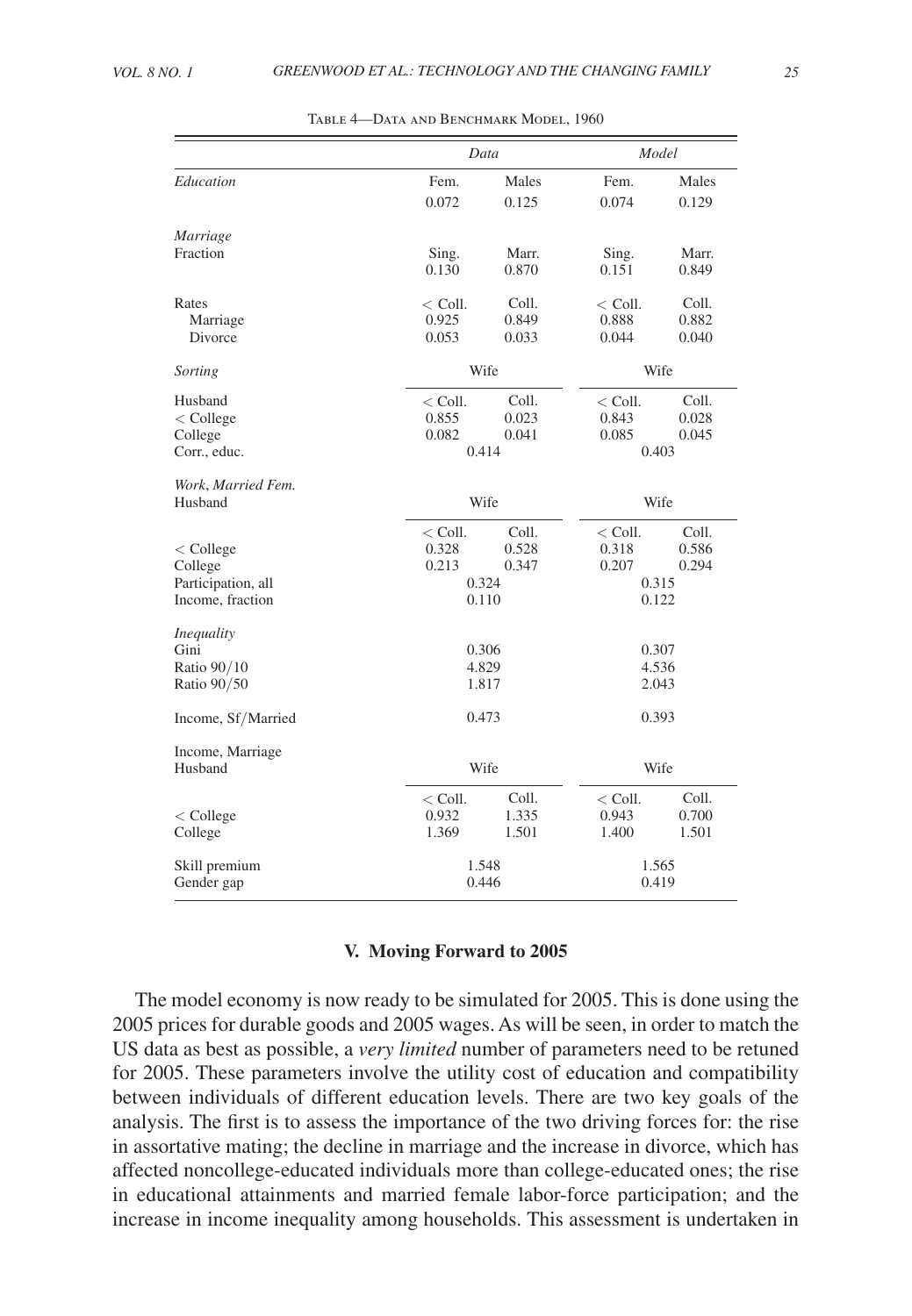<span id="page-24-0"></span>

|                                                                  |                             | Data                                      |                                               | Model                   |  |  |
|------------------------------------------------------------------|-----------------------------|-------------------------------------------|-----------------------------------------------|-------------------------|--|--|
| Education                                                        | Fem.<br>0.072               | Males<br>0.125                            | Fem.<br>0.074                                 | Males<br>0.129          |  |  |
| Marriage<br>Fraction                                             | Sing.<br>0.130              | Marr.<br>0.870                            | Sing.<br>0.151                                | Marr.<br>0.849          |  |  |
| Rates<br>Marriage<br>Divorce                                     | $<$ Coll.<br>0.925<br>0.053 | Coll.<br>0.849<br>0.033                   | $<$ Coll.<br>0.888<br>0.044                   | Coll.<br>0.882<br>0.040 |  |  |
| Sorting                                                          |                             | Wife                                      |                                               | Wife                    |  |  |
| Husband<br>$<$ College<br>College<br>Corr., educ.                | $<$ Coll.<br>0.855<br>0.082 | Coll.<br>0.023<br>0.041<br>0.414          | $<$ Coll.<br>0.843<br>0.085<br>0.403          | Coll.<br>0.028<br>0.045 |  |  |
| Work, Married Fem.<br>Husband                                    |                             | Wife                                      |                                               | Wife                    |  |  |
| $<$ College<br>College<br>Participation, all<br>Income, fraction | $<$ Coll.<br>0.328<br>0.213 | Coll.<br>0.528<br>0.347<br>0.324<br>0.110 | $<$ Coll.<br>0.318<br>0.207<br>0.315<br>0.122 | Coll.<br>0.586<br>0.294 |  |  |
| Inequality<br>Gini<br>Ratio 90/10<br>Ratio 90/50                 |                             | 0.306<br>4.829<br>1.817                   |                                               | 0.307<br>4.536<br>2.043 |  |  |
| Income, Sf/Married                                               |                             | 0.473                                     |                                               | 0.393                   |  |  |
| Income, Marriage<br>Husband                                      |                             | Wife                                      |                                               | Wife                    |  |  |
| $<$ College<br>College                                           | $<$ Coll.<br>0.932<br>1.369 | Coll.<br>1.335<br>1.501                   | $<$ Coll.<br>0.943<br>1.400                   | Coll.<br>0.700<br>1.501 |  |  |
| Skill premium<br>Gender gap                                      |                             | 1.548<br>0.446                            |                                               | 1.565<br>0.419          |  |  |

TABLE 4-DATA AND BENCHMARK MODEL, 1960

## **V. Moving Forward to 2005**

The model economy is now ready to be simulated for 2005. This is done using the 2005 prices for durable goods and 2005 wages. As will be seen, in order to match the US data as best as possible, a *very limited* number of parameters need to be retuned for 2005. These parameters involve the utility cost of education and compatibility between individuals of different education levels. There are two key goals of the analysis. The first is to assess the importance of the two driving forces for: the rise in assortative mating; the decline in marriage and the increase in divorce, which has affected noncollege-educated individuals more than college-educated ones; the rise in educational attainments and married female labor-force participation; and the increase in income inequality among households. This assessment is undertaken in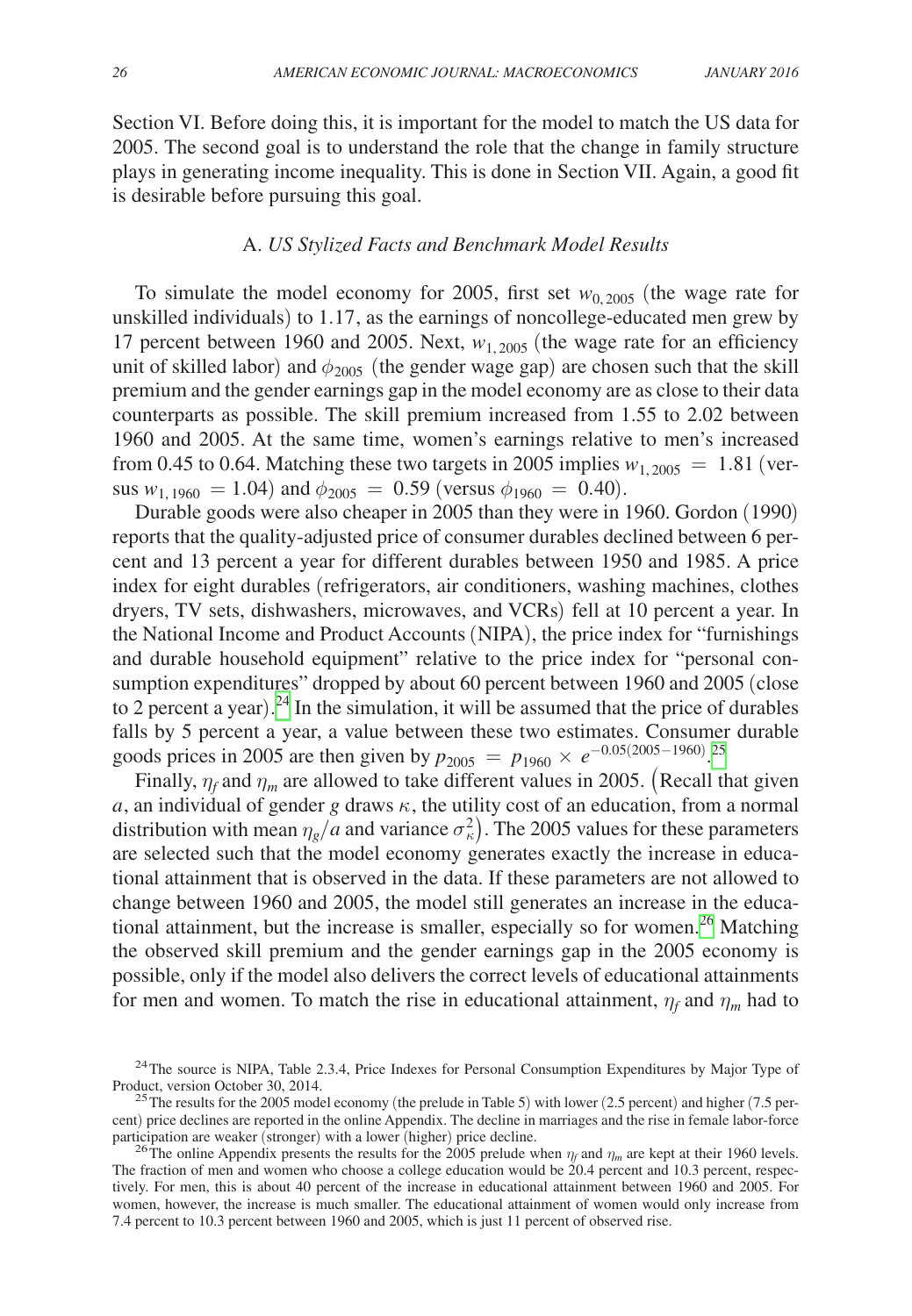Section VI. Before doing this, it is important for the model to match the US data for 2005. The second goal is to understand the role that the change in family structure plays in generating income inequality. This is done in Section VII. Again, a good fit is desirable before pursuing this goal.

#### A. *US Stylized Facts and Benchmark Model Results*

To simulate the model economy for 2005, first set  $w_{0.2005}$  (the wage rate for unskilled individuals) to 1.17, as the earnings of noncollege-educated men grew by 17 percent between 1960 and 2005. Next,  $w_{1,2005}$  (the wage rate for an efficiency unit of skilled labor) and  $\phi_{2005}$  (the gender wage gap) are chosen such that the skill premium and the gender earnings gap in the model economy are as close to their data counterparts as possible. The skill premium increased from 1.55 to 2.02 between 1960 and 2005. At the same time, women's earnings relative to men's increased from 0.45 to 0.64. Matching these two targets in 2005 implies  $w_{1,2005} = 1.81$  (versus  $w_{1,1960} = 1.04$ ) and  $\phi_{2005} = 0.59$  (versus  $\phi_{1960} = 0.40$ ).

Durable goods were also cheaper in 2005 than they were in 1960. Gordon (1990) reports that the quality-adjusted price of consumer durables declined between 6 percent and 13 percent a year for different durables between 1950 and 1985. A price index for eight durables (refrigerators, air conditioners, washing machines, clothes dryers, TV sets, dishwashers, microwaves, and VCRs) fell at 10 percent a year. In the National Income and Product Accounts (NIPA), the price index for "furnishings and durable household equipment" relative to the price index for "personal consumption expenditures" dropped by about 60 percent between 1960 and 2005 (close to 2 percent a year). [24](#page-25-0) In the simulation, it will be assumed that the price of durables falls by 5 percent a year, a value between these two estimates. Consumer durable goods prices in 2005 are then given by  $p_{2005} = p_{1960} \times e^{-0.05(2005-1960)}$ .

Finally,  $\eta_f$  and  $\eta_m$  are allowed to take different values in 2005. (Recall that given  $a$ , an individual of gender *g* draws  $\kappa$ , the utility cost of an education, from a normal distribution with mean  $\eta_g/a$  and variance  $\sigma_\kappa^2$ . The 2005 values for these parameters are selected such that the model economy generates exactly the increase in educational attainment that is observed in the data. If these parameters are not allowed to change between 1960 and 2005, the model still generates an increase in the educational attainment, but the increase is smaller, especially so for women.<sup>26</sup> Matching the observed skill premium and the gender earnings gap in the 2005 economy is possible, only if the model also delivers the correct levels of educational attainments for men and women. To match the rise in educational attainment,  $\eta_f$  and  $\eta_m$  had to

<span id="page-25-0"></span><sup>&</sup>lt;sup>24</sup>The source is NIPA, Table 2.3.4, Price Indexes for Personal Consumption Expenditures by Major Type of Product, version October 30, 2014.<br><sup>25</sup>The results for the 2005 model economy (the prelude in Table 5) with lower (2.5 percent) and higher (7.5 per-

<span id="page-25-1"></span>cent) price declines are reported in the online Appendix. The decline in marriages and the rise in female labor-force participation are weaker (stronger) with a lower (higher) price decline.<br><sup>26</sup>The online Appendix presents the results for the 2005 prelude when  $\eta_f$  and  $\eta_m$  are kept at their 1960 levels.

<span id="page-25-2"></span>The fraction of men and women who choose a college education would be 20.4 percent and 10.3 percent, respectively. For men, this is about 40 percent of the increase in educational attainment between 1960 and 2005. For women, however, the increase is much smaller. The educational attainment of women would only increase from 7.4 percent to 10.3 percent between 1960 and 2005, which is just 11 percent of observed rise.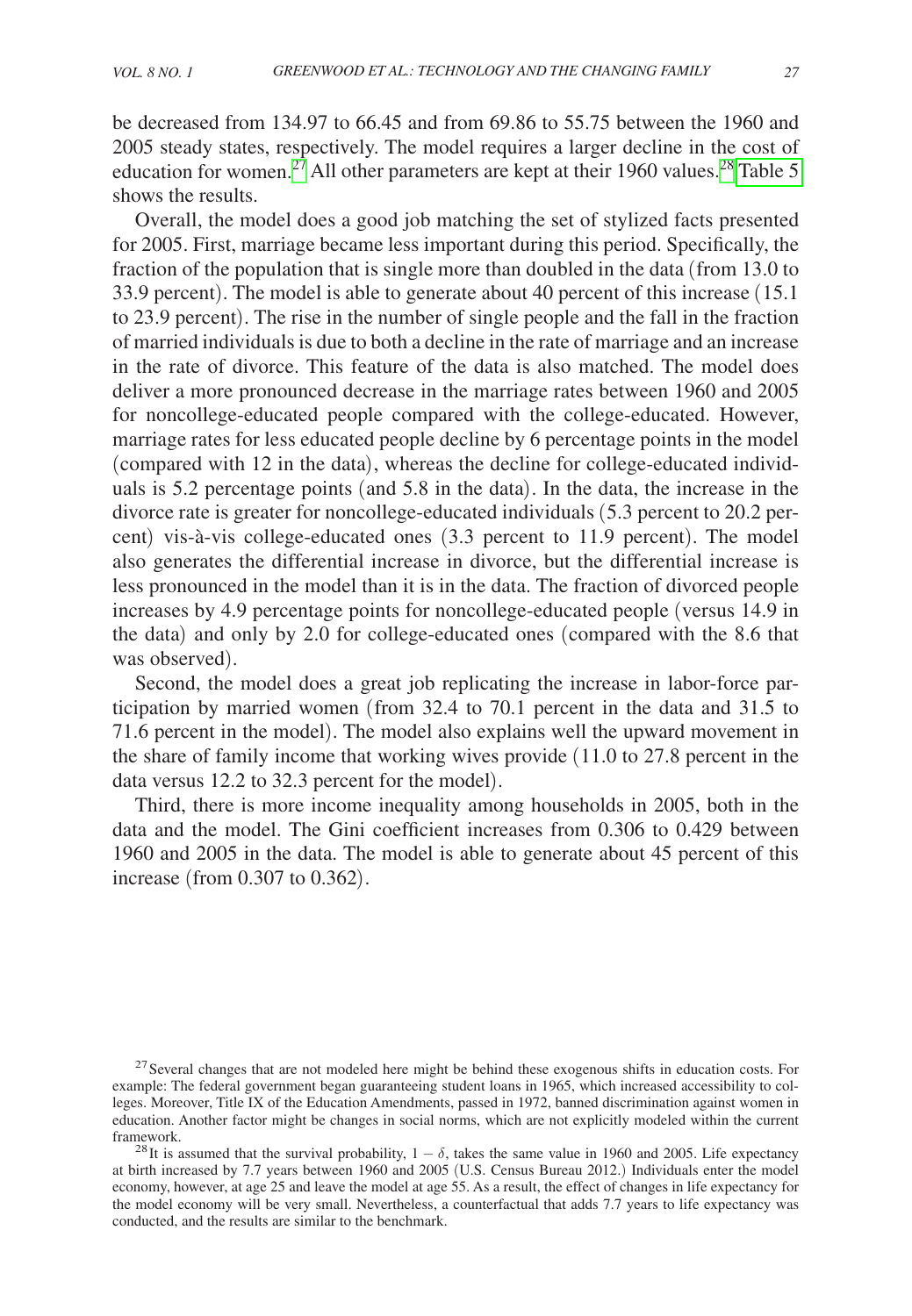be decreased from 134.97 to 66.45 and from 69.86 to 55.75 between the 1960 and 2005 steady states, respectively. The model requires a larger decline in the cost of education for women.<sup>[27](#page-26-0)</sup> All other parameters are kept at their 1960 values.<sup>[28](#page-26-1)</sup> Table 5 shows the results.

Overall, the model does a good job matching the set of stylized facts presented for 2005. First, marriage became less important during this period. Specifically, the fraction of the population that is single more than doubled in the data (from 13.0 to 33.9 percent). The model is able to generate about 40 percent of this increase (15.1 to 23.9 percent). The rise in the number of single people and the fall in the fraction of married individuals is due to both a decline in the rate of marriage and an increase in the rate of divorce. This feature of the data is also matched. The model does deliver a more pronounced decrease in the marriage rates between 1960 and 2005 for noncollege-educated people compared with the college-educated. However, marriage rates for less educated people decline by 6 percentage points in the model (compared with 12 in the data), whereas the decline for college-educated individuals is 5.2 percentage points (and 5.8 in the data). In the data, the increase in the divorce rate is greater for noncollege-educated individuals (5.3 percent to 20.2 percent) vis-à-vis college-educated ones (3.3 percent to 11.9 percent). The model also generates the differential increase in divorce, but the differential increase is less pronounced in the model than it is in the data. The fraction of divorced people increases by 4.9 percentage points for noncollege-educated people (versus 14.9 in the data) and only by 2.0 for college-educated ones (compared with the 8.6 that was observed).

Second, the model does a great job replicating the increase in labor-force participation by married women (from 32.4 to 70.1 percent in the data and 31.5 to 71.6 percent in the model). The model also explains well the upward movement in the share of family income that working wives provide (11.0 to 27.8 percent in the data versus 12.2 to 32.3 percent for the model).

Third, there is more income inequality among households in 2005, both in the data and the model. The Gini coefficient increases from 0.306 to 0.429 between 1960 and 2005 in the data. The model is able to generate about 45 percent of this increase (from 0.307 to 0.362).

<span id="page-26-0"></span><sup>&</sup>lt;sup>27</sup> Several changes that are not modeled here might be behind these exogenous shifts in education costs. For example: The federal government began guaranteeing student loans in 1965, which increased accessibility to colleges. Moreover, Title IX of the Education Amendments, passed in 1972, banned discrimination against women in education. Another factor might be changes in social norms, which are not explicitly modeled within the current framework. <sup>28</sup>It is assumed that the survival probability,  $1 - \delta$ , takes the same value in 1960 and 2005. Life expectancy

<span id="page-26-1"></span>at birth increased by 7.7 years between 1960 and 2005 (U.S. Census Bureau 2012.) Individuals enter the model economy, however, at age 25 and leave the model at age 55. As a result, the effect of changes in life expectancy for the model economy will be very small. Nevertheless, a counterfactual that adds 7.7 years to life expectancy was conducted, and the results are similar to the benchmark.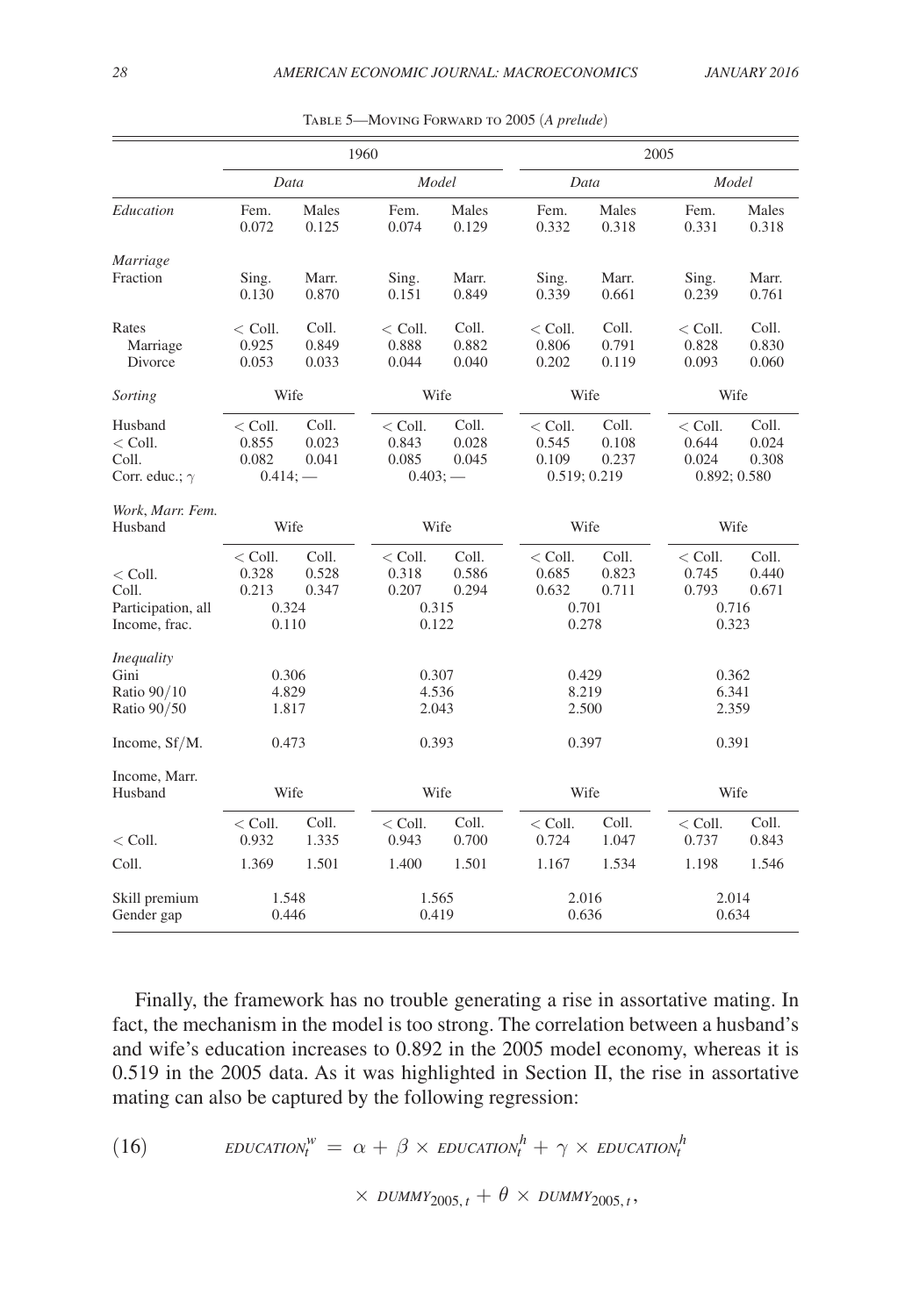<span id="page-27-0"></span>

|                                                           | 1960                                          |                         |                                               |                         | 2005                                          |                         |                                               |                         |  |
|-----------------------------------------------------------|-----------------------------------------------|-------------------------|-----------------------------------------------|-------------------------|-----------------------------------------------|-------------------------|-----------------------------------------------|-------------------------|--|
|                                                           | Data                                          |                         | Model                                         |                         | Data                                          |                         | Model                                         |                         |  |
| Education                                                 | Fem.<br>0.072                                 | Males<br>0.125          | Fem.<br>0.074                                 | Males<br>0.129          | Fem.<br>0.332                                 | Males<br>0.318          | Fem.<br>0.331                                 | Males<br>0.318          |  |
| Marriage                                                  |                                               |                         |                                               |                         |                                               |                         |                                               |                         |  |
| Fraction                                                  | Sing.<br>0.130                                | Marr.<br>0.870          | Sing.<br>0.151                                | Marr.<br>0.849          | Sing.<br>0.339                                | Marr.<br>0.661          | Sing.<br>0.239                                | Marr.<br>0.761          |  |
| Rates<br>Marriage<br>Divorce                              | $<$ Coll.<br>0.925<br>0.053                   | Coll.<br>0.849<br>0.033 | $<$ Coll.<br>0.888<br>0.044                   | Coll.<br>0.882<br>0.040 | $<$ Coll.<br>0.806<br>0.202                   | Coll.<br>0.791<br>0.119 | $<$ Coll.<br>0.828<br>0.093                   | Coll.<br>0.830<br>0.060 |  |
| Sorting                                                   | Wife                                          |                         | Wife                                          |                         | Wife                                          |                         | Wife                                          |                         |  |
| Husband<br>$<$ Coll.<br>Coll.<br>Corr. educ.; $\gamma$    | $<$ Coll.<br>0.855<br>0.082<br>$0.414; -$     | Coll.<br>0.023<br>0.041 | $<$ Coll.<br>0.843<br>0.085<br>$0.403:$ -     | Coll.<br>0.028<br>0.045 | $<$ Coll.<br>0.545<br>0.109<br>0.519; 0.219   | Coll.<br>0.108<br>0.237 | $<$ Coll.<br>0.644<br>0.024<br>0.892; 0.580   | Coll.<br>0.024<br>0.308 |  |
| Work, Marr. Fem.<br>Husband                               | Wife                                          |                         |                                               | Wife<br>Wife            |                                               |                         | Wife                                          |                         |  |
| $<$ Coll.<br>Coll.<br>Participation, all<br>Income, frac. | $<$ Coll.<br>0.328<br>0.213<br>0.324<br>0.110 | Coll.<br>0.528<br>0.347 | $<$ Coll.<br>0.318<br>0.207<br>0.315<br>0.122 | Coll.<br>0.586<br>0.294 | $<$ Coll.<br>0.685<br>0.632<br>0.701<br>0.278 | Coll.<br>0.823<br>0.711 | $<$ Coll.<br>0.745<br>0.793<br>0.716<br>0.323 | Coll.<br>0.440<br>0.671 |  |
| <b>Inequality</b><br>Gini<br>Ratio 90/10<br>Ratio 90/50   | 0.306<br>4.829<br>1.817                       |                         | 0.307<br>4.536<br>2.043                       |                         | 0.429<br>8.219<br>2.500                       |                         | 0.362<br>6.341<br>2.359                       |                         |  |
| Income, Sf/M.                                             | 0.473                                         |                         | 0.393                                         |                         |                                               | 0.397                   |                                               | 0.391                   |  |
| Income, Marr.<br>Husband                                  | Wife                                          |                         |                                               | Wife                    |                                               | Wife                    |                                               | Wife                    |  |
| $<$ Coll.                                                 | $<$ Coll.<br>0.932                            | Coll.<br>1.335          | $<$ Coll.<br>0.943                            | Coll.<br>0.700          | $<$ Coll.<br>0.724                            | Coll.<br>1.047          | $<$ Coll.<br>0.737                            | Coll.<br>0.843          |  |
| Coll.                                                     | 1.369                                         | 1.501                   | 1.400                                         | 1.501                   | 1.167                                         | 1.534                   | 1.198                                         | 1.546                   |  |
| Skill premium<br>Gender gap                               | 1.548<br>0.446                                |                         |                                               | 1.565<br>0.419          |                                               | 2.016<br>0.636          |                                               | 2.014<br>0.634          |  |

Table 5—Moving Forward to 2005 (*A prelude*)

Finally, the framework has no trouble generating a rise in assortative mating. In fact, the mechanism in the model is too strong. The correlation between a husband's and wife's education increases to 0.892 in the 2005 model economy, whereas it is 0.519 in the 2005 data. As it was highlighted in Section II, the rise in assortative mating can also be captured by the following regression:

(16) 
$$
EDUCATION_t^W = \alpha + \beta \times EDUCATION_t^h + \gamma \times EDUCATION_t^h
$$

 $\times$  *DUMMY*<sub>2005, *t*</sub> +  $\theta$   $\times$  *DUMMY*<sub>2005, *t*</sub>,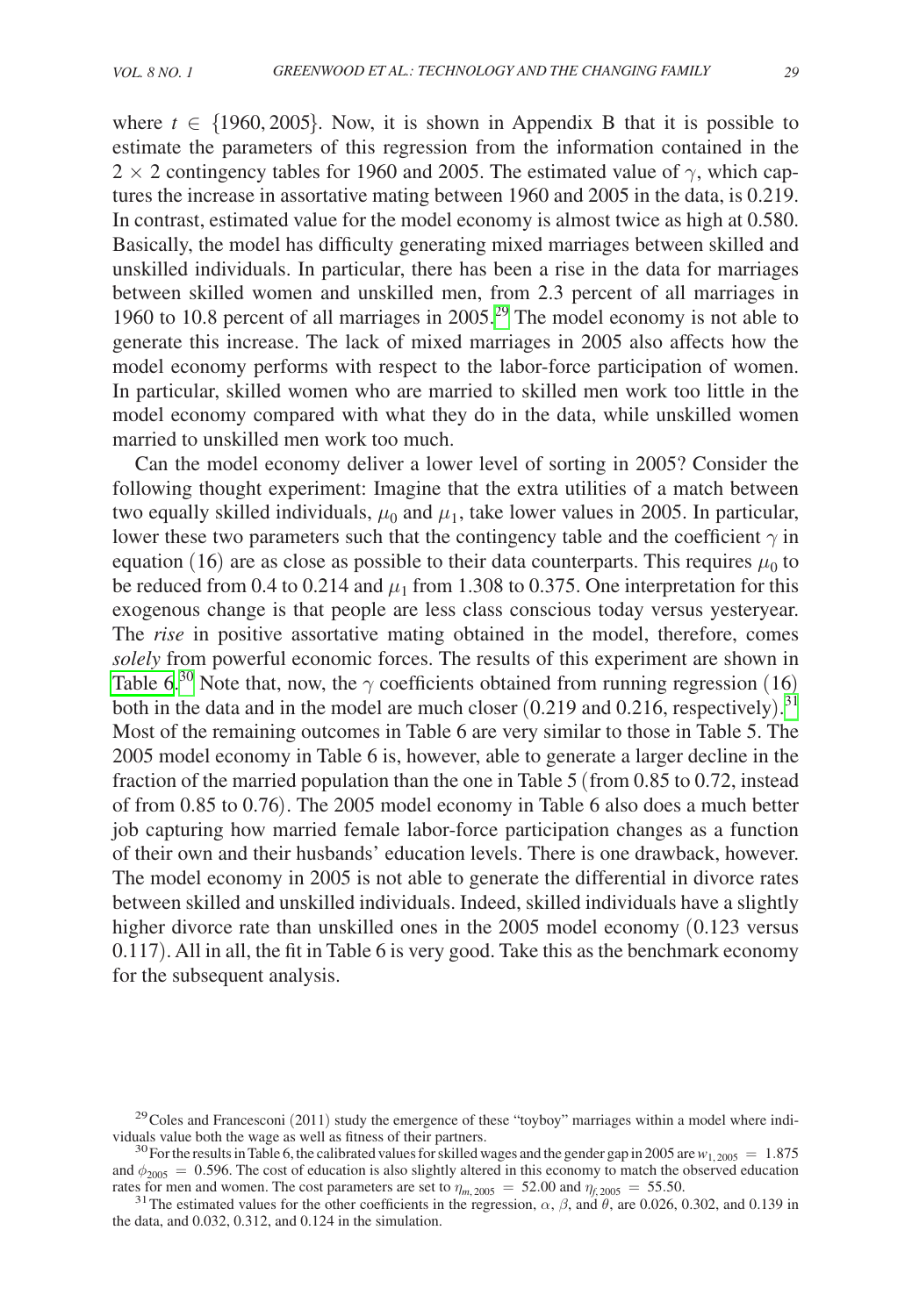where  $t \in \{1960, 2005\}$ . Now, it is shown in Appendix B that it is possible to estimate the parameters of this regression from the information contained in the 2  $\times$  2 contingency tables for 1960 and 2005. The estimated value of  $\gamma$ , which captures the increase in assortative mating between 1960 and 2005 in the data, is 0.219. In contrast, estimated value for the model economy is almost twice as high at 0.580. Basically, the model has difficulty generating mixed marriages between skilled and unskilled individuals. In particular, there has been a rise in the data for marriages between skilled women and unskilled men, from 2.3 percent of all marriages in 1960 to 10.8 percent of all marriages in 2005.[29](#page-28-0) The model economy is not able to generate this increase. The lack of mixed marriages in 2005 also affects how the model economy performs with respect to the labor-force participation of women. In particular, skilled women who are married to skilled men work too little in the model economy compared with what they do in the data, while unskilled women married to unskilled men work too much.

Can the model economy deliver a lower level of sorting in 2005? Consider the following thought experiment: Imagine that the extra utilities of a match between two equally skilled individuals,  $\mu_0$  and  $\mu_1$ , take lower values in 2005. In particular, lower these two parameters such that the contingency table and the coefficient  $\gamma$  in equation (16) are as close as possible to their data counterparts. This requires  $\mu_0$  to be reduced from 0.4 to 0.214 and  $\mu_1$  from 1.308 to 0.375. One interpretation for this exogenous change is that people are less class conscious today versus yesteryear. The *rise* in positive assortative mating obtained in the model, therefore, comes *solely* from powerful economic forces. The results of this experiment are shown in [Table 6.](#page-29-0)<sup>[30](#page-28-1)</sup> Note that, now, the  $\gamma$  coefficients obtained from running regression (16) both in the data and in the model are much closer  $(0.219$  and  $0.216$ , respectively).<sup>[31](#page-28-2)</sup> Most of the remaining outcomes in Table 6 are very similar to those in Table 5. The 2005 model economy in Table 6 is, however, able to generate a larger decline in the fraction of the married population than the one in Table 5 (from 0.85 to 0.72, instead of from 0.85 to 0.76). The 2005 model economy in Table 6 also does a much better job capturing how married female labor-force participation changes as a function of their own and their husbands' education levels. There is one drawback, however. The model economy in 2005 is not able to generate the differential in divorce rates between skilled and unskilled individuals. Indeed, skilled individuals have a slightly higher divorce rate than unskilled ones in the 2005 model economy (0.123 versus 0.117). All in all, the fit in Table 6 is very good. Take this as the benchmark economy for the subsequent analysis.

<span id="page-28-0"></span><sup>&</sup>lt;sup>29</sup>Coles and Francesconi (2011) study the emergence of these "toyboy" marriages within a model where individuals value both the wage as well as fitness of their partners.

<span id="page-28-1"></span><sup>&</sup>lt;sup>30</sup> For the results in Table 6, the calibrated values for skilled wages and the gender gap in 2005 are  $w_{1,2005} = 1.875$ and  $\phi_{2005} = 0.596$ . The cost of education is also slightly altered in this economy to match the observed education rates for men and women. The cost parameters are set to  $\eta_{m,2005} = 52.00$  and  $\eta_{f,2005} = 55.50$ .

<span id="page-28-2"></span><sup>&</sup>lt;sup>31</sup> The estimated values for the other coefficients in the regression,  $\alpha$ ,  $\beta$ , and  $\theta$ , are 0.026, 0.302, and 0.139 in the data, and 0.032, 0.312, and 0.124 in the simulation.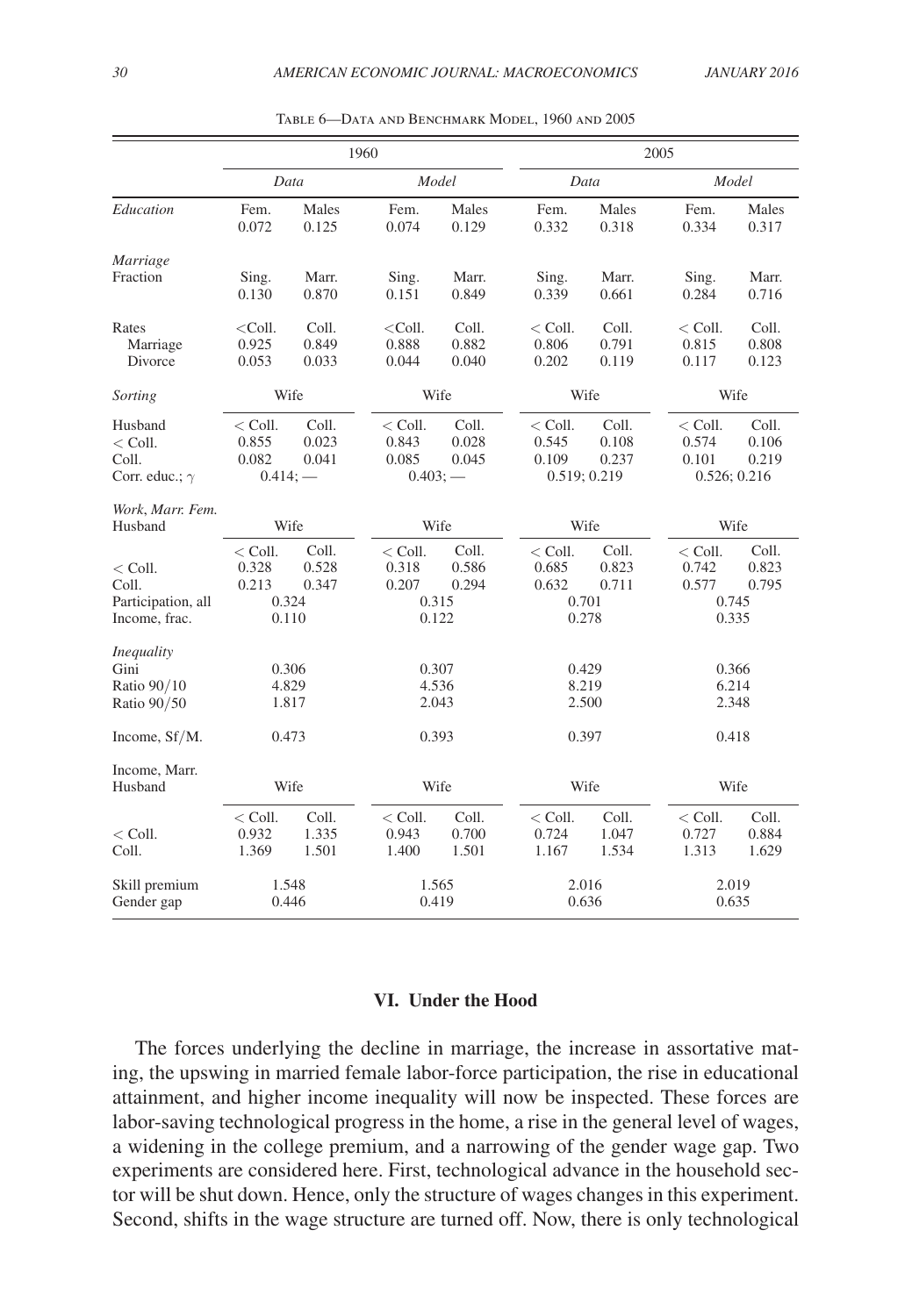<span id="page-29-0"></span>

|                                                           | 1960                        |                                           |                             |                                           | 2005                                          |                         |                             |                                           |  |
|-----------------------------------------------------------|-----------------------------|-------------------------------------------|-----------------------------|-------------------------------------------|-----------------------------------------------|-------------------------|-----------------------------|-------------------------------------------|--|
|                                                           |                             | Data                                      |                             | Model                                     |                                               | Data                    |                             | Model                                     |  |
| Education                                                 | Fem.<br>0.072               | Males<br>0.125                            | Fem.<br>0.074               | Males<br>0.129                            | Fem.<br>0.332                                 | Males<br>0.318          | Fem.<br>0.334               | Males<br>0.317                            |  |
| Marriage                                                  |                             |                                           |                             |                                           |                                               |                         |                             |                                           |  |
| Fraction                                                  | Sing.<br>0.130              | Marr.<br>0.870                            | Sing.<br>0.151              | Marr.<br>0.849                            | Sing.<br>0.339                                | Marr.<br>0.661          | Sing.<br>0.284              | Marr.<br>0.716                            |  |
| Rates<br>Marriage<br>Divorce                              | $<$ Coll.<br>0.925<br>0.053 | Coll.<br>0.849<br>0.033                   | $<$ Coll.<br>0.888<br>0.044 | Coll.<br>0.882<br>0.040                   | $<$ Coll.<br>0.806<br>0.202                   | Coll.<br>0.791<br>0.119 | $<$ Coll.<br>0.815<br>0.117 | Coll.<br>0.808<br>0.123                   |  |
| Sorting                                                   |                             | Wife                                      |                             | Wife                                      |                                               | Wife                    |                             | Wife                                      |  |
| Husband<br>$<$ Coll.<br>Coll.<br>Corr. educ.; $\gamma$    | $<$ Coll.<br>0.855<br>0.082 | Coll.<br>0.023<br>0.041<br>$0.414; -$     | $<$ Coll.<br>0.843<br>0.085 | Coll.<br>0.028<br>0.045<br>$0.403$ ; —    | $<$ Coll.<br>0.545<br>0.109<br>0.519; 0.219   | Coll.<br>0.108<br>0.237 | $<$ Coll.<br>0.574<br>0.101 | Coll.<br>0.106<br>0.219<br>0.526; 0.216   |  |
| Work, Marr. Fem.<br>Husband                               | Wife                        |                                           |                             | Wife                                      |                                               | Wife                    |                             | Wife                                      |  |
| $<$ Coll.<br>Coll.<br>Participation, all<br>Income, frac. | $<$ Coll.<br>0.328<br>0.213 | Coll.<br>0.528<br>0.347<br>0.324<br>0.110 | $<$ Coll.<br>0.318<br>0.207 | Coll.<br>0.586<br>0.294<br>0.315<br>0.122 | $<$ Coll.<br>0.685<br>0.632<br>0.701<br>0.278 | Coll.<br>0.823<br>0.711 | $<$ Coll.<br>0.742<br>0.577 | Coll.<br>0.823<br>0.795<br>0.745<br>0.335 |  |
| Inequality<br>Gini<br>Ratio 90/10<br>Ratio 90/50          | 0.306<br>4.829<br>1.817     |                                           |                             | 0.307<br>4.536<br>2.043                   |                                               | 0.429<br>8.219<br>2.500 | 0.366<br>6.214<br>2.348     |                                           |  |
| Income, Sf/M.                                             |                             | 0.473                                     |                             | 0.393                                     | 0.397                                         |                         |                             | 0.418                                     |  |
| Income, Marr.<br>Husband                                  | Wife                        |                                           |                             | Wife                                      |                                               | Wife                    |                             | Wife                                      |  |
| $<$ Coll.<br>Coll.                                        | $<$ Coll.<br>0.932<br>1.369 | Coll.<br>1.335<br>1.501                   | $<$ Coll.<br>0.943<br>1.400 | Coll.<br>0.700<br>1.501                   | $<$ Coll.<br>0.724<br>1.167                   | Coll.<br>1.047<br>1.534 | $<$ Coll.<br>0.727<br>1.313 | Coll.<br>0.884<br>1.629                   |  |
| Skill premium<br>Gender gap                               |                             | 1.548<br>0.446                            |                             | 1.565<br>0.419                            |                                               | 2.016<br>0.636          |                             | 2.019<br>0.635                            |  |

Table 6—Data and Benchmark Model, 1960 and 2005

## **VI. Under the Hood**

The forces underlying the decline in marriage, the increase in assortative mating, the upswing in married female labor-force participation, the rise in educational attainment, and higher income inequality will now be inspected. These forces are labor-saving technological progress in the home, a rise in the general level of wages, a widening in the college premium, and a narrowing of the gender wage gap. Two experiments are considered here. First, technological advance in the household sector will be shut down. Hence, only the structure of wages changes in this experiment. Second, shifts in the wage structure are turned off. Now, there is only technological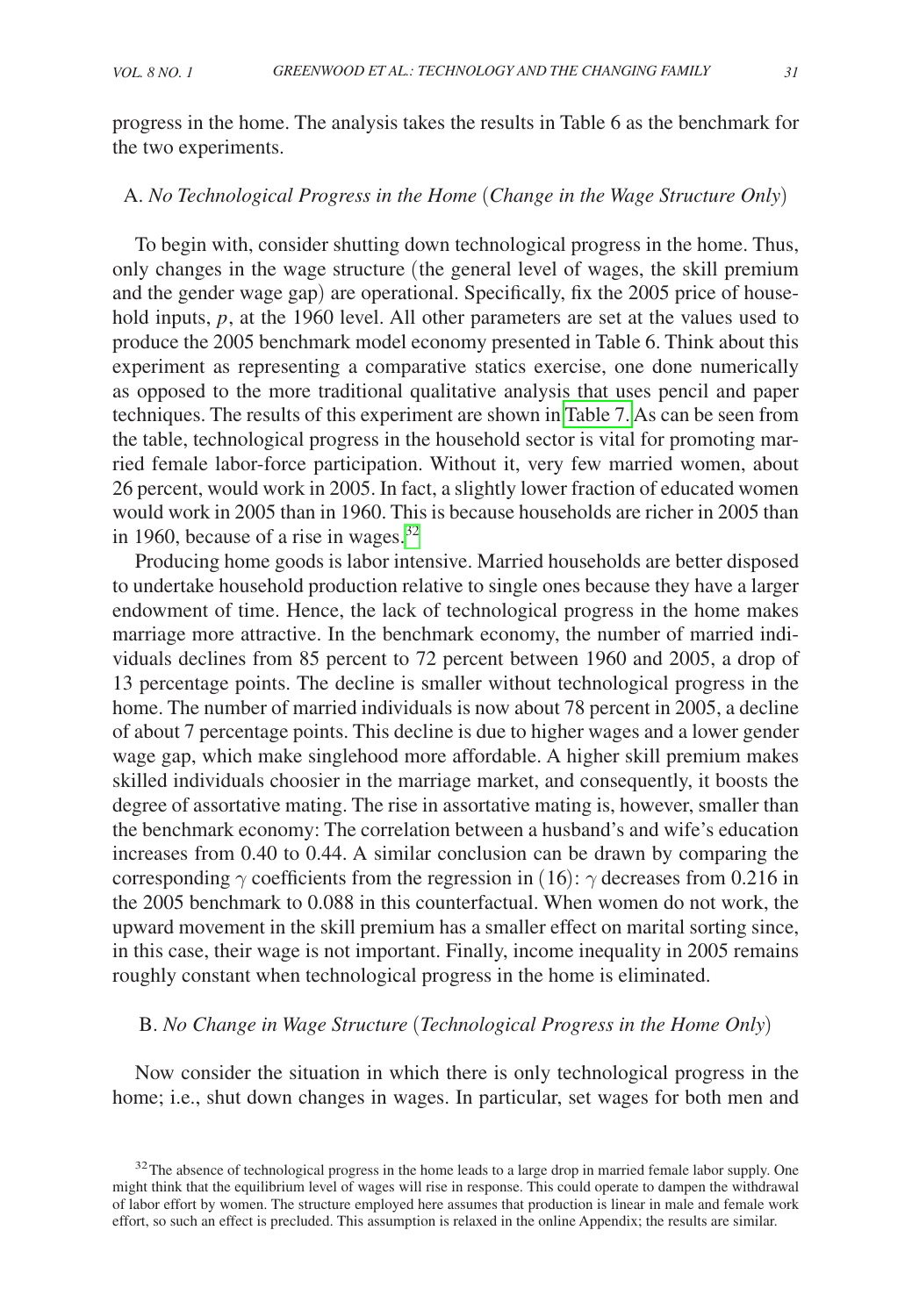progress in the home. The analysis takes the results in Table 6 as the benchmark for the two experiments.

# A. *No Technological Progress in the Home* (*Change in the Wage Structure Only*)

To begin with, consider shutting down technological progress in the home. Thus, only changes in the wage structure (the general level of wages, the skill premium and the gender wage gap) are operational. Specifically, fix the 2005 price of household inputs, *p*, at the 1960 level. All other parameters are set at the values used to produce the 2005 benchmark model economy presented in Table 6. Think about this experiment as representing a comparative statics exercise, one done numerically as opposed to the more traditional qualitative analysis that uses pencil and paper techniques. The results of this experiment are shown in [Table 7.](#page-31-0) As can be seen from the table, technological progress in the household sector is vital for promoting married female labor-force participation. Without it, very few married women, about 26 percent, would work in 2005. In fact, a slightly lower fraction of educated women would work in 2005 than in 1960. This is because households are richer in 2005 than in 1960, because of a rise in wages. $32$ 

Producing home goods is labor intensive. Married households are better disposed to undertake household production relative to single ones because they have a larger endowment of time. Hence, the lack of technological progress in the home makes marriage more attractive. In the benchmark economy, the number of married individuals declines from 85 percent to 72 percent between 1960 and 2005, a drop of 13 percentage points. The decline is smaller without technological progress in the home. The number of married individuals is now about 78 percent in 2005, a decline of about 7 percentage points. This decline is due to higher wages and a lower gender wage gap, which make singlehood more affordable. A higher skill premium makes skilled individuals choosier in the marriage market, and consequently, it boosts the degree of assortative mating. The rise in assortative mating is, however, smaller than the benchmark economy: The correlation between a husband's and wife's education increases from 0.40 to 0.44. A similar conclusion can be drawn by comparing the corresponding  $\gamma$  coefficients from the regression in (16):  $\gamma$  decreases from 0.216 in the 2005 benchmark to 0.088 in this counterfactual. When women do not work, the upward movement in the skill premium has a smaller effect on marital sorting since, in this case, their wage is not important. Finally, income inequality in 2005 remains roughly constant when technological progress in the home is eliminated.

# B. *No Change in Wage Structure* (*Technological Progress in the Home Only*)

Now consider the situation in which there is only technological progress in the home; i.e., shut down changes in wages. In particular, set wages for both men and

<span id="page-30-0"></span><sup>&</sup>lt;sup>32</sup>The absence of technological progress in the home leads to a large drop in married female labor supply. One might think that the equilibrium level of wages will rise in response. This could operate to dampen the withdrawal of labor effort by women. The structure employed here assumes that production is linear in male and female work effort, so such an effect is precluded. This assumption is relaxed in the online Appendix; the results are similar.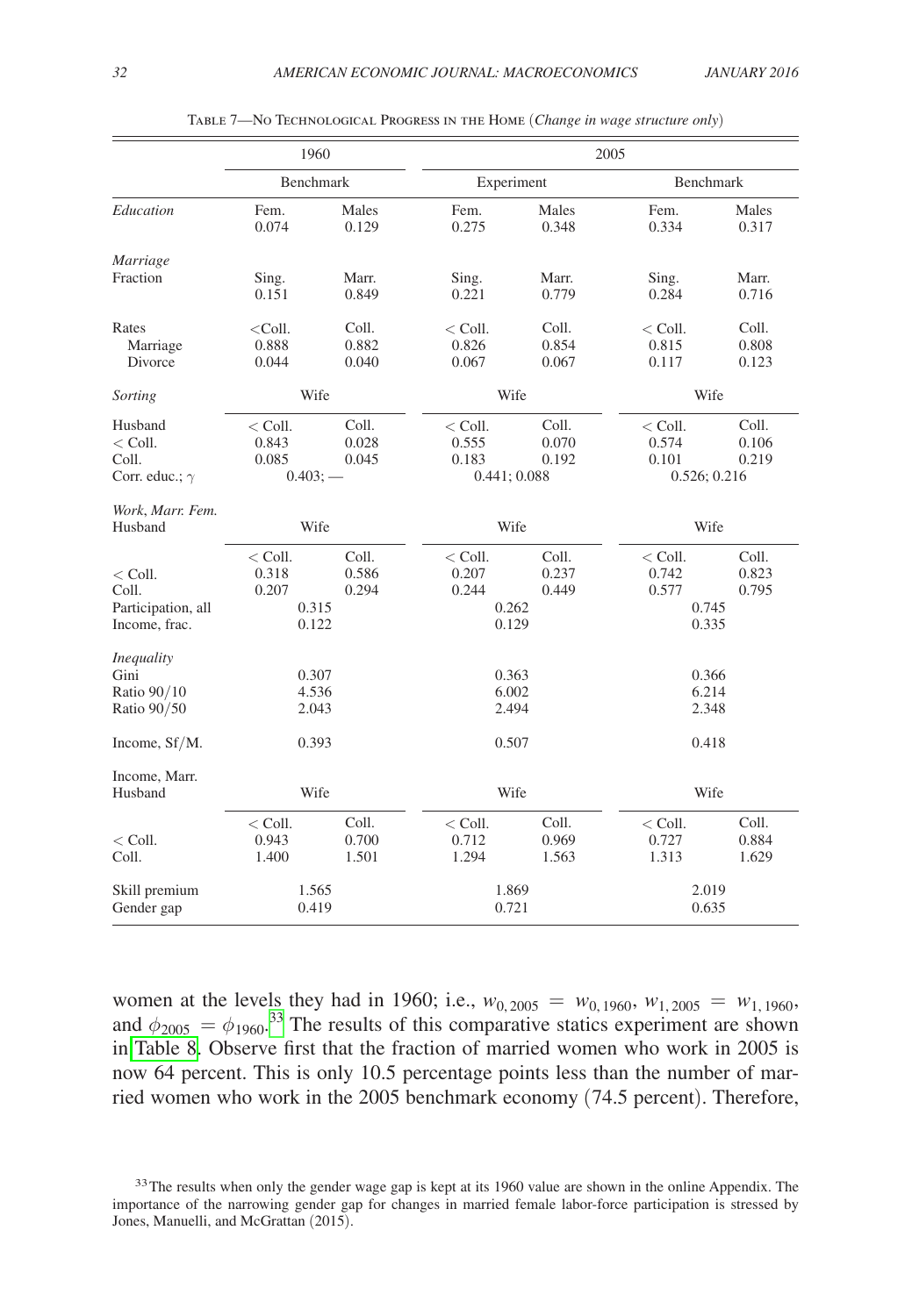<span id="page-31-0"></span>

|                                                           | 1960                                          |                         | 2005                                          |                         |                                               |                         |  |
|-----------------------------------------------------------|-----------------------------------------------|-------------------------|-----------------------------------------------|-------------------------|-----------------------------------------------|-------------------------|--|
|                                                           | <b>Benchmark</b>                              |                         | Experiment                                    |                         | Benchmark                                     |                         |  |
| Education                                                 | Fem.<br>0.074                                 | Males<br>0.129          | Fem.<br>0.275                                 | Males<br>0.348          | Fem.<br>0.334                                 | Males<br>0.317          |  |
| Marriage                                                  |                                               |                         |                                               |                         |                                               |                         |  |
| Fraction                                                  | Sing.<br>0.151                                | Marr.<br>0.849          | Sing.<br>0.221                                | Marr.<br>0.779          | Sing.<br>0.284                                | Marr.<br>0.716          |  |
| Rates<br>Marriage<br>Divorce                              | $<$ Coll.<br>0.888<br>0.044                   | Coll.<br>0.882<br>0.040 | $<$ Coll.<br>0.826<br>0.067                   | Coll.<br>0.854<br>0.067 | $<$ Coll.<br>0.815<br>0.117                   | Coll.<br>0.808<br>0.123 |  |
| Sorting                                                   | Wife                                          |                         | Wife                                          |                         | Wife                                          |                         |  |
| Husband<br>$<$ Coll.<br>Coll.<br>Corr. educ.; $\gamma$    | $<$ Coll.<br>0.843<br>0.085<br>$0.403; -$     | Coll.<br>0.028<br>0.045 | $<$ Coll.<br>0.555<br>0.183<br>0.441; 0.088   | Coll.<br>0.070<br>0.192 | $<$ Coll.<br>0.574<br>0.101<br>0.526; 0.216   | Coll.<br>0.106<br>0.219 |  |
| Work, Marr. Fem.<br>Husband                               | Wife                                          |                         |                                               | Wife                    |                                               | Wife                    |  |
| $<$ Coll.<br>Coll.<br>Participation, all<br>Income, frac. | $<$ Coll.<br>0.318<br>0.207<br>0.315<br>0.122 | Coll.<br>0.586<br>0.294 | $<$ Coll.<br>0.207<br>0.244<br>0.262<br>0.129 | Coll.<br>0.237<br>0.449 | $<$ Coll.<br>0.742<br>0.577<br>0.745<br>0.335 | Coll.<br>0.823<br>0.795 |  |
| <b>Inequality</b><br>Gini<br>Ratio 90/10<br>Ratio 90/50   | 0.307<br>4.536<br>2.043                       |                         |                                               | 0.363<br>6.002<br>2.494 |                                               | 0.366<br>6.214<br>2.348 |  |
| Income, Sf/M.                                             | 0.393                                         |                         | 0.507                                         |                         | 0.418                                         |                         |  |
| Income, Marr.<br>Husband                                  | Wife                                          |                         | Wife                                          |                         | Wife                                          |                         |  |
| $<$ Coll.<br>Coll.                                        | $<$ Coll.<br>0.943<br>1.400                   | Coll.<br>0.700<br>1.501 | $<$ Coll.<br>0.712<br>1.294                   | Coll.<br>0.969<br>1.563 | $<$ Coll.<br>0.727<br>1.313                   | Coll.<br>0.884<br>1.629 |  |
| Skill premium<br>Gender gap                               | 1.565<br>0.419                                |                         |                                               | 1.869<br>0.721          |                                               | 2.019<br>0.635          |  |

Table 7—No Technological Progress in the Home (*Change in wage structure only*)

women at the levels they had in 1960; i.e.,  $w_{0,2005} = w_{0,1960}$ ,  $w_{1,2005} = w_{1,1960}$ , and  $\phi_{2005} = \phi_{1960}^{33}$  $\phi_{2005} = \phi_{1960}^{33}$  $\phi_{2005} = \phi_{1960}^{33}$  The results of this comparative statics experiment are shown in [Table 8](#page-32-0). Observe first that the fraction of married women who work in 2005 is now 64 percent. This is only 10.5 percentage points less than the number of married women who work in the 2005 benchmark economy (74.5 percent). Therefore,

<span id="page-31-1"></span><sup>&</sup>lt;sup>33</sup>The results when only the gender wage gap is kept at its 1960 value are shown in the online Appendix. The importance of the narrowing gender gap for changes in married female labor-force participation is stressed by Jones, Manuelli, and McGrattan (2015).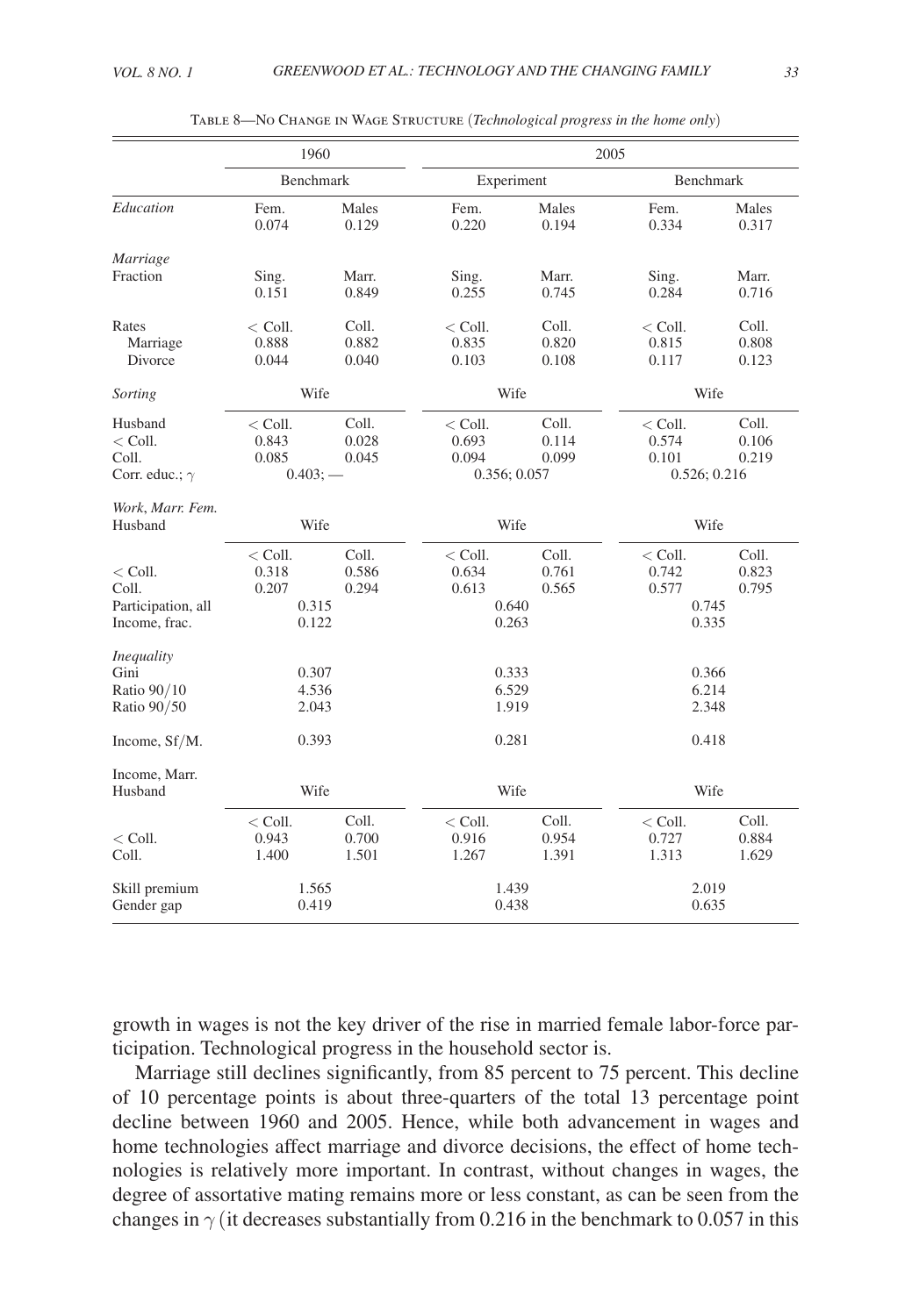<span id="page-32-0"></span>

|                                                           | 1960                                          |                         | 2005                                          |                         |                                               |                         |  |
|-----------------------------------------------------------|-----------------------------------------------|-------------------------|-----------------------------------------------|-------------------------|-----------------------------------------------|-------------------------|--|
|                                                           | Benchmark                                     |                         |                                               | Experiment              |                                               | Benchmark               |  |
| Education                                                 | Fem.<br>0.074                                 | Males<br>0.129          | Fem.<br>0.220                                 | Males<br>0.194          | Fem.<br>0.334                                 | Males<br>0.317          |  |
| Marriage                                                  |                                               |                         |                                               |                         |                                               |                         |  |
| Fraction                                                  | Sing.<br>0.151                                | Marr.<br>0.849          | Sing.<br>0.255                                | Marr.<br>0.745          | Sing.<br>0.284                                | Marr.<br>0.716          |  |
| Rates<br>Marriage<br>Divorce                              | $<$ Coll.<br>0.888<br>0.044                   | Coll.<br>0.882<br>0.040 | $<$ Coll.<br>0.835<br>0.103                   | Coll.<br>0.820<br>0.108 | $<$ Coll.<br>0.815<br>0.117                   | Coll.<br>0.808<br>0.123 |  |
| Sorting                                                   | Wife                                          |                         | Wife                                          |                         | Wife                                          |                         |  |
| Husband<br>$<$ Coll.<br>Coll.<br>Corr. educ.; $\gamma$    | $<$ Coll.<br>0.843<br>0.085<br>$0.403; -$     | Coll.<br>0.028<br>0.045 | $<$ Coll.<br>0.693<br>0.094<br>0.356; 0.057   | Coll.<br>0.114<br>0.099 | $<$ Coll.<br>0.574<br>0.101<br>0.526; 0.216   | Coll.<br>0.106<br>0.219 |  |
| Work, Marr. Fem.<br>Husband                               | Wife                                          |                         |                                               | Wife                    |                                               | Wife                    |  |
| $<$ Coll.<br>Coll.<br>Participation, all<br>Income, frac. | $<$ Coll.<br>0.318<br>0.207<br>0.315<br>0.122 | Coll.<br>0.586<br>0.294 | $<$ Coll.<br>0.634<br>0.613<br>0.640<br>0.263 | Coll.<br>0.761<br>0.565 | $<$ Coll.<br>0.742<br>0.577<br>0.745<br>0.335 | Coll.<br>0.823<br>0.795 |  |
| Inequality<br>Gini<br>Ratio 90/10<br>Ratio 90/50          | 0.307<br>4.536<br>2.043                       |                         | 0.333<br>6.529<br>1.919                       |                         | 0.366<br>6.214<br>2.348                       |                         |  |
| Income, Sf/M.<br>Income, Marr.<br>Husband                 | 0.393<br>Wife                                 |                         |                                               | 0.281<br>Wife           |                                               | 0.418<br>Wife           |  |
| $<$ Coll.<br>Coll.                                        | $<$ Coll.<br>0.943<br>1.400                   | Coll.<br>0.700<br>1.501 | $<$ Coll.<br>0.916<br>1.267                   | Coll.<br>0.954<br>1.391 | $<$ Coll.<br>0.727<br>1.313                   | Coll.<br>0.884<br>1.629 |  |
| Skill premium<br>Gender gap                               | 1.565<br>0.419                                |                         | 1.439<br>0.438                                |                         | 2.019<br>0.635                                |                         |  |

Table 8—No Change in Wage Structure (*Technological progress in the home only*)

growth in wages is not the key driver of the rise in married female labor-force participation. Technological progress in the household sector is.

Marriage still declines significantly, from 85 percent to 75 percent. This decline of 10 percentage points is about three-quarters of the total 13 percentage point decline between 1960 and 2005. Hence, while both advancement in wages and home technologies affect marriage and divorce decisions, the effect of home technologies is relatively more important. In contrast, without changes in wages, the degree of assortative mating remains more or less constant, as can be seen from the changes in  $\gamma$  (it decreases substantially from 0.216 in the benchmark to 0.057 in this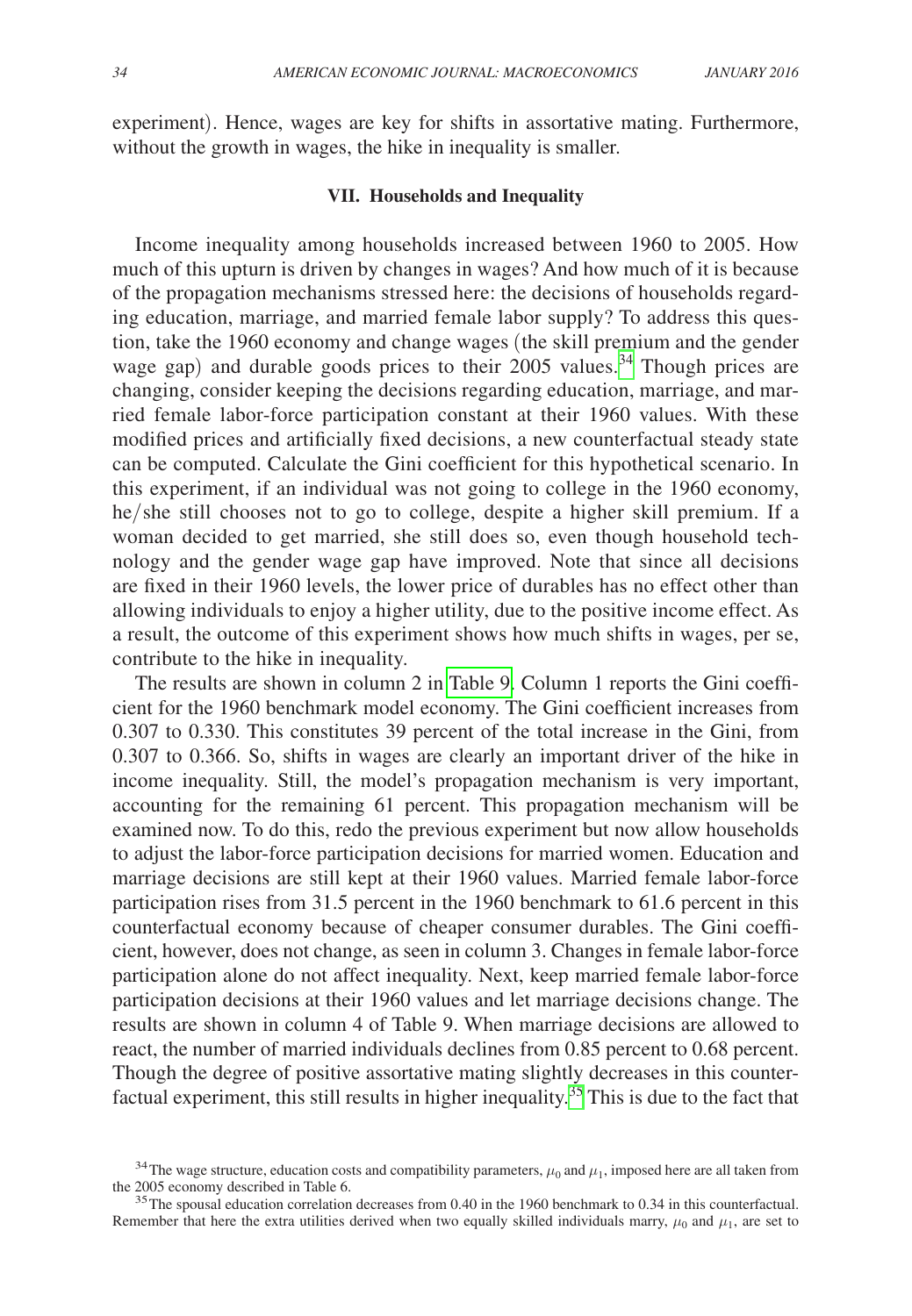experiment). Hence, wages are key for shifts in assortative mating. Furthermore, without the growth in wages, the hike in inequality is smaller.

#### **VII. Households and Inequality**

Income inequality among households increased between 1960 to 2005. How much of this upturn is driven by changes in wages? And how much of it is because of the propagation mechanisms stressed here: the decisions of households regarding education, marriage, and married female labor supply? To address this question, take the 1960 economy and change wages (the skill premium and the gender wage gap) and durable goods prices to their  $2005$  values.<sup>34</sup> Though prices are changing, consider keeping the decisions regarding education, marriage, and married female labor-force participation constant at their 1960 values. With these modified prices and artificially fixed decisions, a new counterfactual steady state can be computed. Calculate the Gini coefficient for this hypothetical scenario. In this experiment, if an individual was not going to college in the 1960 economy, he/she still chooses not to go to college, despite a higher skill premium. If a woman decided to get married, she still does so, even though household technology and the gender wage gap have improved. Note that since all decisions are fixed in their 1960 levels, the lower price of durables has no effect other than allowing individuals to enjoy a higher utility, due to the positive income effect. As a result, the outcome of this experiment shows how much shifts in wages, per se, contribute to the hike in inequality.

The results are shown in column 2 in [Table 9.](#page-34-0) Column 1 reports the Gini coefficient for the 1960 benchmark model economy. The Gini coefficient increases from 0.307 to 0.330. This constitutes 39 percent of the total increase in the Gini, from 0.307 to 0.366. So, shifts in wages are clearly an important driver of the hike in income inequality. Still, the model's propagation mechanism is very important, accounting for the remaining 61 percent. This propagation mechanism will be examined now. To do this, redo the previous experiment but now allow households to adjust the labor-force participation decisions for married women. Education and marriage decisions are still kept at their 1960 values. Married female labor-force participation rises from 31.5 percent in the 1960 benchmark to 61.6 percent in this counterfactual economy because of cheaper consumer durables. The Gini coefficient, however, does not change, as seen in column 3. Changes in female labor-force participation alone do not affect inequality. Next, keep married female labor-force participation decisions at their 1960 values and let marriage decisions change. The results are shown in column 4 of Table 9. When marriage decisions are allowed to react, the number of married individuals declines from 0.85 percent to 0.68 percent. Though the degree of positive assortative mating slightly decreases in this counterfactual experiment, this still results in higher inequality.<sup>35</sup> This is due to the fact that

<span id="page-33-0"></span><sup>&</sup>lt;sup>34</sup>The wage structure, education costs and compatibility parameters,  $\mu_0$  and  $\mu_1$ , imposed here are all taken from the 2005 economy described in Table 6.

<span id="page-33-1"></span> $35$  The spousal education correlation decreases from 0.40 in the 1960 benchmark to 0.34 in this counterfactual. Remember that here the extra utilities derived when two equally skilled individuals marry,  $\mu_0$  and  $\mu_1$ , are set to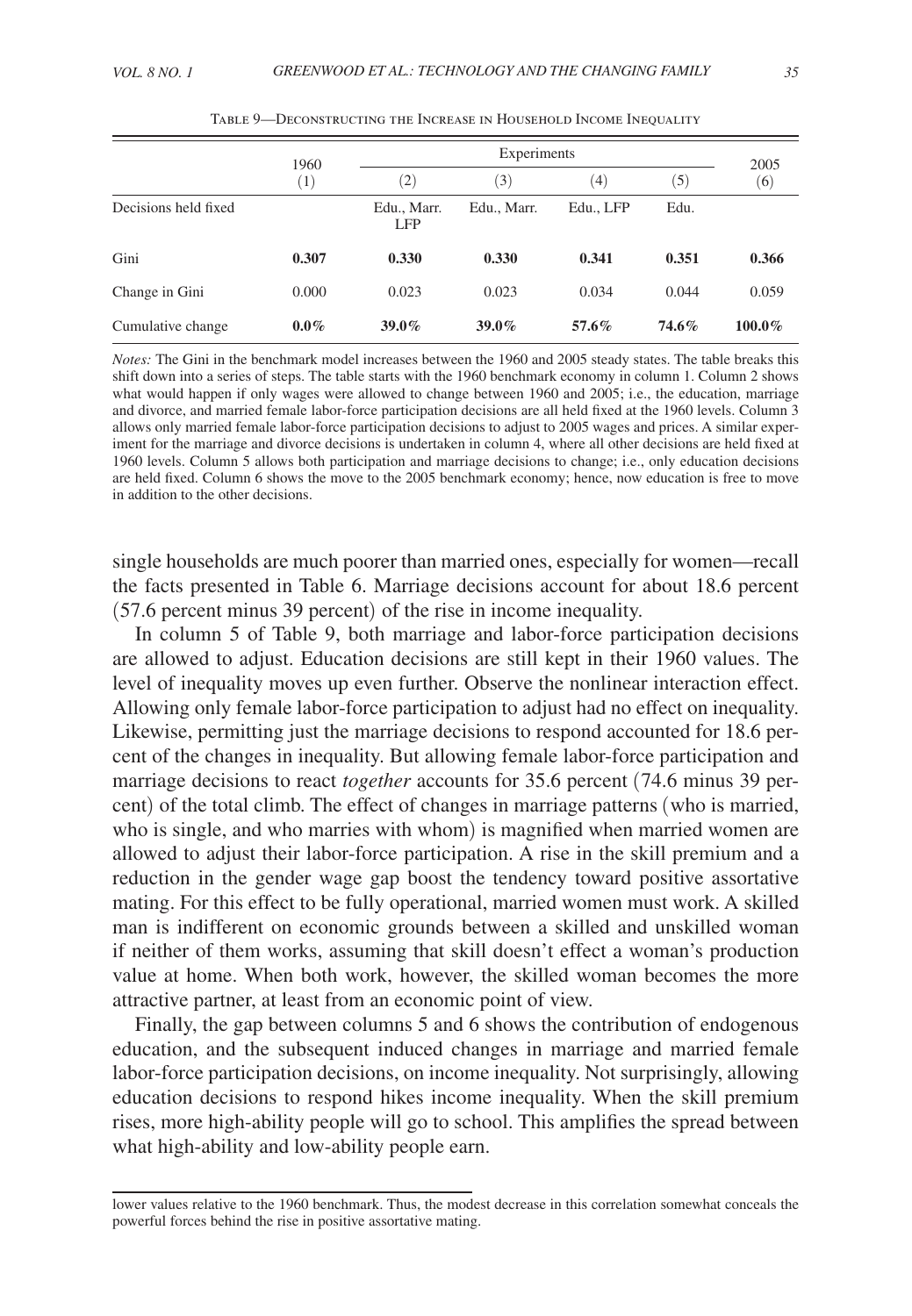<span id="page-34-0"></span>

|                      | 1960    | Experiments               |             |                  |                   | 2005   |
|----------------------|---------|---------------------------|-------------|------------------|-------------------|--------|
|                      | (1)     | (2)                       | (3)         | $\left(4\right)$ | $\left( 5\right)$ | (6)    |
| Decisions held fixed |         | Edu., Marr.<br><b>LFP</b> | Edu., Marr. | Edu., LFP        | Edu.              |        |
| Gini                 | 0.307   | 0.330                     | 0.330       | 0.341            | 0.351             | 0.366  |
| Change in Gini       | 0.000   | 0.023                     | 0.023       | 0.034            | 0.044             | 0.059  |
| Cumulative change    | $0.0\%$ | 39.0%                     | 39.0%       | 57.6%            | 74.6%             | 100.0% |

*Notes:* The Gini in the benchmark model increases between the 1960 and 2005 steady states. The table breaks this shift down into a series of steps. The table starts with the 1960 benchmark economy in column 1. Column 2 shows what would happen if only wages were allowed to change between 1960 and 2005; i.e., the education, marriage and divorce, and married female labor-force participation decisions are all held fixed at the 1960 levels. Column 3 allows only married female labor-force participation decisions to adjust to 2005 wages and prices. A similar experiment for the marriage and divorce decisions is undertaken in column 4, where all other decisions are held fixed at 1960 levels. Column 5 allows both participation and marriage decisions to change; i.e., only education decisions are held fixed. Column 6 shows the move to the 2005 benchmark economy; hence, now education is free to move in addition to the other decisions.

single households are much poorer than married ones, especially for women—recall the facts presented in Table 6. Marriage decisions account for about 18.6 percent (57.6 percent minus 39 percent) of the rise in income inequality.

In column 5 of Table 9, both marriage and labor-force participation decisions are allowed to adjust. Education decisions are still kept in their 1960 values. The level of inequality moves up even further. Observe the nonlinear interaction effect. Allowing only female labor-force participation to adjust had no effect on inequality. Likewise, permitting just the marriage decisions to respond accounted for 18.6 percent of the changes in inequality. But allowing female labor-force participation and marriage decisions to react *together* accounts for 35.6 percent (74.6 minus 39 percent) of the total climb. The effect of changes in marriage patterns (who is married, who is single, and who marries with whom) is magnified when married women are allowed to adjust their labor-force participation. A rise in the skill premium and a reduction in the gender wage gap boost the tendency toward positive assortative mating. For this effect to be fully operational, married women must work. A skilled man is indifferent on economic grounds between a skilled and unskilled woman if neither of them works, assuming that skill doesn't effect a woman's production value at home. When both work, however, the skilled woman becomes the more attractive partner, at least from an economic point of view.

Finally, the gap between columns 5 and 6 shows the contribution of endogenous education, and the subsequent induced changes in marriage and married female labor-force participation decisions, on income inequality. Not surprisingly, allowing education decisions to respond hikes income inequality. When the skill premium rises, more high-ability people will go to school. This amplifies the spread between what high-ability and low-ability people earn.

lower values relative to the 1960 benchmark. Thus, the modest decrease in this correlation somewhat conceals the powerful forces behind the rise in positive assortative mating.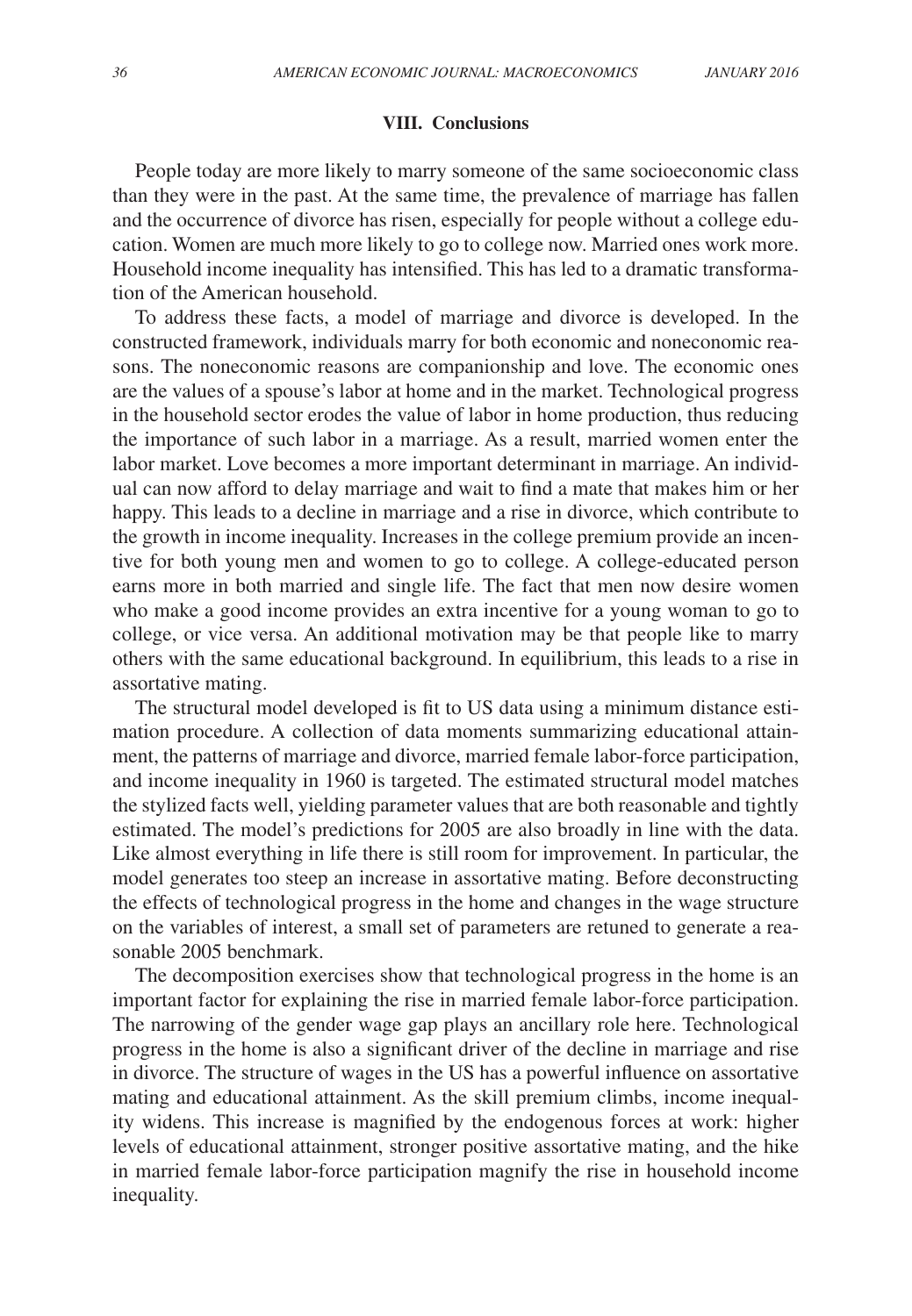#### **VIII. Conclusions**

People today are more likely to marry someone of the same socioeconomic class than they were in the past. At the same time, the prevalence of marriage has fallen and the occurrence of divorce has risen, especially for people without a college education. Women are much more likely to go to college now. Married ones work more. Household income inequality has intensified. This has led to a dramatic transformation of the American household.

To address these facts, a model of marriage and divorce is developed. In the constructed framework, individuals marry for both economic and noneconomic reasons. The noneconomic reasons are companionship and love. The economic ones are the values of a spouse's labor at home and in the market. Technological progress in the household sector erodes the value of labor in home production, thus reducing the importance of such labor in a marriage. As a result, married women enter the labor market. Love becomes a more important determinant in marriage. An individual can now afford to delay marriage and wait to find a mate that makes him or her happy. This leads to a decline in marriage and a rise in divorce, which contribute to the growth in income inequality. Increases in the college premium provide an incentive for both young men and women to go to college. A college-educated person earns more in both married and single life. The fact that men now desire women who make a good income provides an extra incentive for a young woman to go to college, or vice versa. An additional motivation may be that people like to marry others with the same educational background. In equilibrium, this leads to a rise in assortative mating.

The structural model developed is fit to US data using a minimum distance estimation procedure. A collection of data moments summarizing educational attainment, the patterns of marriage and divorce, married female labor-force participation, and income inequality in 1960 is targeted. The estimated structural model matches the stylized facts well, yielding parameter values that are both reasonable and tightly estimated. The model's predictions for 2005 are also broadly in line with the data. Like almost everything in life there is still room for improvement. In particular, the model generates too steep an increase in assortative mating. Before deconstructing the effects of technological progress in the home and changes in the wage structure on the variables of interest, a small set of parameters are retuned to generate a reasonable 2005 benchmark.

The decomposition exercises show that technological progress in the home is an important factor for explaining the rise in married female labor-force participation. The narrowing of the gender wage gap plays an ancillary role here. Technological progress in the home is also a significant driver of the decline in marriage and rise in divorce. The structure of wages in the US has a powerful influence on assortative mating and educational attainment. As the skill premium climbs, income inequality widens. This increase is magnified by the endogenous forces at work: higher levels of educational attainment, stronger positive assortative mating, and the hike in married female labor-force participation magnify the rise in household income inequality.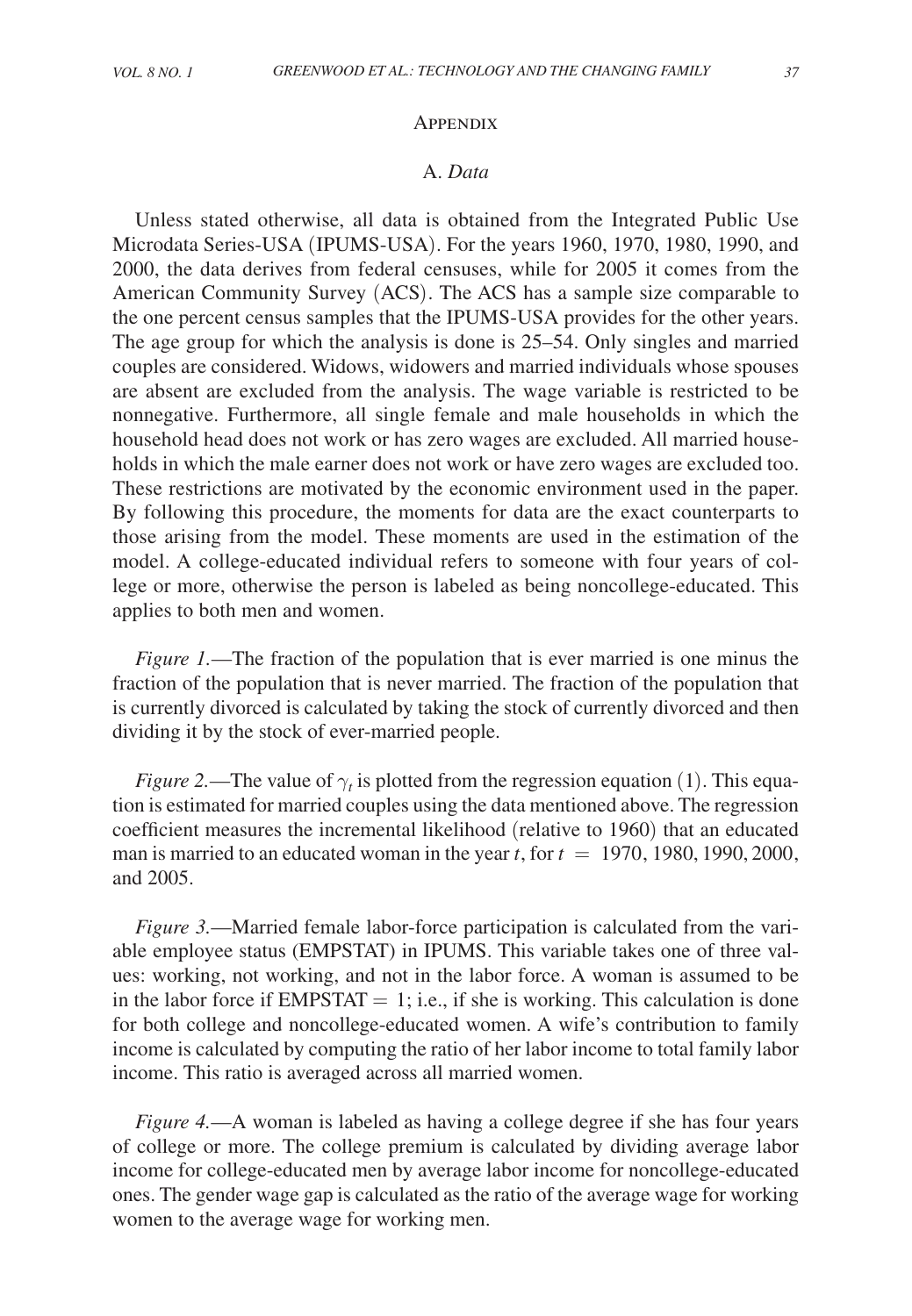#### **APPENDIX**

## A. *Data*

Unless stated otherwise, all data is obtained from the Integrated Public Use Microdata Series-USA (IPUMS-USA). For the years 1960, 1970, 1980, 1990, and 2000, the data derives from federal censuses, while for 2005 it comes from the American Community Survey (ACS). The ACS has a sample size comparable to the one percent census samples that the IPUMS-USA provides for the other years. The age group for which the analysis is done is 25–54. Only singles and married couples are considered. Widows, widowers and married individuals whose spouses are absent are excluded from the analysis. The wage variable is restricted to be nonnegative. Furthermore, all single female and male households in which the household head does not work or has zero wages are excluded. All married households in which the male earner does not work or have zero wages are excluded too. These restrictions are motivated by the economic environment used in the paper. By following this procedure, the moments for data are the exact counterparts to those arising from the model. These moments are used in the estimation of the model. A college-educated individual refers to someone with four years of college or more, otherwise the person is labeled as being noncollege-educated. This applies to both men and women.

*Figure 1.*—The fraction of the population that is ever married is one minus the fraction of the population that is never married. The fraction of the population that is currently divorced is calculated by taking the stock of currently divorced and then dividing it by the stock of ever-married people.

*Figure 2.*—The value of  $\gamma_t$  is plotted from the regression equation (1). This equation is estimated for married couples using the data mentioned above. The regression coefficient measures the incremental likelihood (relative to 1960) that an educated man is married to an educated woman in the year  $t$ , for  $t = 1970, 1980, 1990, 2000$ , and 2005.

*Figure 3.*—Married female labor-force participation is calculated from the variable employee status (EMPSTAT) in IPUMS. This variable takes one of three values: working, not working, and not in the labor force. A woman is assumed to be in the labor force if  $EMPSTAT = 1$ ; i.e., if she is working. This calculation is done for both college and noncollege-educated women. A wife's contribution to family income is calculated by computing the ratio of her labor income to total family labor income. This ratio is averaged across all married women.

*Figure 4.*—A woman is labeled as having a college degree if she has four years of college or more. The college premium is calculated by dividing average labor income for college-educated men by average labor income for noncollege-educated ones. The gender wage gap is calculated as the ratio of the average wage for working women to the average wage for working men.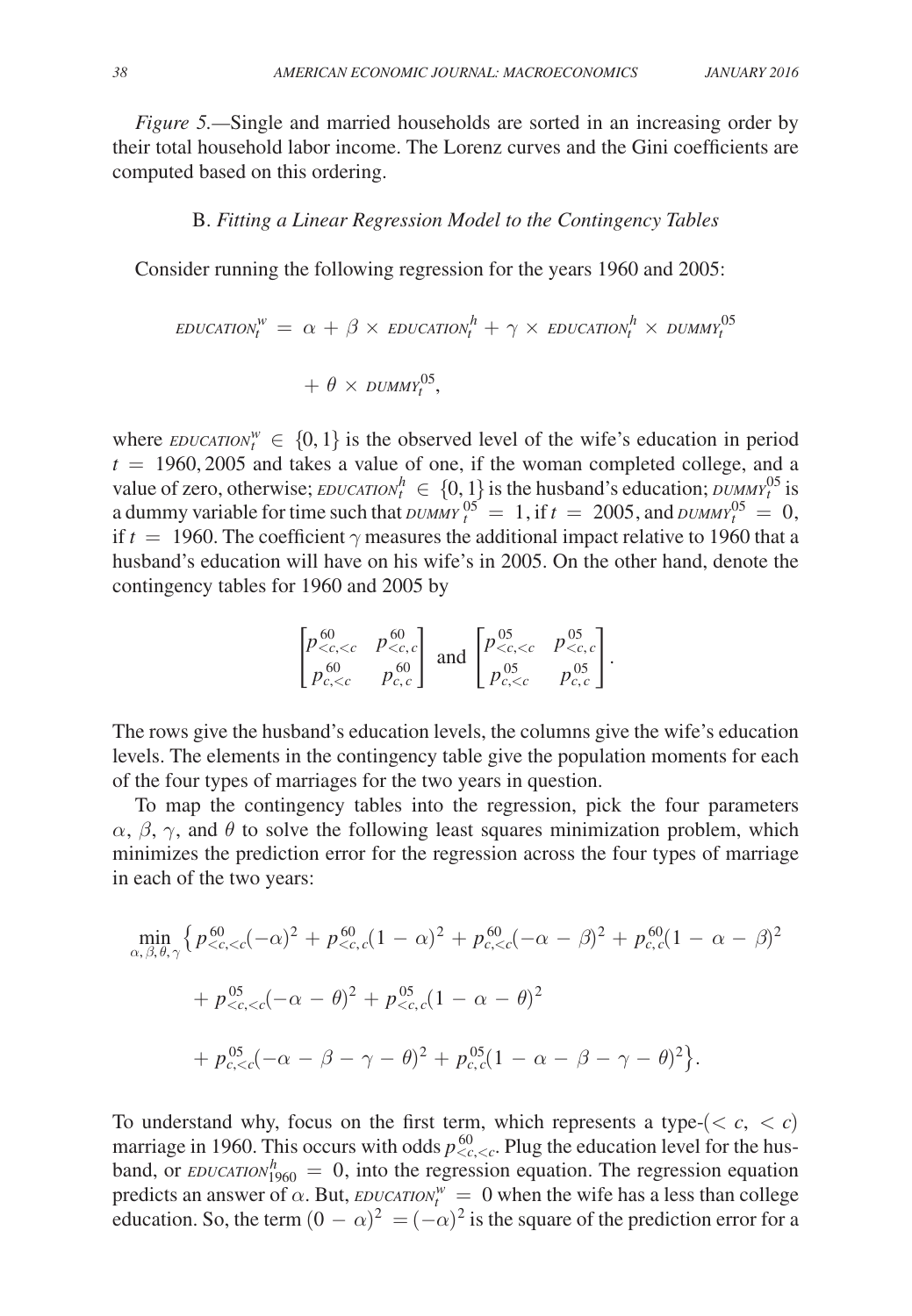*Figure 5.—*Single and married households are sorted in an increasing order by their total household labor income. The Lorenz curves and the Gini coefficients are computed based on this ordering.

## B. *Fitting a Linear Regression Model to the Contingency Tables*

Consider running the following regression for the years 1960 and 2005:

$$
EDUCATION_t^W = \alpha + \beta \times EDUCATION_t^h + \gamma \times EDUCATION_t^h \times DUMMY_t^{05}
$$

$$
+ \theta \times DUMMY_t^{05},
$$

where *EDUCATION*<sup>*w*</sup>  $\in \{0, 1\}$  is the observed level of the wife's education in period  $t = 1960, 2005$  and takes a value of one, if the woman completed college, and a value of zero, otherwise; *EDUCATION*<sup>h</sup><sub>t</sub></sup>  $\in \{0, 1\}$  is the husband's education; *DUMMY*<sup>05</sup><sub>t</sub> is a dummy variable for time such that  $\frac{DUMMY}{t}$ <sup>05</sup> = 1, if  $t = 2005$ , and  $\frac{DUMMY}{t}$ <sup>05</sup> = 0, if  $t = 1960$ . The coefficient  $\gamma$  measures the additional impact relative to 1960 that a husband's education will have on his wife's in 2005. On the other hand, denote the contingency tables for 1960 and 2005 by

$$
\begin{bmatrix} p^{60}_{ and 
$$
\begin{bmatrix} p^{05}_{.
$$
$$

The rows give the husband's education levels, the columns give the wife's education levels. The elements in the contingency table give the population moments for each of the four types of marriages for the two years in question.

To map the contingency tables into the regression, pick the four parameters  $\alpha$ ,  $\beta$ ,  $\gamma$ , and  $\theta$  to solve the following least squares minimization problem, which minimizes the prediction error for the regression across the four types of marriage in each of the two years:

$$
\min_{\alpha,\beta,\theta,\gamma} \left\{ p_{
$$

To understand why, focus on the first term, which represents a type-( $\langle c, \langle c \rangle$ ) marriage in 1960. This occurs with odds  $p_{< c, < c}^{60}$ . Plug the education level for the husband, or *EDUCATION*<sup>h</sup><sub>1960</sub> = 0, into the regression equation. The regression equation predicts an answer of  $\alpha$ . But, *EDUCATION*<sup>*w*</sup> = 0 when the wife has a less than college education. So, the term  $(0 - \alpha)^2 = (-\alpha)^2$  is the square of the prediction error for a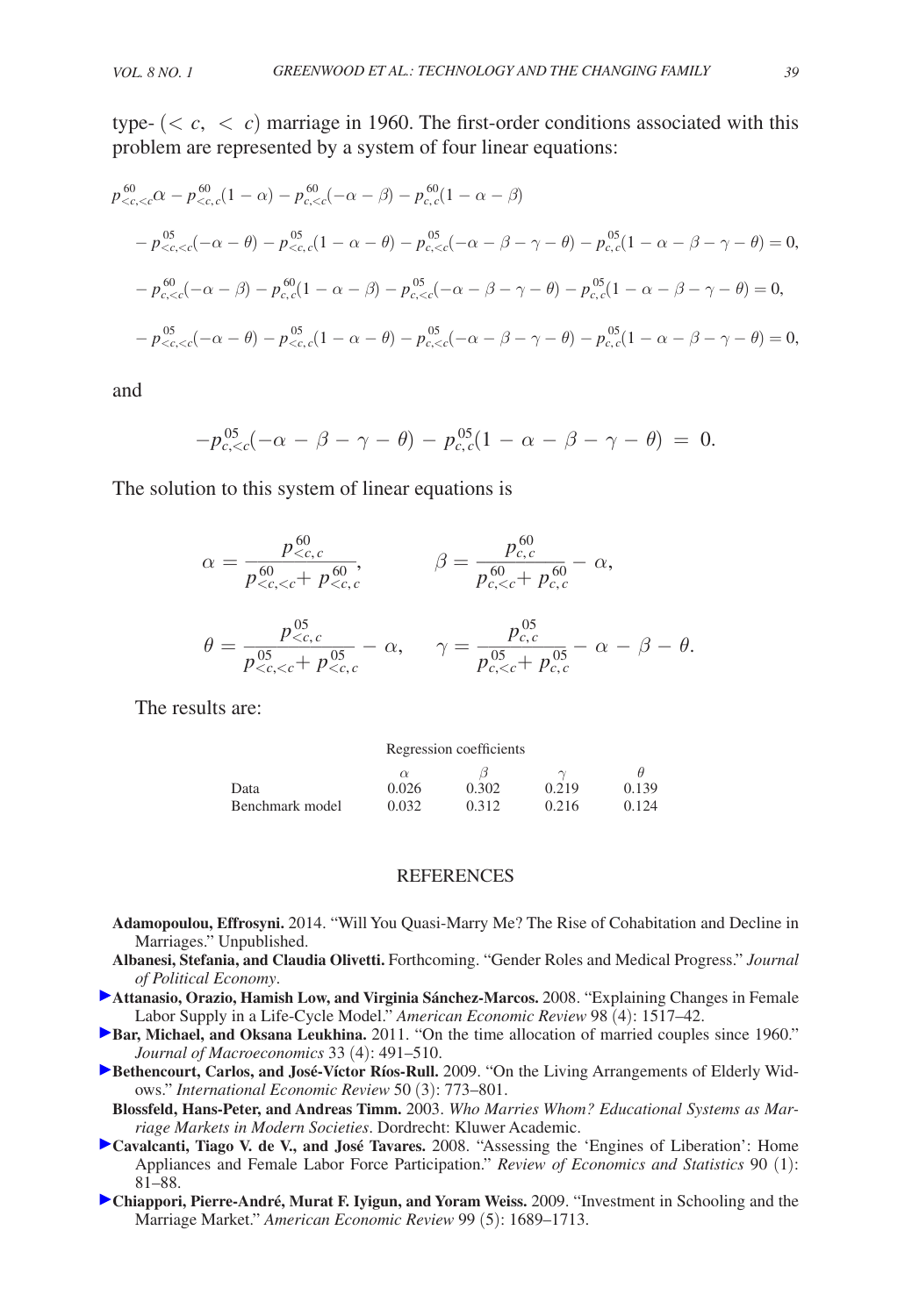type-  $(< c, < c$ ) marriage in 1960. The first-order conditions associated with this problem are represented by a system of four linear equations:

$$
p_{  
\n
$$
- p_{  
\n
$$
- p_{c,  
\n
$$
- p_{
$$
$$
$$
$$

and

$$
-p_{c,
$$

The solution to this system of linear equations is

$$
\alpha = \frac{p_{
$$
\theta = \frac{p_{
$$
$$

$$
\theta = \frac{p_{
$$

The results are:

|                 | Regression coefficients |       |       |       |
|-----------------|-------------------------|-------|-------|-------|
|                 | $\alpha$                |       |       |       |
| Data            | 0.026                   | 0.302 | 0.219 | 0.139 |
| Benchmark model | 0.032                   | 0.312 | 0.216 | 0.124 |

## **REFERENCES**

- **Adamopoulou, Effrosyni.** 2014. "Will You Quasi-Marry Me? The Rise of Cohabitation and Decline in Marriages." Unpublished.
- **Albanesi, Stefania, and Claudia Olivetti.** Forthcoming. "Gender Roles and Medical Progress." *Journal of Political Economy*.
- **Attanasio, Orazio, Hamish Low, and Virginia Sánchez-Marcos.** 2008. "Explaining Changes in Female Labor Supply in a Life-Cycle Model." *American Economic Review* 98 (4): 1517–42.
- **Bar, Michael, and Oksana Leukhina.** 2011. "On the time allocation of married couples since 1960." *Journal of Macroeconomics* 33 (4): 491–510.
- **Bethencourt, Carlos, and José-Víctor Ríos-Rull.** 2009. "On the Living Arrangements of Elderly Widows." *International Economic Review* 50 (3): 773–801.
- **Blossfeld, Hans-Peter, and Andreas Timm.** 2003. *Who Marries Whom? Educational Systems as Marriage Markets in Modern Societies*. Dordrecht: Kluwer Academic.
- **Cavalcanti, Tiago V. de V., and José Tavares.** 2008. "Assessing the 'Engines of Liberation': Home Appliances and Female Labor Force Participation." *Review of Economics and Statistics* 90 (1): 81–88.
- **Chiappori, Pierre-André, Murat F. Iyigun, and Yoram Weiss.** 2009. "Investment in Schooling and the Marriage Market." *American Economic Review* 99 (5): 1689–1713.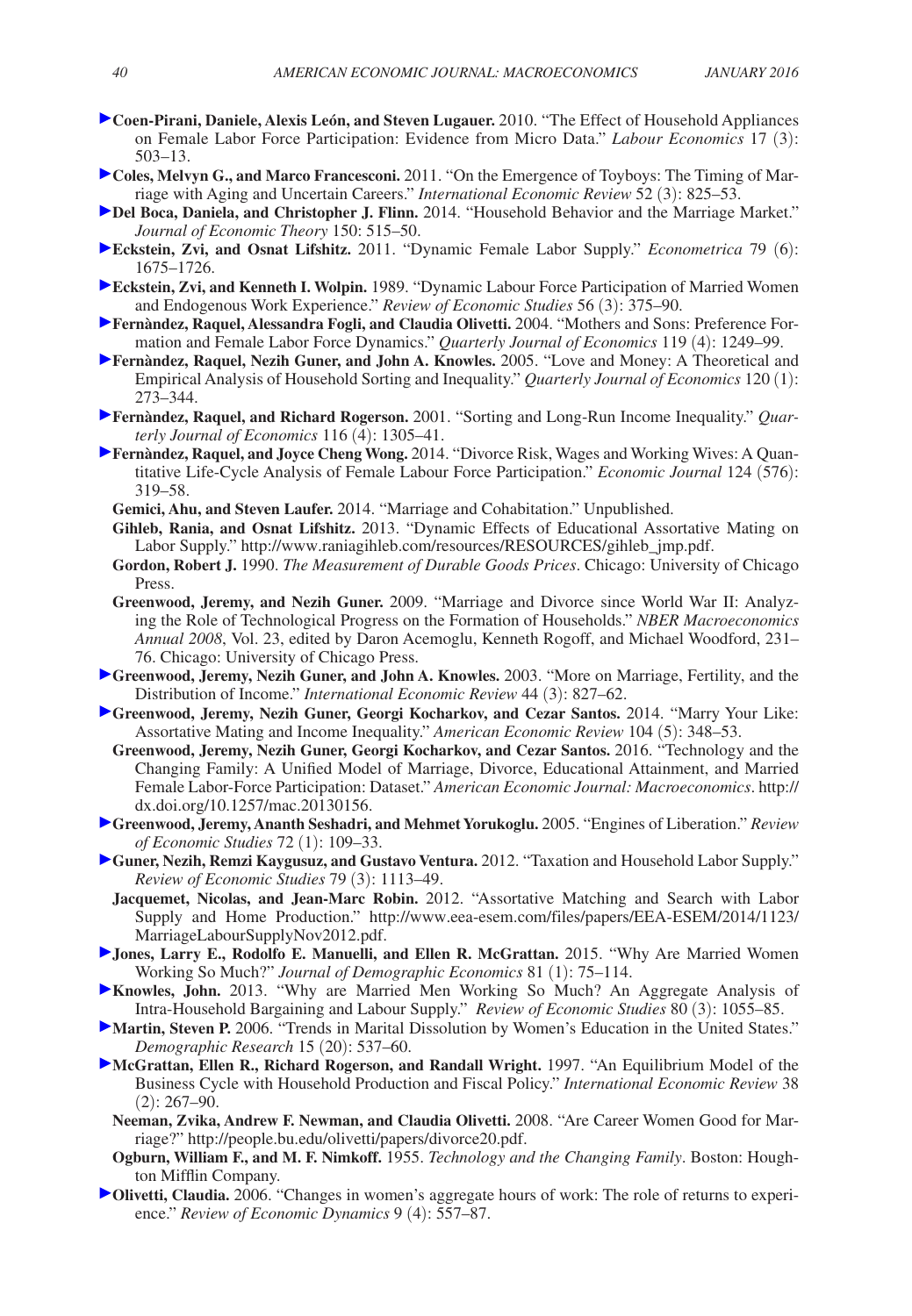- **Coen-Pirani, Daniele, Alexis León, and Steven Lugauer.** 2010. "The Effect of Household Appliances on Female Labor Force Participation: Evidence from Micro Data." *Labour Economics* 17 (3): 503–13.
- **Coles, Melvyn G., and Marco Francesconi.** 2011. "On the Emergence of Toyboys: The Timing of Marriage with Aging and Uncertain Careers." *International Economic Review* 52 (3): 825–53.
- **Del Boca, Daniela, and Christopher J. Flinn.** 2014. "Household Behavior and the Marriage Market." *Journal of Economic Theory* 150: 515–50.
- **Eckstein, Zvi, and Osnat Lifshitz.** 2011. "Dynamic Female Labor Supply." *Econometrica* 79 (6): 1675–1726.
- **Eckstein, Zvi, and Kenneth I. Wolpin.** 1989. "Dynamic Labour Force Participation of Married Women and Endogenous Work Experience." *Review of Economic Studies* 56 (3): 375–90.
- **Fernàndez, Raquel, Alessandra Fogli, and Claudia Olivetti.** 2004. "Mothers and Sons: Preference Formation and Female Labor Force Dynamics." *Quarterly Journal of Economics* 119 (4): 1249–99.
- **Fernàndez, Raquel, Nezih Guner, and John A. Knowles.** 2005. "Love and Money: A Theoretical and Empirical Analysis of Household Sorting and Inequality." *Quarterly Journal of Economics* 120 (1): 273–344.
- **Fernàndez, Raquel, and Richard Rogerson.** 2001. "Sorting and Long-Run Income Inequality." *Quarterly Journal of Economics* 116 (4): 1305–41.
- **Fernàndez, Raquel, and Joyce Cheng Wong.** 2014. "Divorce Risk, Wages and Working Wives: A Quantitative Life-Cycle Analysis of Female Labour Force Participation." *Economic Journal* 124 (576): 319–58.
	- **Gemici, Ahu, and Steven Laufer.** 2014. "Marriage and Cohabitation." Unpublished.
	- **Gihleb, Rania, and Osnat Lifshitz.** 2013. "Dynamic Effects of Educational Assortative Mating on Labor Supply." http://www.raniagihleb.com/resources/RESOURCES/gihleb\_jmp.pdf.
	- **Gordon, Robert J.** 1990. *The Measurement of Durable Goods Prices*. Chicago: University of Chicago Press.
	- **Greenwood, Jeremy, and Nezih Guner.** 2009. "Marriage and Divorce since World War II: Analyzing the Role of Technological Progress on the Formation of Households." *NBER Macroeconomics Annual 2008*, Vol. 23, edited by Daron Acemoglu, Kenneth Rogoff, and Michael Woodford, 231– 76. Chicago: University of Chicago Press.
- **Greenwood, Jeremy, Nezih Guner, and John A. Knowles.** 2003. "More on Marriage, Fertility, and the Distribution of Income." *International Economic Review* 44 (3): 827–62.
- **Greenwood, Jeremy, Nezih Guner, Georgi Kocharkov, and Cezar Santos.** 2014. "Marry Your Like: Assortative Mating and Income Inequality." *American Economic Review* 104 (5): 348–53.
- **Greenwood, Jeremy, Nezih Guner, Georgi Kocharkov, and Cezar Santos.** 2016. "Technology and the Changing Family: A Unified Model of Marriage, Divorce, Educational Attainment, and Married Female Labor-Force Participation: Dataset." *American Economic Journal: Macroeconomics*. http:// dx.doi.org/10.1257/mac.20130156.
- **Greenwood, Jeremy, Ananth Seshadri, and Mehmet Yorukoglu.** 2005. "Engines of Liberation." *Review of Economic Studies* 72 (1): 109–33.
- **Guner, Nezih, Remzi Kaygusuz, and Gustavo Ventura.** 2012. "Taxation and Household Labor Supply." *Review of Economic Studies* 79 (3): 1113–49.
- **Jacquemet, Nicolas, and Jean-Marc Robin.** 2012. "Assortative Matching and Search with Labor [Supply and Home Production." http://www.eea-esem.com/files/papers/EEA-ESEM/2014/1123/](http://www.eea-esem.com/files/papers/EEA-ESEM/2014/1123/MarriageLabourSupplyNov2012.pdf) MarriageLabourSupplyNov2012.pdf.
- **Jones, Larry E., Rodolfo E. Manuelli, and Ellen R. McGrattan.** 2015. "Why Are Married Women Working So Much?" *Journal of Demographic Economics* 81 (1): 75–114.
- **Knowles, John.** 2013. "Why are Married Men Working So Much? An Aggregate Analysis of Intra-Household Bargaining and Labour Supply." *Review of Economic Studies* 80 (3): 1055–85.
- **Martin, Steven P.** 2006. "Trends in Marital Dissolution by Women's Education in the United States." *Demographic Research* 15 (20): 537–60.
- **McGrattan, Ellen R., Richard Rogerson, and Randall Wright.** 1997. "An Equilibrium Model of the Business Cycle with Household Production and Fiscal Policy." *International Economic Review* 38  $(2)$ : 267–90.
	- **Neeman, Zvika, Andrew F. Newman, and Claudia Olivetti.** 2008. "Are Career Women Good for Marriage?" http://people.bu.edu/olivetti/papers/divorce20.pdf.
- **Ogburn, William F., and M. F. Nimkoff.** 1955. *Technology and the Changing Family*. Boston: Houghton Mifflin Company.
- **Olivetti, Claudia.** 2006. "Changes in women's aggregate hours of work: The role of returns to experience." *Review of Economic Dynamics* 9 (4): 557–87.